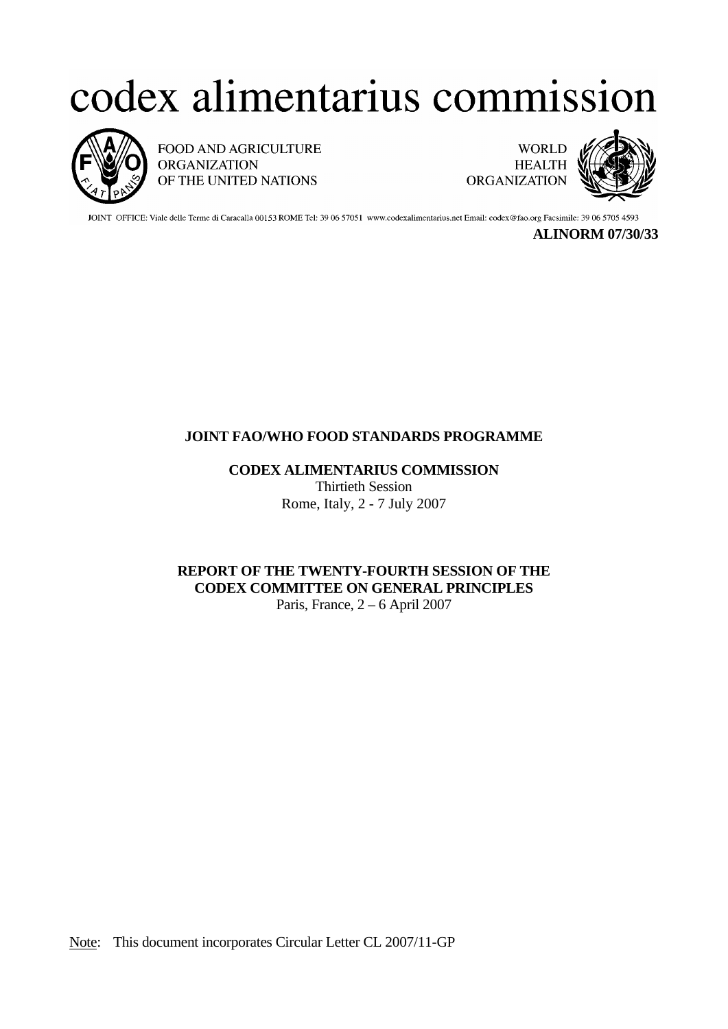# codex alimentarius commission



FOOD AND AGRICULTURE **ORGANIZATION** OF THE UNITED NATIONS





JOINT OFFICE: Viale delle Terme di Caracalla 00153 ROME Tel: 39 06 57051 www.codexalimentarius.net Email: codex@fao.org Facsimile: 39 06 5705 4593

 **ALINORM 07/30/33** 

## **JOINT FAO/WHO FOOD STANDARDS PROGRAMME**

**CODEX ALIMENTARIUS COMMISSION**

Thirtieth Session Rome, Italy, 2 - 7 July 2007

## **REPORT OF THE TWENTY-FOURTH SESSION OF THE CODEX COMMITTEE ON GENERAL PRINCIPLES**  Paris, France, 2 – 6 April 2007

Note: This document incorporates Circular Letter CL 2007/11-GP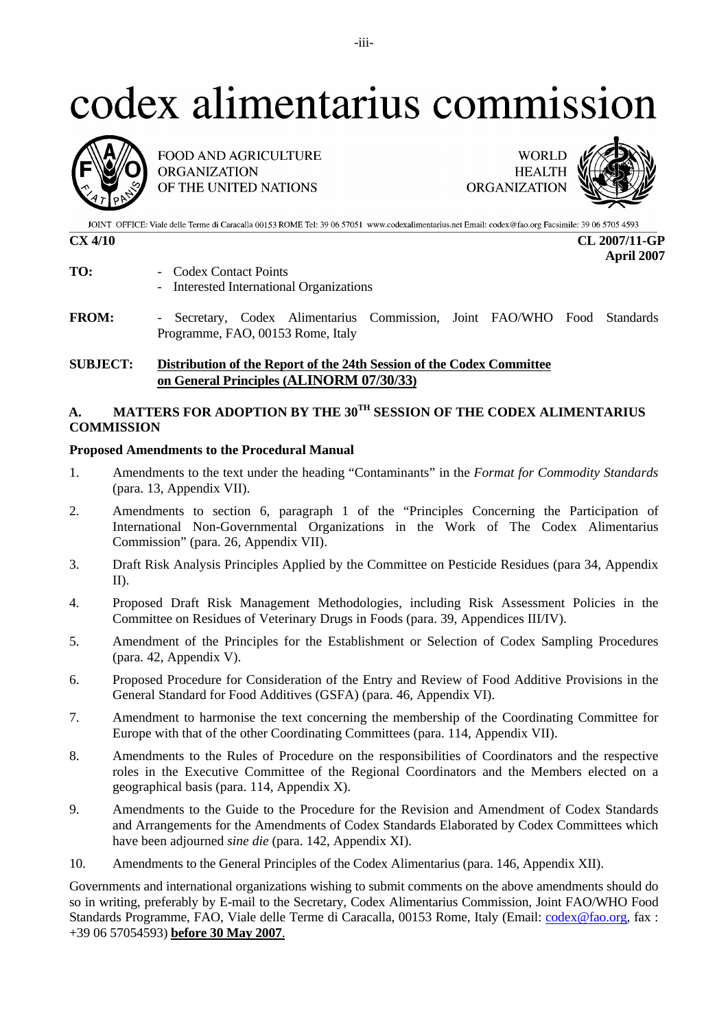## codex alimentarius commission



**FOOD AND AGRICULTURE ORGANIZATION** OF THE UNITED NATIONS

**WORLD HEALTH ORGANIZATION** 



JOINT OFFICE: Viale delle Terme di Caracalla 00153 ROME Tel: 39 06 57051 www.codexalimentarius.net Email: codex@fao.org Facsimile: 39 06 5705 4593

**CX 4/10 CL 2007/11-GP April 2007** 

- **TO:** Codex Contact Points - Interested International Organizations
- **FROM:** Secretary, Codex Alimentarius Commission, Joint FAO/WHO Food Standards Programme, FAO, 00153 Rome, Italy

## **SUBJECT: Distribution of the Report of the 24th Session of the Codex Committee on General Principles (ALINORM 07/30/33)**

## **A. MATTERS FOR ADOPTION BY THE 30TH SESSION OF THE CODEX ALIMENTARIUS COMMISSION**

## **Proposed Amendments to the Procedural Manual**

- 1. Amendments to the text under the heading "Contaminants" in the *Format for Commodity Standards* (para. 13, Appendix VII).
- 2. Amendments to section 6, paragraph 1 of the "Principles Concerning the Participation of International Non-Governmental Organizations in the Work of The Codex Alimentarius Commission" (para. 26, Appendix VII).
- 3. Draft Risk Analysis Principles Applied by the Committee on Pesticide Residues (para 34, Appendix II).
- 4. Proposed Draft Risk Management Methodologies, including Risk Assessment Policies in the Committee on Residues of Veterinary Drugs in Foods (para. 39, Appendices III/IV).
- 5. Amendment of the Principles for the Establishment or Selection of Codex Sampling Procedures (para. 42, Appendix V).
- 6. Proposed Procedure for Consideration of the Entry and Review of Food Additive Provisions in the General Standard for Food Additives (GSFA) (para. 46, Appendix VI).
- 7. Amendment to harmonise the text concerning the membership of the Coordinating Committee for Europe with that of the other Coordinating Committees (para. 114, Appendix VII).
- 8. Amendments to the Rules of Procedure on the responsibilities of Coordinators and the respective roles in the Executive Committee of the Regional Coordinators and the Members elected on a geographical basis (para. 114, Appendix X).
- 9. Amendments to the Guide to the Procedure for the Revision and Amendment of Codex Standards and Arrangements for the Amendments of Codex Standards Elaborated by Codex Committees which have been adjourned *sine die* (para. 142, Appendix XI).
- 10. Amendments to the General Principles of the Codex Alimentarius (para. 146, Appendix XII).

Governments and international organizations wishing to submit comments on the above amendments should do so in writing, preferably by E-mail to the Secretary, Codex Alimentarius Commission, Joint FAO/WHO Food Standards Programme, FAO, Viale delle Terme di Caracalla, 00153 Rome, Italy (Email: [codex@fao.org,](mailto:codex@fao.org) fax : +39 06 57054593) **before 30 May 2007**.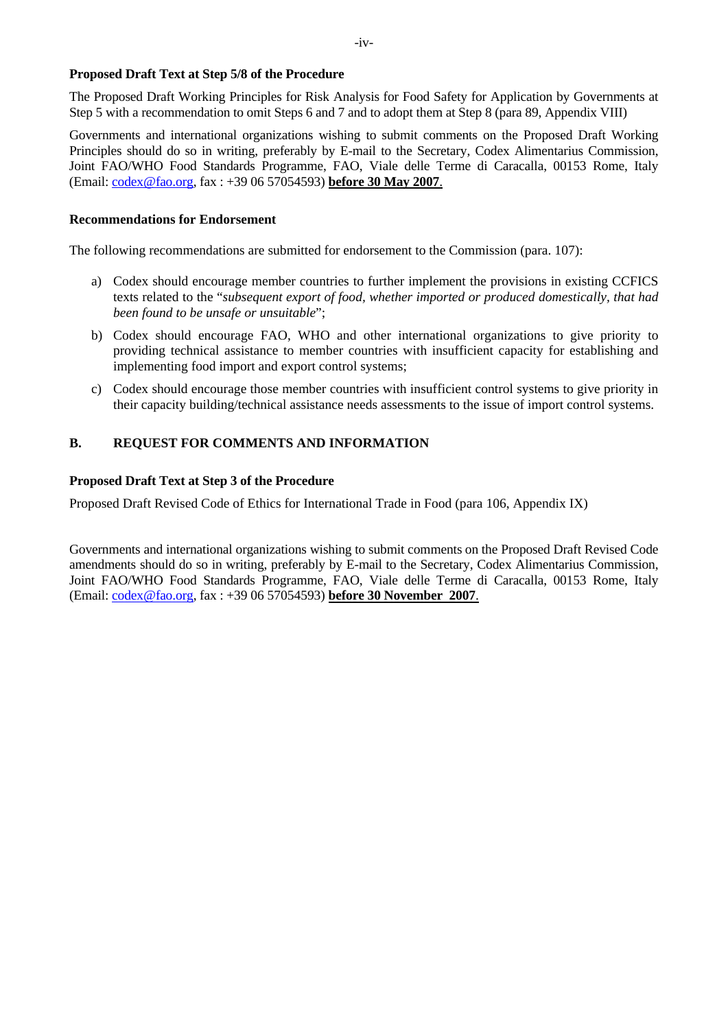## **Proposed Draft Text at Step 5/8 of the Procedure**

The Proposed Draft Working Principles for Risk Analysis for Food Safety for Application by Governments at Step 5 with a recommendation to omit Steps 6 and 7 and to adopt them at Step 8 (para 89, Appendix VIII)

Governments and international organizations wishing to submit comments on the Proposed Draft Working Principles should do so in writing, preferably by E-mail to the Secretary, Codex Alimentarius Commission, Joint FAO/WHO Food Standards Programme, FAO, Viale delle Terme di Caracalla, 00153 Rome, Italy (Email: [codex@fao.org](mailto:codex@fao.org), fax : +39 06 57054593) **before 30 May 2007**.

## **Recommendations for Endorsement**

The following recommendations are submitted for endorsement to the Commission (para. 107):

- a) Codex should encourage member countries to further implement the provisions in existing CCFICS texts related to the "*subsequent export of food, whether imported or produced domestically, that had been found to be unsafe or unsuitable*";
- b) Codex should encourage FAO, WHO and other international organizations to give priority to providing technical assistance to member countries with insufficient capacity for establishing and implementing food import and export control systems;
- c) Codex should encourage those member countries with insufficient control systems to give priority in their capacity building/technical assistance needs assessments to the issue of import control systems.

## **B. REQUEST FOR COMMENTS AND INFORMATION**

## **Proposed Draft Text at Step 3 of the Procedure**

Proposed Draft Revised Code of Ethics for International Trade in Food (para 106, Appendix IX)

Governments and international organizations wishing to submit comments on the Proposed Draft Revised Code amendments should do so in writing, preferably by E-mail to the Secretary, Codex Alimentarius Commission, Joint FAO/WHO Food Standards Programme, FAO, Viale delle Terme di Caracalla, 00153 Rome, Italy (Email: [codex@fao.org](mailto:codex@fao.org), fax : +39 06 57054593) **before 30 November 2007**.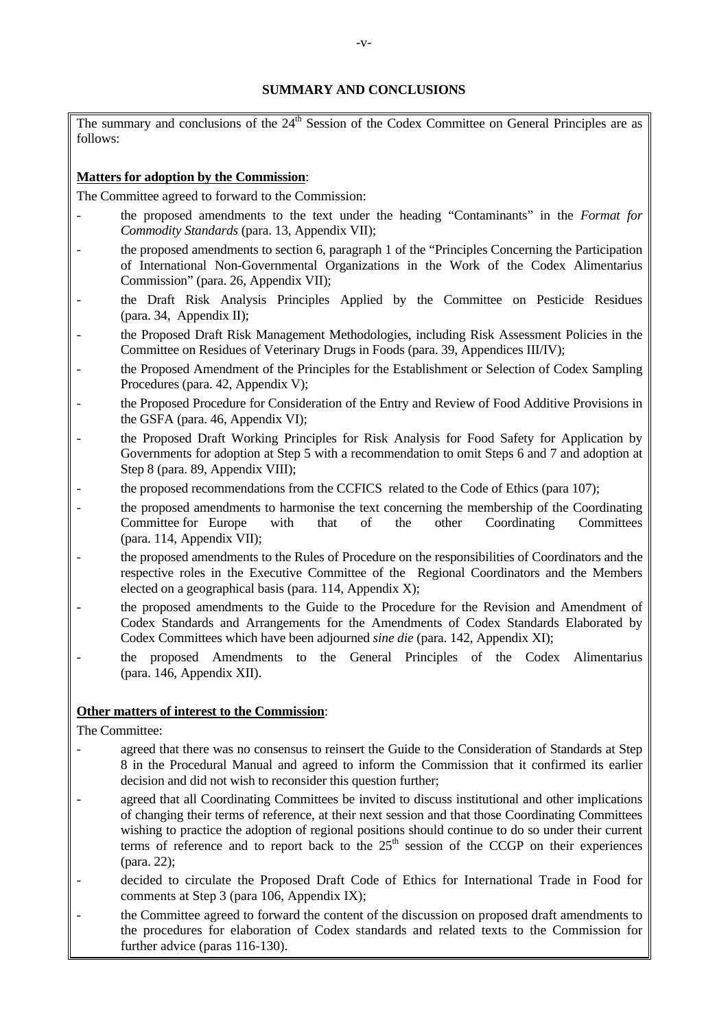The summary and conclusions of the 24<sup>th</sup> Session of the Codex Committee on General Principles are as follows:

## **Matters for adoption by the Commission**:

The Committee agreed to forward to the Commission:

- the proposed amendments to the text under the heading "Contaminants" in the *Format for Commodity Standards* (para. 13, Appendix VII);
- the proposed amendments to section 6, paragraph 1 of the "Principles Concerning the Participation of International Non-Governmental Organizations in the Work of the Codex Alimentarius Commission" (para. 26, Appendix VII);
- the Draft Risk Analysis Principles Applied by the Committee on Pesticide Residues (para. 34, Appendix II);
- the Proposed Draft Risk Management Methodologies, including Risk Assessment Policies in the Committee on Residues of Veterinary Drugs in Foods (para. 39, Appendices III/IV);
- the Proposed Amendment of the Principles for the Establishment or Selection of Codex Sampling Procedures (para. 42, Appendix V);
- the Proposed Procedure for Consideration of the Entry and Review of Food Additive Provisions in the GSFA (para. 46, Appendix VI);
- the Proposed Draft Working Principles for Risk Analysis for Food Safety for Application by Governments for adoption at Step 5 with a recommendation to omit Steps 6 and 7 and adoption at Step 8 (para. 89, Appendix VIII);
- the proposed recommendations from the CCFICS related to the Code of Ethics (para 107);
- the proposed amendments to harmonise the text concerning the membership of the Coordinating Committee for Europe with that of the other Coordinating Committees (para. 114, Appendix VII);
- the proposed amendments to the Rules of Procedure on the responsibilities of Coordinators and the respective roles in the Executive Committee of the Regional Coordinators and the Members elected on a geographical basis (para. 114, Appendix X);
- the proposed amendments to the Guide to the Procedure for the Revision and Amendment of Codex Standards and Arrangements for the Amendments of Codex Standards Elaborated by Codex Committees which have been adjourned *sine die* (para. 142, Appendix XI);
- the proposed Amendments to the General Principles of the Codex Alimentarius (para. 146, Appendix XII).

## **Other matters of interest to the Commission**:

The Committee:

- agreed that there was no consensus to reinsert the Guide to the Consideration of Standards at Step 8 in the Procedural Manual and agreed to inform the Commission that it confirmed its earlier decision and did not wish to reconsider this question further;
- agreed that all Coordinating Committees be invited to discuss institutional and other implications of changing their terms of reference, at their next session and that those Coordinating Committees wishing to practice the adoption of regional positions should continue to do so under their current terms of reference and to report back to the  $25<sup>th</sup>$  session of the CCGP on their experiences (para. 22);
- decided to circulate the Proposed Draft Code of Ethics for International Trade in Food for comments at Step 3 (para 106, Appendix IX);
- the Committee agreed to forward the content of the discussion on proposed draft amendments to the procedures for elaboration of Codex standards and related texts to the Commission for further advice (paras 116-130).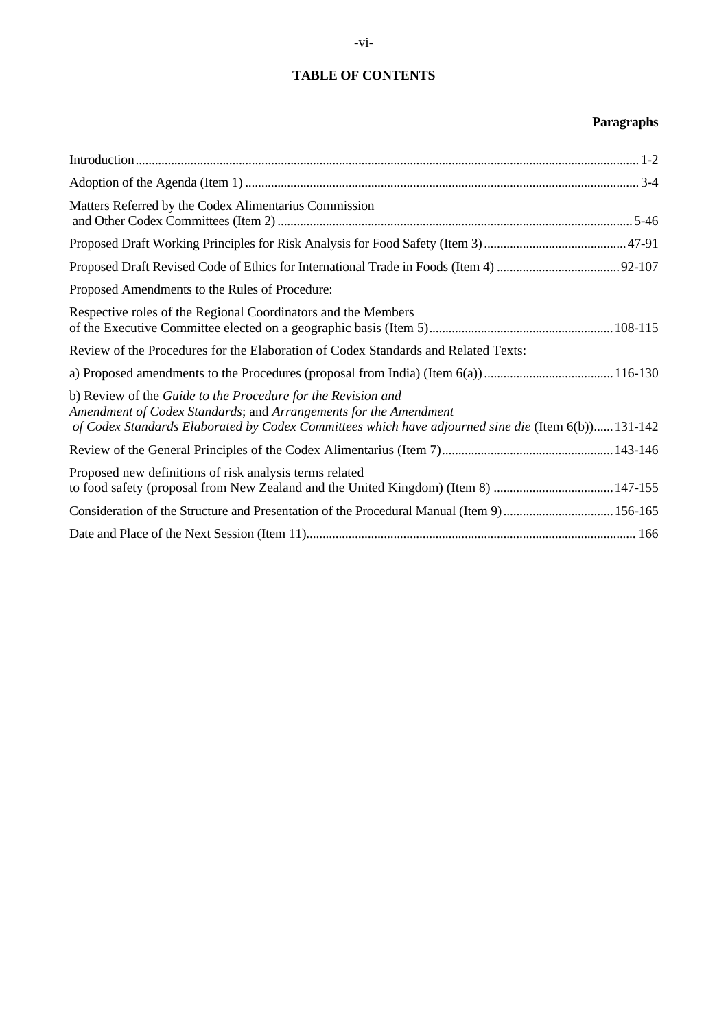## **TABLE OF CONTENTS**

## **Paragraphs**

| Matters Referred by the Codex Alimentarius Commission                                                                                                                                                                                   |
|-----------------------------------------------------------------------------------------------------------------------------------------------------------------------------------------------------------------------------------------|
|                                                                                                                                                                                                                                         |
|                                                                                                                                                                                                                                         |
| Proposed Amendments to the Rules of Procedure:                                                                                                                                                                                          |
| Respective roles of the Regional Coordinators and the Members                                                                                                                                                                           |
| Review of the Procedures for the Elaboration of Codex Standards and Related Texts:                                                                                                                                                      |
|                                                                                                                                                                                                                                         |
| b) Review of the Guide to the Procedure for the Revision and<br>Amendment of Codex Standards; and Arrangements for the Amendment<br>of Codex Standards Elaborated by Codex Committees which have adjourned sine die (Item 6(b)) 131-142 |
|                                                                                                                                                                                                                                         |
| Proposed new definitions of risk analysis terms related<br>to food safety (proposal from New Zealand and the United Kingdom) (Item 8) 147-155                                                                                           |
| Consideration of the Structure and Presentation of the Procedural Manual (Item 9) 156-165                                                                                                                                               |
|                                                                                                                                                                                                                                         |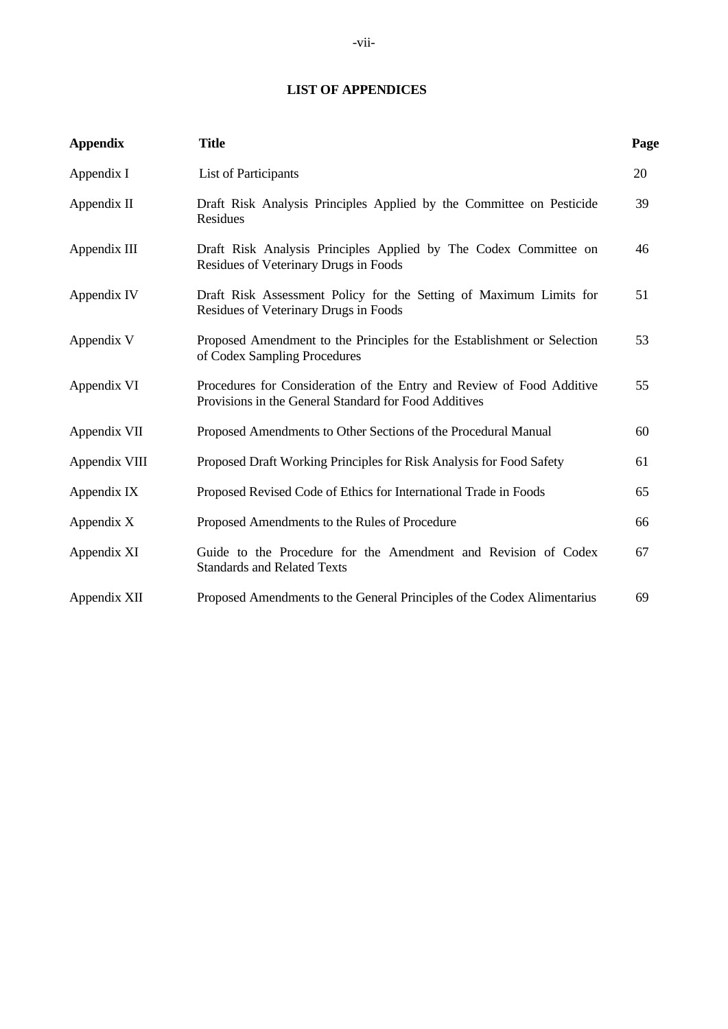## **LIST OF APPENDICES**

| <b>Appendix</b> | <b>Title</b>                                                                                                                   | Page |  |  |
|-----------------|--------------------------------------------------------------------------------------------------------------------------------|------|--|--|
| Appendix I      | List of Participants                                                                                                           | 20   |  |  |
| Appendix II     | Draft Risk Analysis Principles Applied by the Committee on Pesticide<br>Residues                                               |      |  |  |
| Appendix III    | Draft Risk Analysis Principles Applied by The Codex Committee on<br>Residues of Veterinary Drugs in Foods                      |      |  |  |
| Appendix IV     | Draft Risk Assessment Policy for the Setting of Maximum Limits for<br>Residues of Veterinary Drugs in Foods                    | 51   |  |  |
| Appendix V      | Proposed Amendment to the Principles for the Establishment or Selection<br>of Codex Sampling Procedures                        | 53   |  |  |
| Appendix VI     | Procedures for Consideration of the Entry and Review of Food Additive<br>Provisions in the General Standard for Food Additives | 55   |  |  |
| Appendix VII    | Proposed Amendments to Other Sections of the Procedural Manual                                                                 | 60   |  |  |
| Appendix VIII   | Proposed Draft Working Principles for Risk Analysis for Food Safety                                                            | 61   |  |  |
| Appendix IX     | Proposed Revised Code of Ethics for International Trade in Foods                                                               | 65   |  |  |
| Appendix X      | Proposed Amendments to the Rules of Procedure                                                                                  | 66   |  |  |
| Appendix XI     | Guide to the Procedure for the Amendment and Revision of Codex<br><b>Standards and Related Texts</b>                           | 67   |  |  |
| Appendix XII    | Proposed Amendments to the General Principles of the Codex Alimentarius                                                        | 69   |  |  |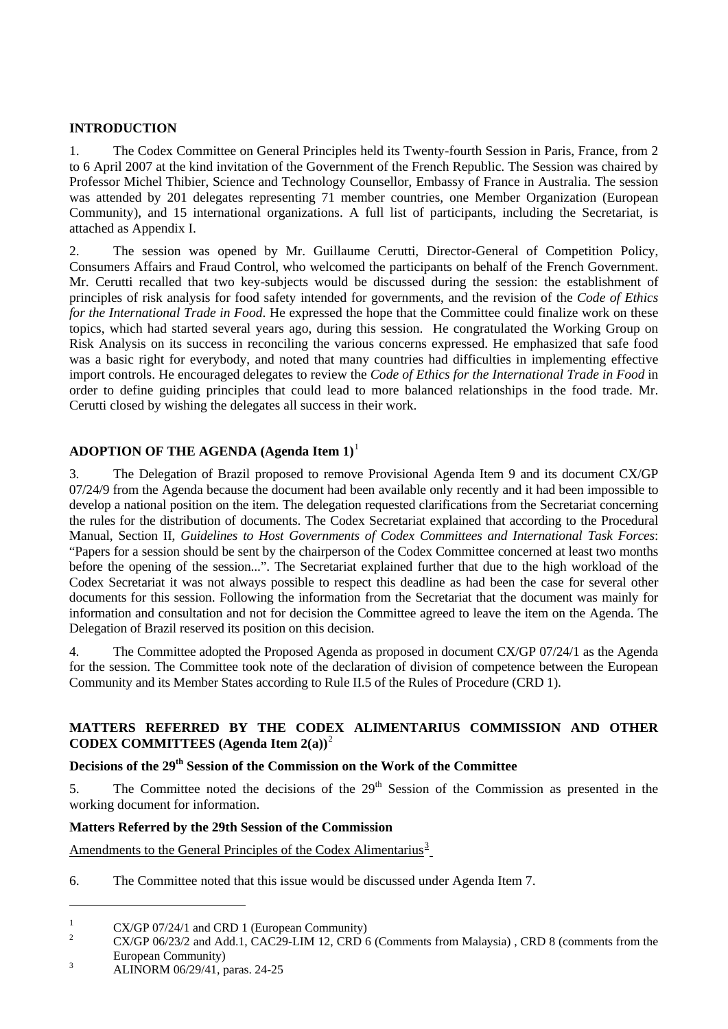## **INTRODUCTION**

1. The Codex Committee on General Principles held its Twenty-fourth Session in Paris, France, from 2 to 6 April 2007 at the kind invitation of the Government of the French Republic. The Session was chaired by Professor Michel Thibier, Science and Technology Counsellor, Embassy of France in Australia. The session was attended by 201 delegates representing 71 member countries, one Member Organization (European Community), and 15 international organizations. A full list of participants, including the Secretariat, is attached as Appendix I.

2. The session was opened by Mr. Guillaume Cerutti, Director-General of Competition Policy, Consumers Affairs and Fraud Control, who welcomed the participants on behalf of the French Government. Mr. Cerutti recalled that two key-subjects would be discussed during the session: the establishment of principles of risk analysis for food safety intended for governments, and the revision of the *Code of Ethics for the International Trade in Food*. He expressed the hope that the Committee could finalize work on these topics, which had started several years ago, during this session. He congratulated the Working Group on Risk Analysis on its success in reconciling the various concerns expressed. He emphasized that safe food was a basic right for everybody, and noted that many countries had difficulties in implementing effective import controls. He encouraged delegates to review the *Code of Ethics for the International Trade in Food* in order to define guiding principles that could lead to more balanced relationships in the food trade. Mr. Cerutti closed by wishing the delegates all success in their work.

## **ADOPTION OF THE AGENDA (Agenda Item 1)**[1](#page-6-0)

3. The Delegation of Brazil proposed to remove Provisional Agenda Item 9 and its document CX/GP 07/24/9 from the Agenda because the document had been available only recently and it had been impossible to develop a national position on the item. The delegation requested clarifications from the Secretariat concerning the rules for the distribution of documents. The Codex Secretariat explained that according to the Procedural Manual, Section II, *Guidelines to Host Governments of Codex Committees and International Task Forces*: "Papers for a session should be sent by the chairperson of the Codex Committee concerned at least two months before the opening of the session...". The Secretariat explained further that due to the high workload of the Codex Secretariat it was not always possible to respect this deadline as had been the case for several other documents for this session. Following the information from the Secretariat that the document was mainly for information and consultation and not for decision the Committee agreed to leave the item on the Agenda. The Delegation of Brazil reserved its position on this decision.

4. The Committee adopted the Proposed Agenda as proposed in document CX/GP 07/24/1 as the Agenda for the session. The Committee took note of the declaration of division of competence between the European Community and its Member States according to Rule II.5 of the Rules of Procedure (CRD 1).

## **MATTERS REFERRED BY THE CODEX ALIMENTARIUS COMMISSION AND OTHER CODEX COMMITTEES (Agenda Item 2(a))**[2](#page-6-1)

## **Decisions of the 29th Session of the Commission on the Work of the Committee**

5. The Committee noted the decisions of the  $29<sup>th</sup>$  Session of the Commission as presented in the working document for information.

## **Matters Referred by the 29th Session of the Commission**

Amendments to the General Principles of the Codex Alimentarius<sup>[3](#page-6-2)</sup>

6. The Committee noted that this issue would be discussed under Agenda Item 7.

l

<sup>1</sup> CX/GP 07/24/1 and CRD 1 (European Community)

<span id="page-6-1"></span><span id="page-6-0"></span> $\overline{\phantom{a}}$  CX/GP 06/23/2 and Add.1, CAC29-LIM 12, CRD 6 (Comments from Malaysia) , CRD 8 (comments from the European Community)

<span id="page-6-2"></span>ALINORM 06/29/41, paras. 24-25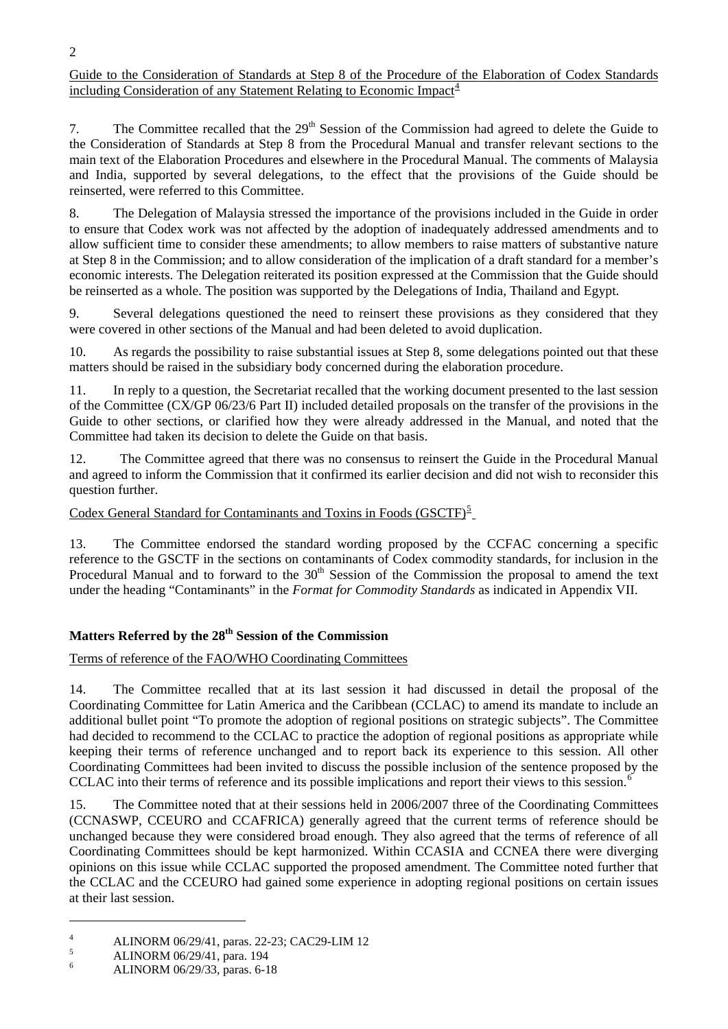Guide to the Consideration of Standards at Step 8 of the Procedure of the Elaboration of Codex Standards including Consideration of any Statement Relating to Economic Impact<sup>[4](#page-7-0)</sup>

7. The Committee recalled that the 29<sup>th</sup> Session of the Commission had agreed to delete the Guide to the Consideration of Standards at Step 8 from the Procedural Manual and transfer relevant sections to the main text of the Elaboration Procedures and elsewhere in the Procedural Manual. The comments of Malaysia and India, supported by several delegations, to the effect that the provisions of the Guide should be reinserted, were referred to this Committee.

8. The Delegation of Malaysia stressed the importance of the provisions included in the Guide in order to ensure that Codex work was not affected by the adoption of inadequately addressed amendments and to allow sufficient time to consider these amendments; to allow members to raise matters of substantive nature at Step 8 in the Commission; and to allow consideration of the implication of a draft standard for a member's economic interests. The Delegation reiterated its position expressed at the Commission that the Guide should be reinserted as a whole. The position was supported by the Delegations of India, Thailand and Egypt.

9. Several delegations questioned the need to reinsert these provisions as they considered that they were covered in other sections of the Manual and had been deleted to avoid duplication.

10. As regards the possibility to raise substantial issues at Step 8, some delegations pointed out that these matters should be raised in the subsidiary body concerned during the elaboration procedure.

11. In reply to a question, the Secretariat recalled that the working document presented to the last session of the Committee (CX/GP 06/23/6 Part II) included detailed proposals on the transfer of the provisions in the Guide to other sections, or clarified how they were already addressed in the Manual, and noted that the Committee had taken its decision to delete the Guide on that basis.

12. The Committee agreed that there was no consensus to reinsert the Guide in the Procedural Manual and agreed to inform the Commission that it confirmed its earlier decision and did not wish to reconsider this question further.

## Codex General Standard for Contaminants and Toxins in Foods  $(GSCTF)$ <sup>[5](#page-7-1)</sup>

13. The Committee endorsed the standard wording proposed by the CCFAC concerning a specific reference to the GSCTF in the sections on contaminants of Codex commodity standards, for inclusion in the Procedural Manual and to forward to the 30<sup>th</sup> Session of the Commission the proposal to amend the text under the heading "Contaminants" in the *Format for Commodity Standards* as indicated in Appendix VII.

## **Matters Referred by the 28th Session of the Commission**

## Terms of reference of the FAO/WHO Coordinating Committees

14. The Committee recalled that at its last session it had discussed in detail the proposal of the Coordinating Committee for Latin America and the Caribbean (CCLAC) to amend its mandate to include an additional bullet point "To promote the adoption of regional positions on strategic subjects". The Committee had decided to recommend to the CCLAC to practice the adoption of regional positions as appropriate while keeping their terms of reference unchanged and to report back its experience to this session. All other Coordinating Committees had been invited to discuss the possible inclusion of the sentence proposed by the CCLAC into their terms of reference and its possible implications and report their views to this session.<sup>[6](#page-7-2)</sup>

15. The Committee noted that at their sessions held in 2006/2007 three of the Coordinating Committees (CCNASWP, CCEURO and CCAFRICA) generally agreed that the current terms of reference should be unchanged because they were considered broad enough. They also agreed that the terms of reference of all Coordinating Committees should be kept harmonized. Within CCASIA and CCNEA there were diverging opinions on this issue while CCLAC supported the proposed amendment. The Committee noted further that the CCLAC and the CCEURO had gained some experience in adopting regional positions on certain issues at their last session.

l

2

<span id="page-7-0"></span><sup>4</sup> ALINORM 06/29/41, paras. 22-23; CAC29-LIM 12

<span id="page-7-1"></span><sup>5</sup> ALINORM 06/29/41, para. 194

<span id="page-7-2"></span><sup>6</sup> ALINORM 06/29/33, paras. 6-18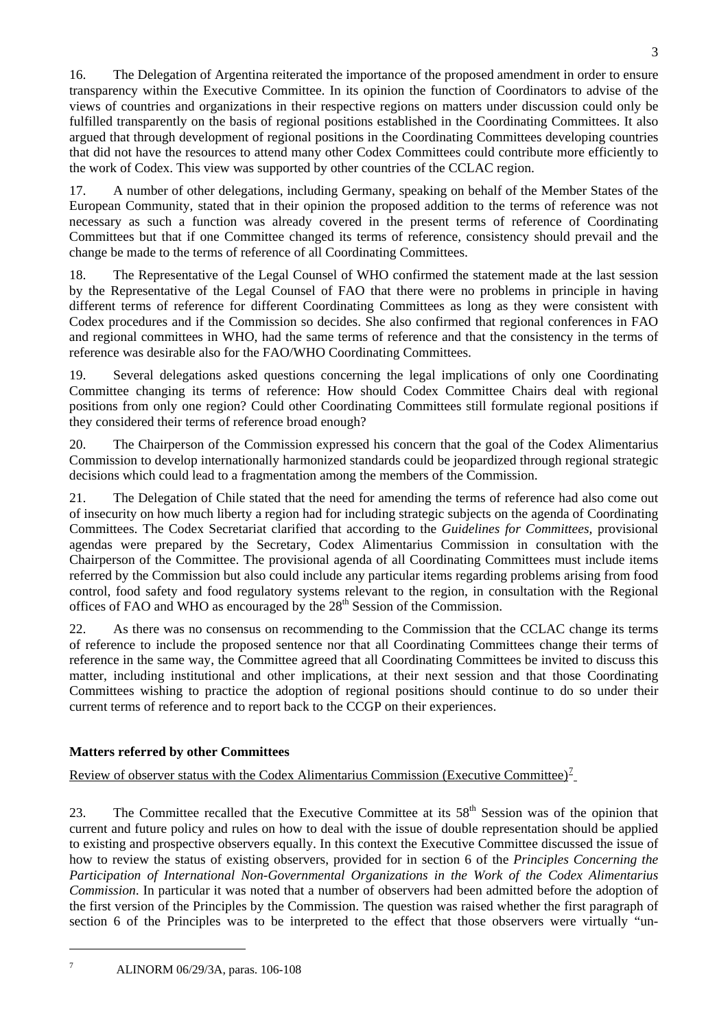16. The Delegation of Argentina reiterated the importance of the proposed amendment in order to ensure transparency within the Executive Committee. In its opinion the function of Coordinators to advise of the views of countries and organizations in their respective regions on matters under discussion could only be fulfilled transparently on the basis of regional positions established in the Coordinating Committees. It also argued that through development of regional positions in the Coordinating Committees developing countries that did not have the resources to attend many other Codex Committees could contribute more efficiently to the work of Codex. This view was supported by other countries of the CCLAC region.

17. A number of other delegations, including Germany, speaking on behalf of the Member States of the European Community, stated that in their opinion the proposed addition to the terms of reference was not necessary as such a function was already covered in the present terms of reference of Coordinating Committees but that if one Committee changed its terms of reference, consistency should prevail and the change be made to the terms of reference of all Coordinating Committees.

18. The Representative of the Legal Counsel of WHO confirmed the statement made at the last session by the Representative of the Legal Counsel of FAO that there were no problems in principle in having different terms of reference for different Coordinating Committees as long as they were consistent with Codex procedures and if the Commission so decides. She also confirmed that regional conferences in FAO and regional committees in WHO, had the same terms of reference and that the consistency in the terms of reference was desirable also for the FAO/WHO Coordinating Committees.

19. Several delegations asked questions concerning the legal implications of only one Coordinating Committee changing its terms of reference: How should Codex Committee Chairs deal with regional positions from only one region? Could other Coordinating Committees still formulate regional positions if they considered their terms of reference broad enough?

20. The Chairperson of the Commission expressed his concern that the goal of the Codex Alimentarius Commission to develop internationally harmonized standards could be jeopardized through regional strategic decisions which could lead to a fragmentation among the members of the Commission.

21. The Delegation of Chile stated that the need for amending the terms of reference had also come out of insecurity on how much liberty a region had for including strategic subjects on the agenda of Coordinating Committees. The Codex Secretariat clarified that according to the *Guidelines for Committees,* provisional agendas were prepared by the Secretary, Codex Alimentarius Commission in consultation with the Chairperson of the Committee. The provisional agenda of all Coordinating Committees must include items referred by the Commission but also could include any particular items regarding problems arising from food control, food safety and food regulatory systems relevant to the region, in consultation with the Regional offices of FAO and WHO as encouraged by the 28<sup>th</sup> Session of the Commission.

22. As there was no consensus on recommending to the Commission that the CCLAC change its terms of reference to include the proposed sentence nor that all Coordinating Committees change their terms of reference in the same way, the Committee agreed that all Coordinating Committees be invited to discuss this matter, including institutional and other implications, at their next session and that those Coordinating Committees wishing to practice the adoption of regional positions should continue to do so under their current terms of reference and to report back to the CCGP on their experiences.

## **Matters referred by other Committees**

Review of observer status with the Codex Alimentarius Commission (Executive Committee) $^2$ 

23. The Committee recalled that the Executive Committee at its  $58<sup>th</sup>$  Session was of the opinion that current and future policy and rules on how to deal with the issue of double representation should be applied to existing and prospective observers equally. In this context the Executive Committee discussed the issue of how to review the status of existing observers, provided for in section 6 of the *Principles Concerning the Participation of International Non-Governmental Organizations in the Work of the Codex Alimentarius Commission*. In particular it was noted that a number of observers had been admitted before the adoption of the first version of the Principles by the Commission. The question was raised whether the first paragraph of section 6 of the Principles was to be interpreted to the effect that those observers were virtually "un-

<span id="page-8-0"></span>l 7

ALINORM 06/29/3A, paras. 106-108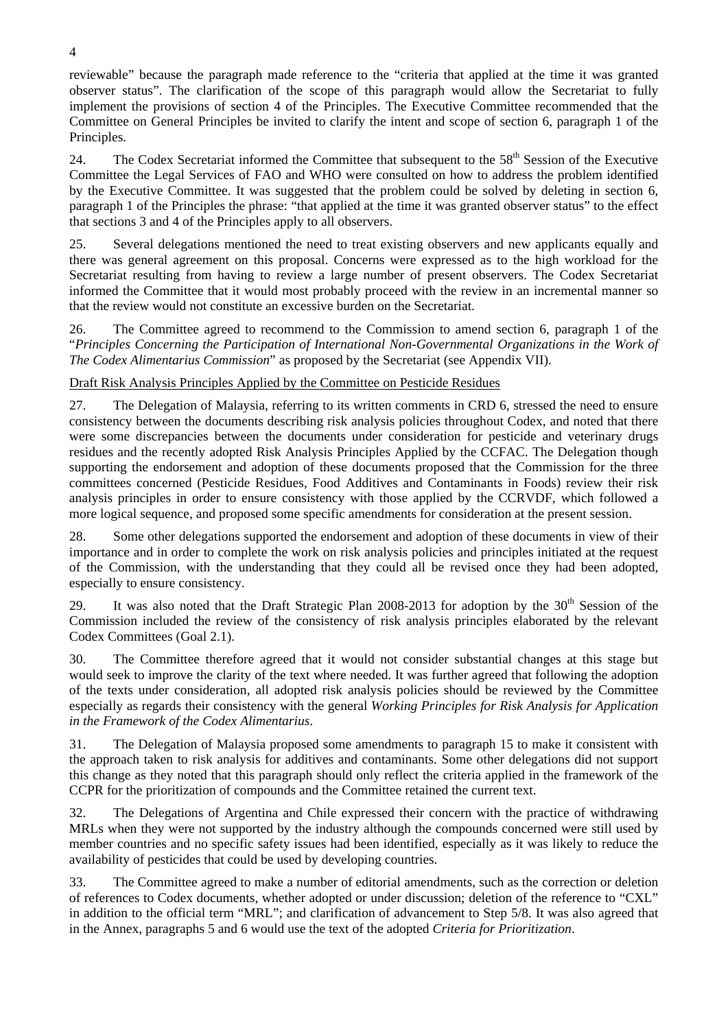reviewable" because the paragraph made reference to the "criteria that applied at the time it was granted observer status". The clarification of the scope of this paragraph would allow the Secretariat to fully implement the provisions of section 4 of the Principles. The Executive Committee recommended that the Committee on General Principles be invited to clarify the intent and scope of section 6, paragraph 1 of the Principles.

24. The Codex Secretariat informed the Committee that subsequent to the 58<sup>th</sup> Session of the Executive Committee the Legal Services of FAO and WHO were consulted on how to address the problem identified by the Executive Committee. It was suggested that the problem could be solved by deleting in section 6, paragraph 1 of the Principles the phrase: "that applied at the time it was granted observer status" to the effect that sections 3 and 4 of the Principles apply to all observers.

25. Several delegations mentioned the need to treat existing observers and new applicants equally and there was general agreement on this proposal. Concerns were expressed as to the high workload for the Secretariat resulting from having to review a large number of present observers. The Codex Secretariat informed the Committee that it would most probably proceed with the review in an incremental manner so that the review would not constitute an excessive burden on the Secretariat.

26. The Committee agreed to recommend to the Commission to amend section 6, paragraph 1 of the "*Principles Concerning the Participation of International Non-Governmental Organizations in the Work of The Codex Alimentarius Commission*" as proposed by the Secretariat (see Appendix VII).

## Draft Risk Analysis Principles Applied by the Committee on Pesticide Residues

27. The Delegation of Malaysia, referring to its written comments in CRD 6, stressed the need to ensure consistency between the documents describing risk analysis policies throughout Codex, and noted that there were some discrepancies between the documents under consideration for pesticide and veterinary drugs residues and the recently adopted Risk Analysis Principles Applied by the CCFAC. The Delegation though supporting the endorsement and adoption of these documents proposed that the Commission for the three committees concerned (Pesticide Residues, Food Additives and Contaminants in Foods) review their risk analysis principles in order to ensure consistency with those applied by the CCRVDF, which followed a more logical sequence, and proposed some specific amendments for consideration at the present session.

28. Some other delegations supported the endorsement and adoption of these documents in view of their importance and in order to complete the work on risk analysis policies and principles initiated at the request of the Commission, with the understanding that they could all be revised once they had been adopted, especially to ensure consistency.

29. It was also noted that the Draft Strategic Plan 2008-2013 for adoption by the  $30<sup>th</sup>$  Session of the Commission included the review of the consistency of risk analysis principles elaborated by the relevant Codex Committees (Goal 2.1).

30. The Committee therefore agreed that it would not consider substantial changes at this stage but would seek to improve the clarity of the text where needed. It was further agreed that following the adoption of the texts under consideration, all adopted risk analysis policies should be reviewed by the Committee especially as regards their consistency with the general *Working Principles for Risk Analysis for Application in the Framework of the Codex Alimentarius*.

31. The Delegation of Malaysia proposed some amendments to paragraph 15 to make it consistent with the approach taken to risk analysis for additives and contaminants. Some other delegations did not support this change as they noted that this paragraph should only reflect the criteria applied in the framework of the CCPR for the prioritization of compounds and the Committee retained the current text.

32. The Delegations of Argentina and Chile expressed their concern with the practice of withdrawing MRLs when they were not supported by the industry although the compounds concerned were still used by member countries and no specific safety issues had been identified, especially as it was likely to reduce the availability of pesticides that could be used by developing countries.

33. The Committee agreed to make a number of editorial amendments, such as the correction or deletion of references to Codex documents, whether adopted or under discussion; deletion of the reference to "CXL" in addition to the official term "MRL"; and clarification of advancement to Step 5/8. It was also agreed that in the Annex, paragraphs 5 and 6 would use the text of the adopted *Criteria for Prioritization*.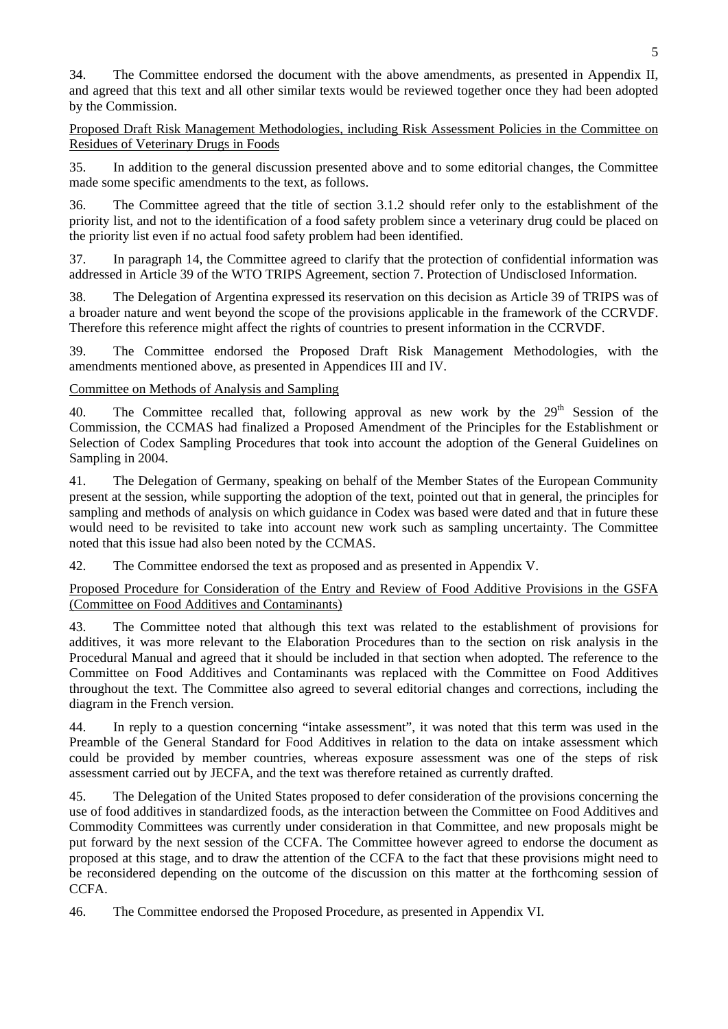34. The Committee endorsed the document with the above amendments, as presented in Appendix II, and agreed that this text and all other similar texts would be reviewed together once they had been adopted by the Commission.

## Proposed Draft Risk Management Methodologies, including Risk Assessment Policies in the Committee on Residues of Veterinary Drugs in Foods

35. In addition to the general discussion presented above and to some editorial changes, the Committee made some specific amendments to the text, as follows.

36. The Committee agreed that the title of section 3.1.2 should refer only to the establishment of the priority list, and not to the identification of a food safety problem since a veterinary drug could be placed on the priority list even if no actual food safety problem had been identified.

37. In paragraph 14, the Committee agreed to clarify that the protection of confidential information was addressed in Article 39 of the WTO TRIPS Agreement, section 7. Protection of Undisclosed Information.

38. The Delegation of Argentina expressed its reservation on this decision as Article 39 of TRIPS was of a broader nature and went beyond the scope of the provisions applicable in the framework of the CCRVDF. Therefore this reference might affect the rights of countries to present information in the CCRVDF.

39. The Committee endorsed the Proposed Draft Risk Management Methodologies, with the amendments mentioned above, as presented in Appendices III and IV.

## Committee on Methods of Analysis and Sampling

40. The Committee recalled that, following approval as new work by the  $29<sup>th</sup>$  Session of the Commission, the CCMAS had finalized a Proposed Amendment of the Principles for the Establishment or Selection of Codex Sampling Procedures that took into account the adoption of the General Guidelines on Sampling in 2004.

41. The Delegation of Germany, speaking on behalf of the Member States of the European Community present at the session, while supporting the adoption of the text, pointed out that in general, the principles for sampling and methods of analysis on which guidance in Codex was based were dated and that in future these would need to be revisited to take into account new work such as sampling uncertainty. The Committee noted that this issue had also been noted by the CCMAS.

42. The Committee endorsed the text as proposed and as presented in Appendix V.

## Proposed Procedure for Consideration of the Entry and Review of Food Additive Provisions in the GSFA (Committee on Food Additives and Contaminants)

43. The Committee noted that although this text was related to the establishment of provisions for additives, it was more relevant to the Elaboration Procedures than to the section on risk analysis in the Procedural Manual and agreed that it should be included in that section when adopted. The reference to the Committee on Food Additives and Contaminants was replaced with the Committee on Food Additives throughout the text. The Committee also agreed to several editorial changes and corrections, including the diagram in the French version.

44. In reply to a question concerning "intake assessment", it was noted that this term was used in the Preamble of the General Standard for Food Additives in relation to the data on intake assessment which could be provided by member countries, whereas exposure assessment was one of the steps of risk assessment carried out by JECFA, and the text was therefore retained as currently drafted.

45. The Delegation of the United States proposed to defer consideration of the provisions concerning the use of food additives in standardized foods, as the interaction between the Committee on Food Additives and Commodity Committees was currently under consideration in that Committee, and new proposals might be put forward by the next session of the CCFA. The Committee however agreed to endorse the document as proposed at this stage, and to draw the attention of the CCFA to the fact that these provisions might need to be reconsidered depending on the outcome of the discussion on this matter at the forthcoming session of CCFA.

46. The Committee endorsed the Proposed Procedure, as presented in Appendix VI.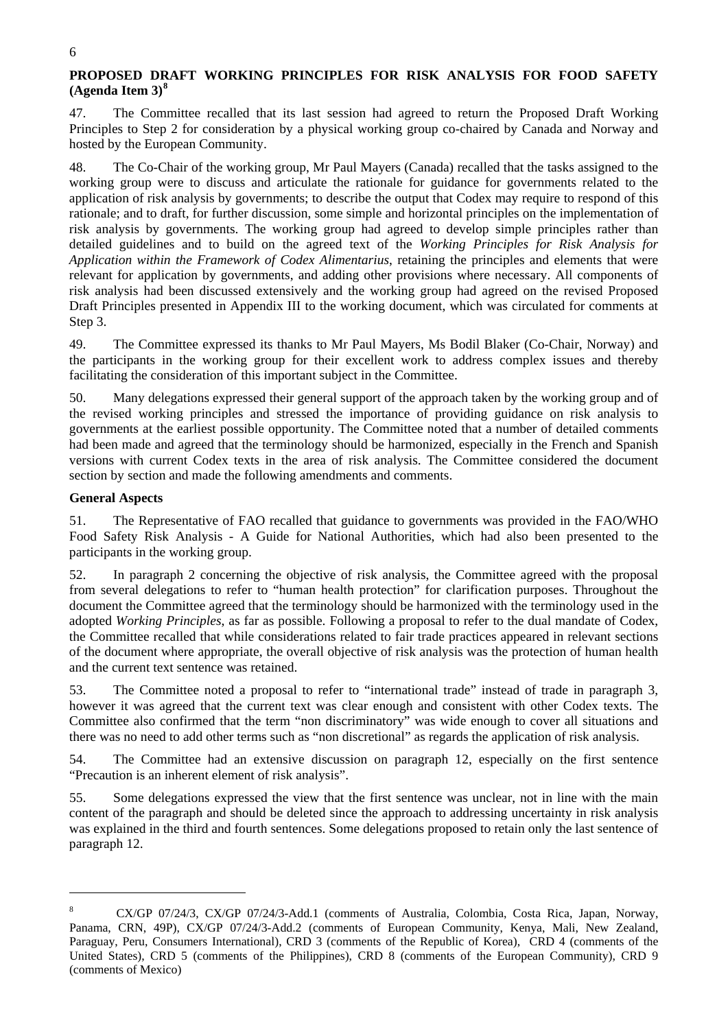## **PROPOSED DRAFT WORKING PRINCIPLES FOR RISK ANALYSIS FOR FOOD SAFETY (Agenda Item 3)[8](#page-11-0)**

47. The Committee recalled that its last session had agreed to return the Proposed Draft Working Principles to Step 2 for consideration by a physical working group co-chaired by Canada and Norway and hosted by the European Community.

48. The Co-Chair of the working group, Mr Paul Mayers (Canada) recalled that the tasks assigned to the working group were to discuss and articulate the rationale for guidance for governments related to the application of risk analysis by governments; to describe the output that Codex may require to respond of this rationale; and to draft, for further discussion, some simple and horizontal principles on the implementation of risk analysis by governments. The working group had agreed to develop simple principles rather than detailed guidelines and to build on the agreed text of the *Working Principles for Risk Analysis for Application within the Framework of Codex Alimentarius*, retaining the principles and elements that were relevant for application by governments, and adding other provisions where necessary. All components of risk analysis had been discussed extensively and the working group had agreed on the revised Proposed Draft Principles presented in Appendix III to the working document, which was circulated for comments at Step 3.

49. The Committee expressed its thanks to Mr Paul Mayers, Ms Bodil Blaker (Co-Chair, Norway) and the participants in the working group for their excellent work to address complex issues and thereby facilitating the consideration of this important subject in the Committee.

50. Many delegations expressed their general support of the approach taken by the working group and of the revised working principles and stressed the importance of providing guidance on risk analysis to governments at the earliest possible opportunity. The Committee noted that a number of detailed comments had been made and agreed that the terminology should be harmonized, especially in the French and Spanish versions with current Codex texts in the area of risk analysis. The Committee considered the document section by section and made the following amendments and comments.

## **General Aspects**

 $\overline{a}$ 

51. The Representative of FAO recalled that guidance to governments was provided in the FAO/WHO Food Safety Risk Analysis - A Guide for National Authorities, which had also been presented to the participants in the working group.

52. In paragraph 2 concerning the objective of risk analysis, the Committee agreed with the proposal from several delegations to refer to "human health protection" for clarification purposes. Throughout the document the Committee agreed that the terminology should be harmonized with the terminology used in the adopted *Working Principles*, as far as possible. Following a proposal to refer to the dual mandate of Codex, the Committee recalled that while considerations related to fair trade practices appeared in relevant sections of the document where appropriate, the overall objective of risk analysis was the protection of human health and the current text sentence was retained.

53. The Committee noted a proposal to refer to "international trade" instead of trade in paragraph 3, however it was agreed that the current text was clear enough and consistent with other Codex texts. The Committee also confirmed that the term "non discriminatory" was wide enough to cover all situations and there was no need to add other terms such as "non discretional" as regards the application of risk analysis.

54. The Committee had an extensive discussion on paragraph 12, especially on the first sentence "Precaution is an inherent element of risk analysis".

55. Some delegations expressed the view that the first sentence was unclear, not in line with the main content of the paragraph and should be deleted since the approach to addressing uncertainty in risk analysis was explained in the third and fourth sentences. Some delegations proposed to retain only the last sentence of paragraph 12.

<span id="page-11-0"></span><sup>8</sup> CX/GP 07/24/3, CX/GP 07/24/3-Add.1 (comments of Australia, Colombia, Costa Rica, Japan, Norway, Panama, CRN, 49P), CX/GP 07/24/3-Add.2 (comments of European Community, Kenya, Mali, New Zealand, Paraguay, Peru, Consumers International), CRD 3 (comments of the Republic of Korea), CRD 4 (comments of the United States), CRD 5 (comments of the Philippines), CRD 8 (comments of the European Community), CRD 9 (comments of Mexico)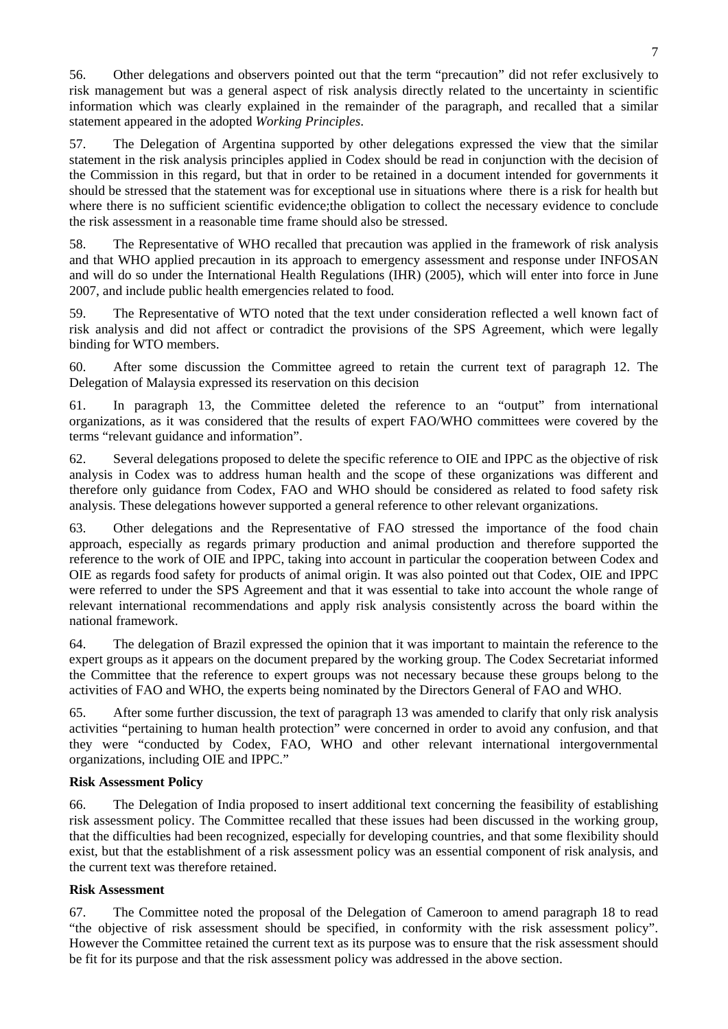56. Other delegations and observers pointed out that the term "precaution" did not refer exclusively to risk management but was a general aspect of risk analysis directly related to the uncertainty in scientific information which was clearly explained in the remainder of the paragraph, and recalled that a similar statement appeared in the adopted *Working Principles*.

57. The Delegation of Argentina supported by other delegations expressed the view that the similar statement in the risk analysis principles applied in Codex should be read in conjunction with the decision of the Commission in this regard, but that in order to be retained in a document intended for governments it should be stressed that the statement was for exceptional use in situations where there is a risk for health but where there is no sufficient scientific evidence;the obligation to collect the necessary evidence to conclude the risk assessment in a reasonable time frame should also be stressed.

58. The Representative of WHO recalled that precaution was applied in the framework of risk analysis and that WHO applied precaution in its approach to emergency assessment and response under INFOSAN and will do so under the International Health Regulations (IHR) (2005), which will enter into force in June 2007, and include public health emergencies related to food.

59. The Representative of WTO noted that the text under consideration reflected a well known fact of risk analysis and did not affect or contradict the provisions of the SPS Agreement, which were legally binding for WTO members.

60. After some discussion the Committee agreed to retain the current text of paragraph 12. The Delegation of Malaysia expressed its reservation on this decision

61. In paragraph 13, the Committee deleted the reference to an "output" from international organizations, as it was considered that the results of expert FAO/WHO committees were covered by the terms "relevant guidance and information".

62. Several delegations proposed to delete the specific reference to OIE and IPPC as the objective of risk analysis in Codex was to address human health and the scope of these organizations was different and therefore only guidance from Codex, FAO and WHO should be considered as related to food safety risk analysis. These delegations however supported a general reference to other relevant organizations.

63. Other delegations and the Representative of FAO stressed the importance of the food chain approach, especially as regards primary production and animal production and therefore supported the reference to the work of OIE and IPPC, taking into account in particular the cooperation between Codex and OIE as regards food safety for products of animal origin. It was also pointed out that Codex, OIE and IPPC were referred to under the SPS Agreement and that it was essential to take into account the whole range of relevant international recommendations and apply risk analysis consistently across the board within the national framework.

64. The delegation of Brazil expressed the opinion that it was important to maintain the reference to the expert groups as it appears on the document prepared by the working group. The Codex Secretariat informed the Committee that the reference to expert groups was not necessary because these groups belong to the activities of FAO and WHO, the experts being nominated by the Directors General of FAO and WHO.

65. After some further discussion, the text of paragraph 13 was amended to clarify that only risk analysis activities "pertaining to human health protection" were concerned in order to avoid any confusion, and that they were "conducted by Codex, FAO, WHO and other relevant international intergovernmental organizations, including OIE and IPPC."

## **Risk Assessment Policy**

66. The Delegation of India proposed to insert additional text concerning the feasibility of establishing risk assessment policy. The Committee recalled that these issues had been discussed in the working group, that the difficulties had been recognized, especially for developing countries, and that some flexibility should exist, but that the establishment of a risk assessment policy was an essential component of risk analysis, and the current text was therefore retained.

## **Risk Assessment**

67. The Committee noted the proposal of the Delegation of Cameroon to amend paragraph 18 to read "the objective of risk assessment should be specified, in conformity with the risk assessment policy". However the Committee retained the current text as its purpose was to ensure that the risk assessment should be fit for its purpose and that the risk assessment policy was addressed in the above section.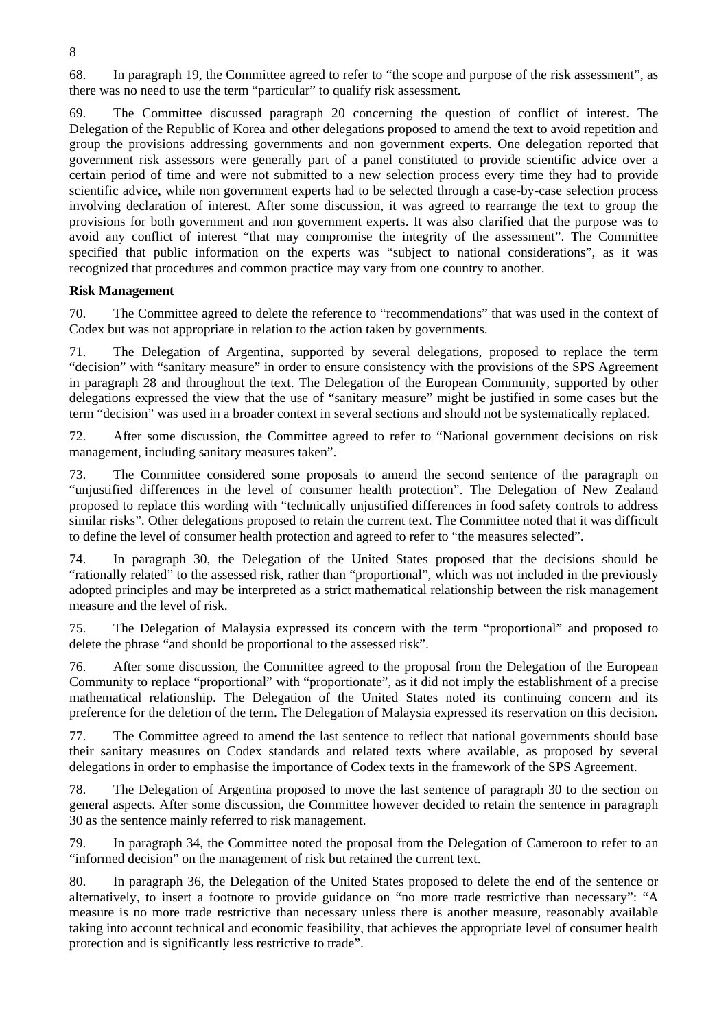68. In paragraph 19, the Committee agreed to refer to "the scope and purpose of the risk assessment", as there was no need to use the term "particular" to qualify risk assessment.

69. The Committee discussed paragraph 20 concerning the question of conflict of interest. The Delegation of the Republic of Korea and other delegations proposed to amend the text to avoid repetition and group the provisions addressing governments and non government experts. One delegation reported that government risk assessors were generally part of a panel constituted to provide scientific advice over a certain period of time and were not submitted to a new selection process every time they had to provide scientific advice, while non government experts had to be selected through a case-by-case selection process involving declaration of interest. After some discussion, it was agreed to rearrange the text to group the provisions for both government and non government experts. It was also clarified that the purpose was to avoid any conflict of interest "that may compromise the integrity of the assessment". The Committee specified that public information on the experts was "subject to national considerations", as it was recognized that procedures and common practice may vary from one country to another.

## **Risk Management**

70. The Committee agreed to delete the reference to "recommendations" that was used in the context of Codex but was not appropriate in relation to the action taken by governments.

71. The Delegation of Argentina, supported by several delegations, proposed to replace the term "decision" with "sanitary measure" in order to ensure consistency with the provisions of the SPS Agreement in paragraph 28 and throughout the text. The Delegation of the European Community, supported by other delegations expressed the view that the use of "sanitary measure" might be justified in some cases but the term "decision" was used in a broader context in several sections and should not be systematically replaced.

72. After some discussion, the Committee agreed to refer to "National government decisions on risk management, including sanitary measures taken".

73. The Committee considered some proposals to amend the second sentence of the paragraph on "unjustified differences in the level of consumer health protection". The Delegation of New Zealand proposed to replace this wording with "technically unjustified differences in food safety controls to address similar risks". Other delegations proposed to retain the current text. The Committee noted that it was difficult to define the level of consumer health protection and agreed to refer to "the measures selected".

74. In paragraph 30, the Delegation of the United States proposed that the decisions should be "rationally related" to the assessed risk, rather than "proportional", which was not included in the previously adopted principles and may be interpreted as a strict mathematical relationship between the risk management measure and the level of risk.

75. The Delegation of Malaysia expressed its concern with the term "proportional" and proposed to delete the phrase "and should be proportional to the assessed risk".

76. After some discussion, the Committee agreed to the proposal from the Delegation of the European Community to replace "proportional" with "proportionate", as it did not imply the establishment of a precise mathematical relationship. The Delegation of the United States noted its continuing concern and its preference for the deletion of the term. The Delegation of Malaysia expressed its reservation on this decision.

77. The Committee agreed to amend the last sentence to reflect that national governments should base their sanitary measures on Codex standards and related texts where available, as proposed by several delegations in order to emphasise the importance of Codex texts in the framework of the SPS Agreement.

78. The Delegation of Argentina proposed to move the last sentence of paragraph 30 to the section on general aspects. After some discussion, the Committee however decided to retain the sentence in paragraph 30 as the sentence mainly referred to risk management.

79. In paragraph 34, the Committee noted the proposal from the Delegation of Cameroon to refer to an "informed decision" on the management of risk but retained the current text.

80. In paragraph 36, the Delegation of the United States proposed to delete the end of the sentence or alternatively, to insert a footnote to provide guidance on "no more trade restrictive than necessary": "A measure is no more trade restrictive than necessary unless there is another measure, reasonably available taking into account technical and economic feasibility, that achieves the appropriate level of consumer health protection and is significantly less restrictive to trade".

8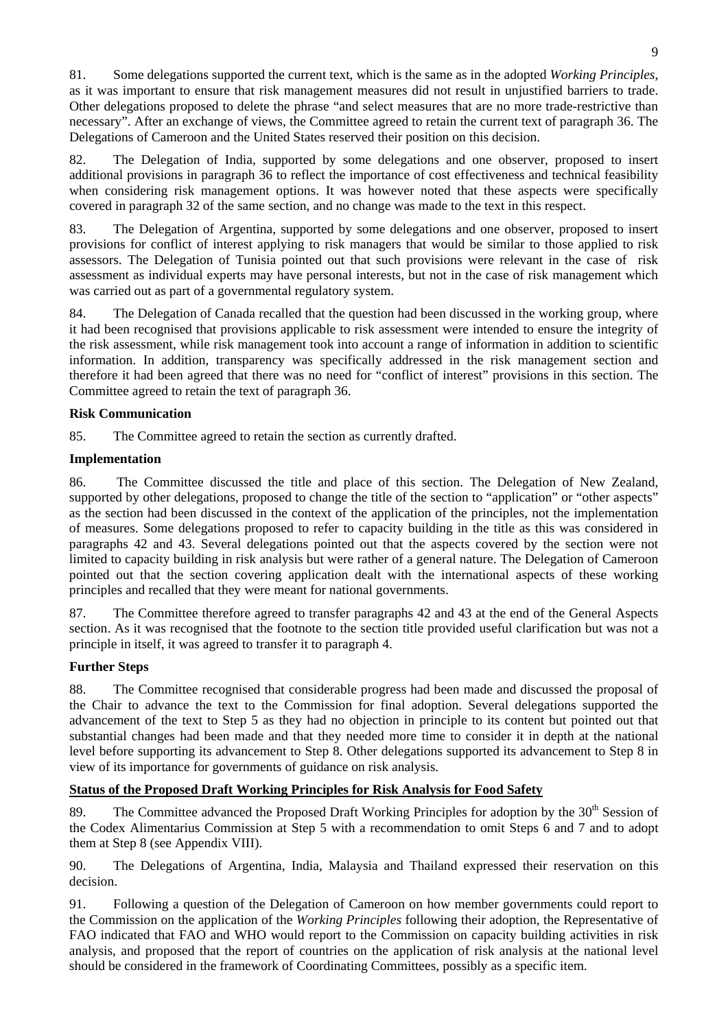81. Some delegations supported the current text, which is the same as in the adopted *Working Principles*, as it was important to ensure that risk management measures did not result in unjustified barriers to trade. Other delegations proposed to delete the phrase "and select measures that are no more trade-restrictive than necessary". After an exchange of views, the Committee agreed to retain the current text of paragraph 36. The Delegations of Cameroon and the United States reserved their position on this decision.

82. The Delegation of India, supported by some delegations and one observer, proposed to insert additional provisions in paragraph 36 to reflect the importance of cost effectiveness and technical feasibility when considering risk management options. It was however noted that these aspects were specifically covered in paragraph 32 of the same section, and no change was made to the text in this respect.

83. The Delegation of Argentina, supported by some delegations and one observer, proposed to insert provisions for conflict of interest applying to risk managers that would be similar to those applied to risk assessors. The Delegation of Tunisia pointed out that such provisions were relevant in the case of risk assessment as individual experts may have personal interests, but not in the case of risk management which was carried out as part of a governmental regulatory system.

84. The Delegation of Canada recalled that the question had been discussed in the working group, where it had been recognised that provisions applicable to risk assessment were intended to ensure the integrity of the risk assessment, while risk management took into account a range of information in addition to scientific information. In addition, transparency was specifically addressed in the risk management section and therefore it had been agreed that there was no need for "conflict of interest" provisions in this section. The Committee agreed to retain the text of paragraph 36.

## **Risk Communication**

85. The Committee agreed to retain the section as currently drafted.

## **Implementation**

86. The Committee discussed the title and place of this section. The Delegation of New Zealand, supported by other delegations, proposed to change the title of the section to "application" or "other aspects" as the section had been discussed in the context of the application of the principles, not the implementation of measures. Some delegations proposed to refer to capacity building in the title as this was considered in paragraphs 42 and 43. Several delegations pointed out that the aspects covered by the section were not limited to capacity building in risk analysis but were rather of a general nature. The Delegation of Cameroon pointed out that the section covering application dealt with the international aspects of these working principles and recalled that they were meant for national governments.

87. The Committee therefore agreed to transfer paragraphs 42 and 43 at the end of the General Aspects section. As it was recognised that the footnote to the section title provided useful clarification but was not a principle in itself, it was agreed to transfer it to paragraph 4.

## **Further Steps**

88. The Committee recognised that considerable progress had been made and discussed the proposal of the Chair to advance the text to the Commission for final adoption. Several delegations supported the advancement of the text to Step 5 as they had no objection in principle to its content but pointed out that substantial changes had been made and that they needed more time to consider it in depth at the national level before supporting its advancement to Step 8. Other delegations supported its advancement to Step 8 in view of its importance for governments of guidance on risk analysis.

## **Status of the Proposed Draft Working Principles for Risk Analysis for Food Safety**

89. The Committee advanced the Proposed Draft Working Principles for adoption by the  $30<sup>th</sup>$  Session of the Codex Alimentarius Commission at Step 5 with a recommendation to omit Steps 6 and 7 and to adopt them at Step 8 (see Appendix VIII).

90. The Delegations of Argentina, India, Malaysia and Thailand expressed their reservation on this decision.

91. Following a question of the Delegation of Cameroon on how member governments could report to the Commission on the application of the *Working Principles* following their adoption, the Representative of FAO indicated that FAO and WHO would report to the Commission on capacity building activities in risk analysis, and proposed that the report of countries on the application of risk analysis at the national level should be considered in the framework of Coordinating Committees, possibly as a specific item.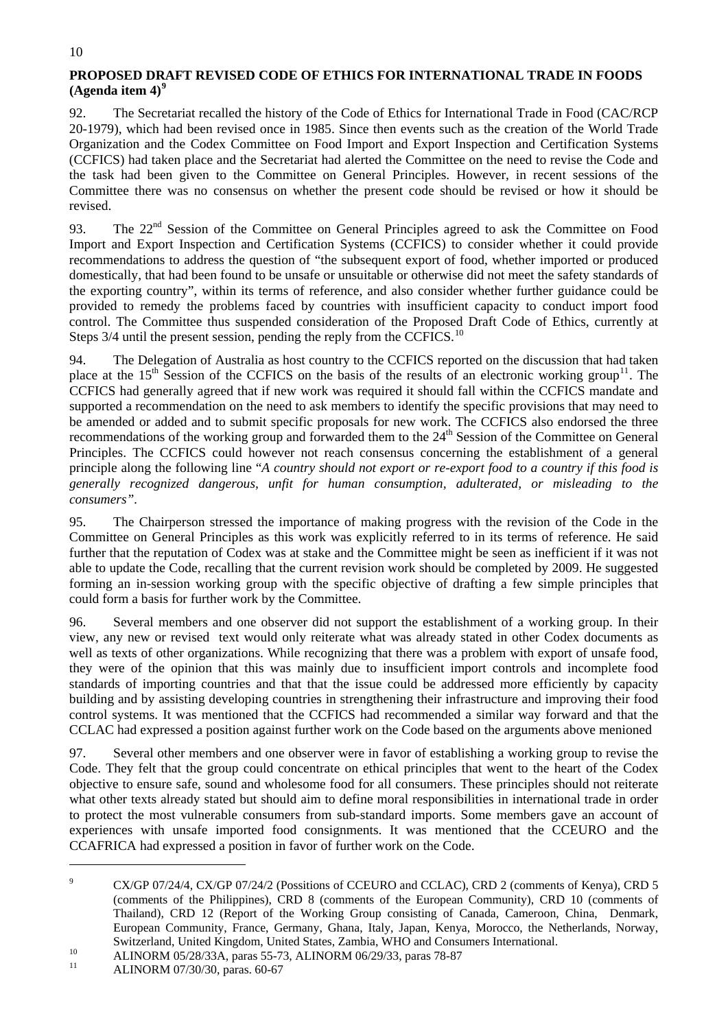## **PROPOSED DRAFT REVISED CODE OF ETHICS FOR INTERNATIONAL TRADE IN FOODS (Agenda item 4)[9](#page-15-0)**

92. The Secretariat recalled the history of the Code of Ethics for International Trade in Food (CAC/RCP 20-1979), which had been revised once in 1985. Since then events such as the creation of the World Trade Organization and the Codex Committee on Food Import and Export Inspection and Certification Systems (CCFICS) had taken place and the Secretariat had alerted the Committee on the need to revise the Code and the task had been given to the Committee on General Principles. However, in recent sessions of the Committee there was no consensus on whether the present code should be revised or how it should be revised.

93. The 22<sup>nd</sup> Session of the Committee on General Principles agreed to ask the Committee on Food Import and Export Inspection and Certification Systems (CCFICS) to consider whether it could provide recommendations to address the question of "the subsequent export of food, whether imported or produced domestically, that had been found to be unsafe or unsuitable or otherwise did not meet the safety standards of the exporting country", within its terms of reference, and also consider whether further guidance could be provided to remedy the problems faced by countries with insufficient capacity to conduct import food control. The Committee thus suspended consideration of the Proposed Draft Code of Ethics, currently at Steps  $3/4$  until the present session, pending the reply from the CCFICS.<sup>[10](#page-15-1)</sup>

94. The Delegation of Australia as host country to the CCFICS reported on the discussion that had taken place at the  $15<sup>th</sup>$  Session of the CCFICS on the basis of the results of an electronic working group<sup>[11](#page-15-2)</sup>. The CCFICS had generally agreed that if new work was required it should fall within the CCFICS mandate and supported a recommendation on the need to ask members to identify the specific provisions that may need to be amended or added and to submit specific proposals for new work. The CCFICS also endorsed the three recommendations of the working group and forwarded them to the 24<sup>th</sup> Session of the Committee on General Principles. The CCFICS could however not reach consensus concerning the establishment of a general principle along the following line "*A country should not export or re-export food to a country if this food is generally recognized dangerous, unfit for human consumption, adulterated, or misleading to the consumers".* 

95. The Chairperson stressed the importance of making progress with the revision of the Code in the Committee on General Principles as this work was explicitly referred to in its terms of reference. He said further that the reputation of Codex was at stake and the Committee might be seen as inefficient if it was not able to update the Code, recalling that the current revision work should be completed by 2009. He suggested forming an in-session working group with the specific objective of drafting a few simple principles that could form a basis for further work by the Committee.

96. Several members and one observer did not support the establishment of a working group. In their view, any new or revised text would only reiterate what was already stated in other Codex documents as well as texts of other organizations. While recognizing that there was a problem with export of unsafe food, they were of the opinion that this was mainly due to insufficient import controls and incomplete food standards of importing countries and that that the issue could be addressed more efficiently by capacity building and by assisting developing countries in strengthening their infrastructure and improving their food control systems. It was mentioned that the CCFICS had recommended a similar way forward and that the CCLAC had expressed a position against further work on the Code based on the arguments above menioned

97. Several other members and one observer were in favor of establishing a working group to revise the Code. They felt that the group could concentrate on ethical principles that went to the heart of the Codex objective to ensure safe, sound and wholesome food for all consumers. These principles should not reiterate what other texts already stated but should aim to define moral responsibilities in international trade in order to protect the most vulnerable consumers from sub-standard imports. Some members gave an account of experiences with unsafe imported food consignments. It was mentioned that the CCEURO and the CCAFRICA had expressed a position in favor of further work on the Code.

l

<span id="page-15-0"></span><sup>9</sup> CX/GP 07/24/4, CX/GP 07/24/2 (Possitions of CCEURO and CCLAC), CRD 2 (comments of Kenya), CRD 5 (comments of the Philippines), CRD 8 (comments of the European Community), CRD 10 (comments of Thailand), CRD 12 (Report of the Working Group consisting of Canada, Cameroon, China, Denmark, European Community, France, Germany, Ghana, Italy, Japan, Kenya, Morocco, the Netherlands, Norway, Switzerland, United Kingdom, United States, Zambia, WHO and Consumers International.<br>ALINORM 05/28/33A, paras 55-73, ALINORM 06/29/33, paras 78-87<br>ALINORM 07/20/20, paras 60.67

<span id="page-15-1"></span>

<span id="page-15-2"></span>ALINORM 07/30/30, paras. 60-67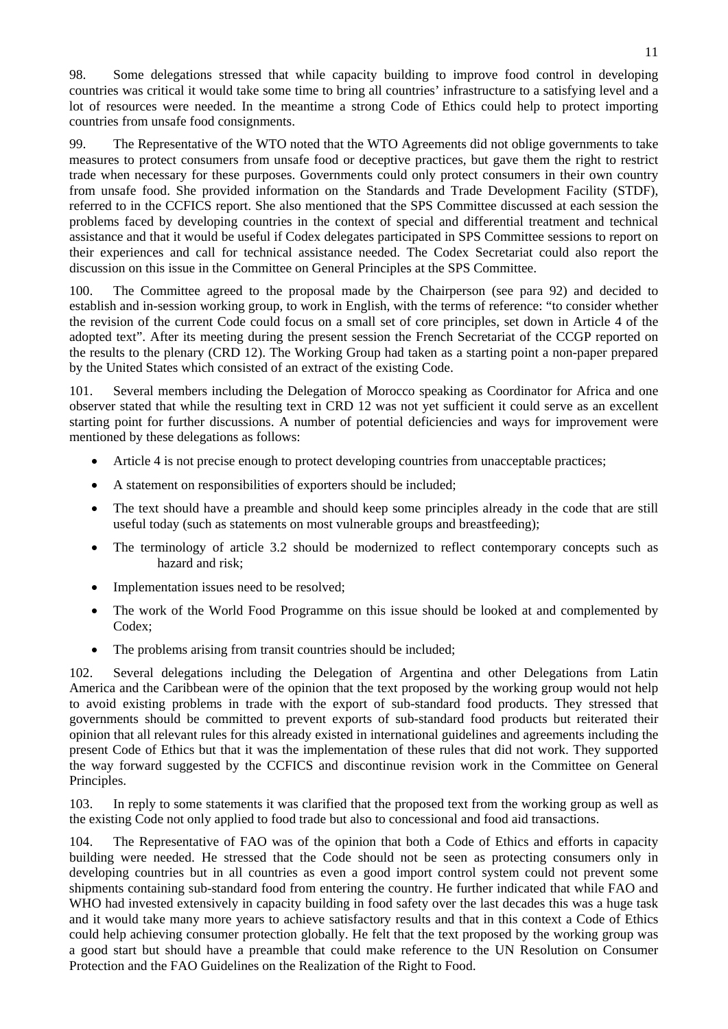98. Some delegations stressed that while capacity building to improve food control in developing countries was critical it would take some time to bring all countries' infrastructure to a satisfying level and a lot of resources were needed. In the meantime a strong Code of Ethics could help to protect importing countries from unsafe food consignments.

99. The Representative of the WTO noted that the WTO Agreements did not oblige governments to take measures to protect consumers from unsafe food or deceptive practices, but gave them the right to restrict trade when necessary for these purposes. Governments could only protect consumers in their own country from unsafe food. She provided information on the Standards and Trade Development Facility (STDF), referred to in the CCFICS report. She also mentioned that the SPS Committee discussed at each session the problems faced by developing countries in the context of special and differential treatment and technical assistance and that it would be useful if Codex delegates participated in SPS Committee sessions to report on their experiences and call for technical assistance needed. The Codex Secretariat could also report the discussion on this issue in the Committee on General Principles at the SPS Committee.

100. The Committee agreed to the proposal made by the Chairperson (see para 92) and decided to establish and in-session working group, to work in English, with the terms of reference: "to consider whether the revision of the current Code could focus on a small set of core principles, set down in Article 4 of the adopted text". After its meeting during the present session the French Secretariat of the CCGP reported on the results to the plenary (CRD 12). The Working Group had taken as a starting point a non-paper prepared by the United States which consisted of an extract of the existing Code.

101. Several members including the Delegation of Morocco speaking as Coordinator for Africa and one observer stated that while the resulting text in CRD 12 was not yet sufficient it could serve as an excellent starting point for further discussions. A number of potential deficiencies and ways for improvement were mentioned by these delegations as follows:

- Article 4 is not precise enough to protect developing countries from unacceptable practices;
- A statement on responsibilities of exporters should be included;
- The text should have a preamble and should keep some principles already in the code that are still useful today (such as statements on most vulnerable groups and breastfeeding);
- The terminology of article 3.2 should be modernized to reflect contemporary concepts such as hazard and risk;
- Implementation issues need to be resolved:
- The work of the World Food Programme on this issue should be looked at and complemented by Codex;
- The problems arising from transit countries should be included;

102. Several delegations including the Delegation of Argentina and other Delegations from Latin America and the Caribbean were of the opinion that the text proposed by the working group would not help to avoid existing problems in trade with the export of sub-standard food products. They stressed that governments should be committed to prevent exports of sub-standard food products but reiterated their opinion that all relevant rules for this already existed in international guidelines and agreements including the present Code of Ethics but that it was the implementation of these rules that did not work. They supported the way forward suggested by the CCFICS and discontinue revision work in the Committee on General Principles.

103. In reply to some statements it was clarified that the proposed text from the working group as well as the existing Code not only applied to food trade but also to concessional and food aid transactions.

104. The Representative of FAO was of the opinion that both a Code of Ethics and efforts in capacity building were needed. He stressed that the Code should not be seen as protecting consumers only in developing countries but in all countries as even a good import control system could not prevent some shipments containing sub-standard food from entering the country. He further indicated that while FAO and WHO had invested extensively in capacity building in food safety over the last decades this was a huge task and it would take many more years to achieve satisfactory results and that in this context a Code of Ethics could help achieving consumer protection globally. He felt that the text proposed by the working group was a good start but should have a preamble that could make reference to the UN Resolution on Consumer Protection and the FAO Guidelines on the Realization of the Right to Food.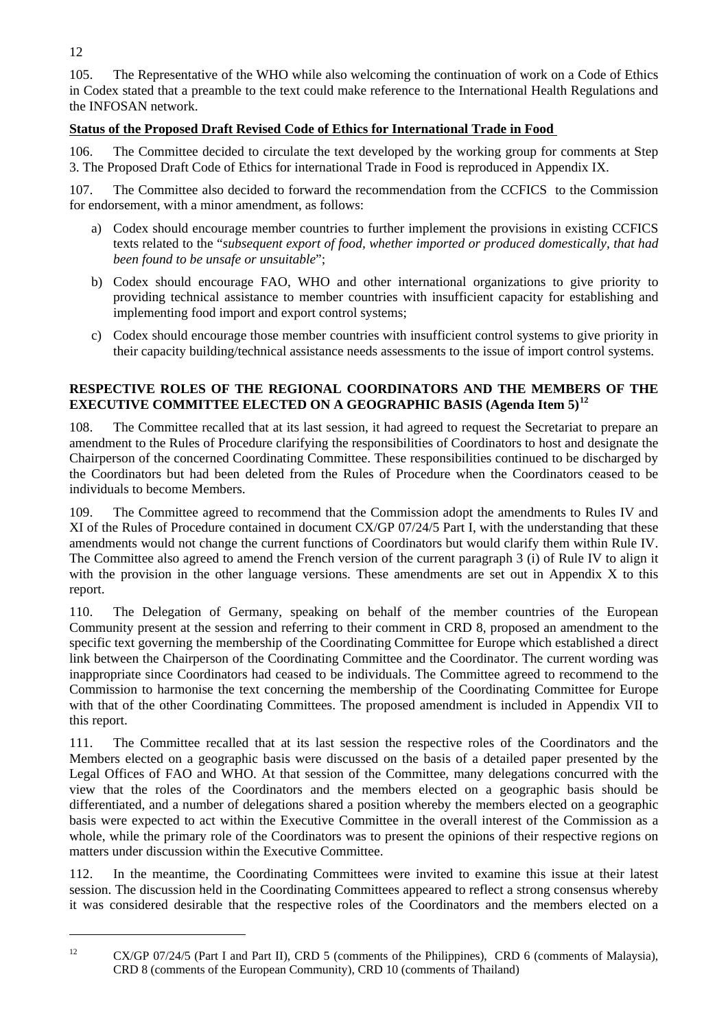12

 $\overline{a}$ 

105. The Representative of the WHO while also welcoming the continuation of work on a Code of Ethics in Codex stated that a preamble to the text could make reference to the International Health Regulations and the INFOSAN network.

## **Status of the Proposed Draft Revised Code of Ethics for International Trade in Food**

106. The Committee decided to circulate the text developed by the working group for comments at Step 3. The Proposed Draft Code of Ethics for international Trade in Food is reproduced in Appendix IX.

107. The Committee also decided to forward the recommendation from the CCFICS to the Commission for endorsement, with a minor amendment, as follows:

- a) Codex should encourage member countries to further implement the provisions in existing CCFICS texts related to the "*subsequent export of food, whether imported or produced domestically, that had been found to be unsafe or unsuitable*";
- b) Codex should encourage FAO, WHO and other international organizations to give priority to providing technical assistance to member countries with insufficient capacity for establishing and implementing food import and export control systems;
- c) Codex should encourage those member countries with insufficient control systems to give priority in their capacity building/technical assistance needs assessments to the issue of import control systems.

## **RESPECTIVE ROLES OF THE REGIONAL COORDINATORS AND THE MEMBERS OF THE EXECUTIVE COMMITTEE ELECTED ON A GEOGRAPHIC BASIS (Agenda Item 5)[12](#page-17-0)**

108. The Committee recalled that at its last session, it had agreed to request the Secretariat to prepare an amendment to the Rules of Procedure clarifying the responsibilities of Coordinators to host and designate the Chairperson of the concerned Coordinating Committee. These responsibilities continued to be discharged by the Coordinators but had been deleted from the Rules of Procedure when the Coordinators ceased to be individuals to become Members.

109. The Committee agreed to recommend that the Commission adopt the amendments to Rules IV and XI of the Rules of Procedure contained in document CX/GP 07/24/5 Part I, with the understanding that these amendments would not change the current functions of Coordinators but would clarify them within Rule IV. The Committee also agreed to amend the French version of the current paragraph 3 (i) of Rule IV to align it with the provision in the other language versions. These amendments are set out in Appendix X to this report.

110. The Delegation of Germany, speaking on behalf of the member countries of the European Community present at the session and referring to their comment in CRD 8, proposed an amendment to the specific text governing the membership of the Coordinating Committee for Europe which established a direct link between the Chairperson of the Coordinating Committee and the Coordinator. The current wording was inappropriate since Coordinators had ceased to be individuals. The Committee agreed to recommend to the Commission to harmonise the text concerning the membership of the Coordinating Committee for Europe with that of the other Coordinating Committees. The proposed amendment is included in Appendix VII to this report.

111. The Committee recalled that at its last session the respective roles of the Coordinators and the Members elected on a geographic basis were discussed on the basis of a detailed paper presented by the Legal Offices of FAO and WHO. At that session of the Committee, many delegations concurred with the view that the roles of the Coordinators and the members elected on a geographic basis should be differentiated, and a number of delegations shared a position whereby the members elected on a geographic basis were expected to act within the Executive Committee in the overall interest of the Commission as a whole, while the primary role of the Coordinators was to present the opinions of their respective regions on matters under discussion within the Executive Committee.

112. In the meantime, the Coordinating Committees were invited to examine this issue at their latest session. The discussion held in the Coordinating Committees appeared to reflect a strong consensus whereby it was considered desirable that the respective roles of the Coordinators and the members elected on a

<span id="page-17-0"></span><sup>&</sup>lt;sup>12</sup> CX/GP 07/24/5 (Part I and Part II), CRD 5 (comments of the Philippines), CRD 6 (comments of Malaysia), CRD 8 (comments of the European Community), CRD 10 (comments of Thailand)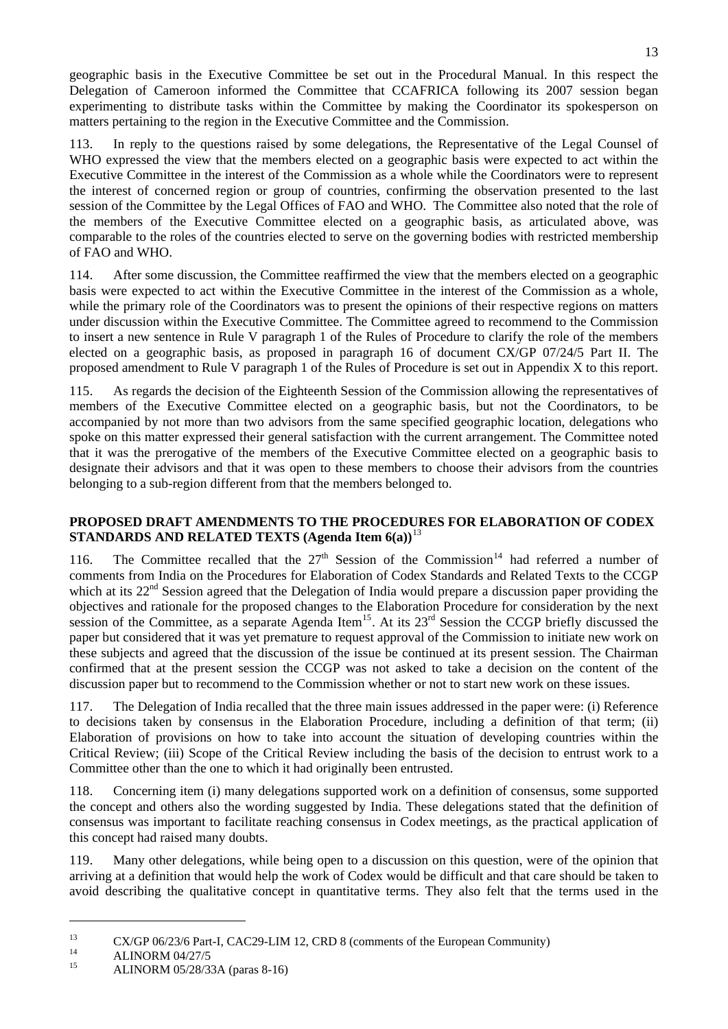geographic basis in the Executive Committee be set out in the Procedural Manual. In this respect the Delegation of Cameroon informed the Committee that CCAFRICA following its 2007 session began experimenting to distribute tasks within the Committee by making the Coordinator its spokesperson on matters pertaining to the region in the Executive Committee and the Commission.

113. In reply to the questions raised by some delegations, the Representative of the Legal Counsel of WHO expressed the view that the members elected on a geographic basis were expected to act within the Executive Committee in the interest of the Commission as a whole while the Coordinators were to represent the interest of concerned region or group of countries, confirming the observation presented to the last session of the Committee by the Legal Offices of FAO and WHO. The Committee also noted that the role of the members of the Executive Committee elected on a geographic basis, as articulated above, was comparable to the roles of the countries elected to serve on the governing bodies with restricted membership of FAO and WHO.

114. After some discussion, the Committee reaffirmed the view that the members elected on a geographic basis were expected to act within the Executive Committee in the interest of the Commission as a whole, while the primary role of the Coordinators was to present the opinions of their respective regions on matters under discussion within the Executive Committee. The Committee agreed to recommend to the Commission to insert a new sentence in Rule V paragraph 1 of the Rules of Procedure to clarify the role of the members elected on a geographic basis, as proposed in paragraph 16 of document CX/GP 07/24/5 Part II. The proposed amendment to Rule V paragraph 1 of the Rules of Procedure is set out in Appendix X to this report.

115. As regards the decision of the Eighteenth Session of the Commission allowing the representatives of members of the Executive Committee elected on a geographic basis, but not the Coordinators, to be accompanied by not more than two advisors from the same specified geographic location, delegations who spoke on this matter expressed their general satisfaction with the current arrangement. The Committee noted that it was the prerogative of the members of the Executive Committee elected on a geographic basis to designate their advisors and that it was open to these members to choose their advisors from the countries belonging to a sub-region different from that the members belonged to.

## **PROPOSED DRAFT AMENDMENTS TO THE PROCEDURES FOR ELABORATION OF CODEX STANDARDS AND RELATED TEXTS (Agenda Item 6(a))**[13](#page-18-0)

116. The Committee recalled that the  $27<sup>th</sup>$  Session of the Commission<sup>[14](#page-18-1)</sup> had referred a number of comments from India on the Procedures for Elaboration of Codex Standards and Related Texts to the CCGP which at its  $22<sup>nd</sup>$  Session agreed that the Delegation of India would prepare a discussion paper providing the objectives and rationale for the proposed changes to the Elaboration Procedure for consideration by the next session of the Committee, as a separate Agenda Item<sup>[15](#page-18-2)</sup>. At its  $23<sup>rd</sup>$  Session the CCGP briefly discussed the paper but considered that it was yet premature to request approval of the Commission to initiate new work on these subjects and agreed that the discussion of the issue be continued at its present session. The Chairman confirmed that at the present session the CCGP was not asked to take a decision on the content of the discussion paper but to recommend to the Commission whether or not to start new work on these issues.

117. The Delegation of India recalled that the three main issues addressed in the paper were: (i) Reference to decisions taken by consensus in the Elaboration Procedure, including a definition of that term; (ii) Elaboration of provisions on how to take into account the situation of developing countries within the Critical Review; (iii) Scope of the Critical Review including the basis of the decision to entrust work to a Committee other than the one to which it had originally been entrusted.

118. Concerning item (i) many delegations supported work on a definition of consensus, some supported the concept and others also the wording suggested by India. These delegations stated that the definition of consensus was important to facilitate reaching consensus in Codex meetings, as the practical application of this concept had raised many doubts.

119. Many other delegations, while being open to a discussion on this question, were of the opinion that arriving at a definition that would help the work of Codex would be difficult and that care should be taken to avoid describing the qualitative concept in quantitative terms. They also felt that the terms used in the

l

<span id="page-18-0"></span><sup>&</sup>lt;sup>13</sup> CX/GP 06/23/6 Part-I, CAC29-LIM 12, CRD 8 (comments of the European Community)

<span id="page-18-1"></span><sup>&</sup>lt;sup>14</sup> ALINORM 04/27/5

<span id="page-18-2"></span><sup>15</sup> ALINORM 05/28/33A (paras 8-16)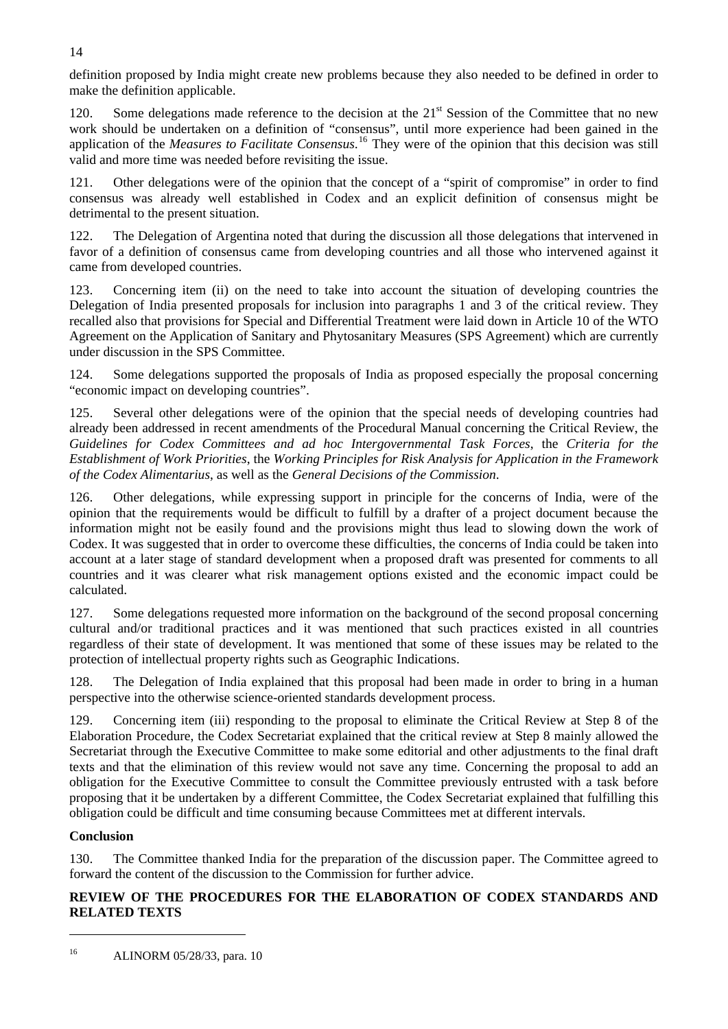definition proposed by India might create new problems because they also needed to be defined in order to make the definition applicable.

120. Some delegations made reference to the decision at the 21<sup>st</sup> Session of the Committee that no new work should be undertaken on a definition of "consensus", until more experience had been gained in the application of the *Measures to Facilitate Consensus*. [16](#page-19-0) They were of the opinion that this decision was still valid and more time was needed before revisiting the issue.

121. Other delegations were of the opinion that the concept of a "spirit of compromise" in order to find consensus was already well established in Codex and an explicit definition of consensus might be detrimental to the present situation.

122. The Delegation of Argentina noted that during the discussion all those delegations that intervened in favor of a definition of consensus came from developing countries and all those who intervened against it came from developed countries.

123. Concerning item (ii) on the need to take into account the situation of developing countries the Delegation of India presented proposals for inclusion into paragraphs 1 and 3 of the critical review. They recalled also that provisions for Special and Differential Treatment were laid down in Article 10 of the WTO Agreement on the Application of Sanitary and Phytosanitary Measures (SPS Agreement) which are currently under discussion in the SPS Committee.

124. Some delegations supported the proposals of India as proposed especially the proposal concerning "economic impact on developing countries".

125. Several other delegations were of the opinion that the special needs of developing countries had already been addressed in recent amendments of the Procedural Manual concerning the Critical Review, the *Guidelines for Codex Committees and ad hoc Intergovernmental Task Forces*, the *Criteria for the Establishment of Work Priorities*, the *Working Principles for Risk Analysis for Application in the Framework of the Codex Alimentarius*, as well as the *General Decisions of the Commission*.

126. Other delegations, while expressing support in principle for the concerns of India, were of the opinion that the requirements would be difficult to fulfill by a drafter of a project document because the information might not be easily found and the provisions might thus lead to slowing down the work of Codex. It was suggested that in order to overcome these difficulties, the concerns of India could be taken into account at a later stage of standard development when a proposed draft was presented for comments to all countries and it was clearer what risk management options existed and the economic impact could be calculated.

127. Some delegations requested more information on the background of the second proposal concerning cultural and/or traditional practices and it was mentioned that such practices existed in all countries regardless of their state of development. It was mentioned that some of these issues may be related to the protection of intellectual property rights such as Geographic Indications.

128. The Delegation of India explained that this proposal had been made in order to bring in a human perspective into the otherwise science-oriented standards development process.

129. Concerning item (iii) responding to the proposal to eliminate the Critical Review at Step 8 of the Elaboration Procedure, the Codex Secretariat explained that the critical review at Step 8 mainly allowed the Secretariat through the Executive Committee to make some editorial and other adjustments to the final draft texts and that the elimination of this review would not save any time. Concerning the proposal to add an obligation for the Executive Committee to consult the Committee previously entrusted with a task before proposing that it be undertaken by a different Committee, the Codex Secretariat explained that fulfilling this obligation could be difficult and time consuming because Committees met at different intervals.

## **Conclusion**

 $\overline{a}$ 

130. The Committee thanked India for the preparation of the discussion paper. The Committee agreed to forward the content of the discussion to the Commission for further advice.

## **REVIEW OF THE PROCEDURES FOR THE ELABORATION OF CODEX STANDARDS AND RELATED TEXTS**

14

<span id="page-19-0"></span><sup>16</sup> ALINORM 05/28/33, para. 10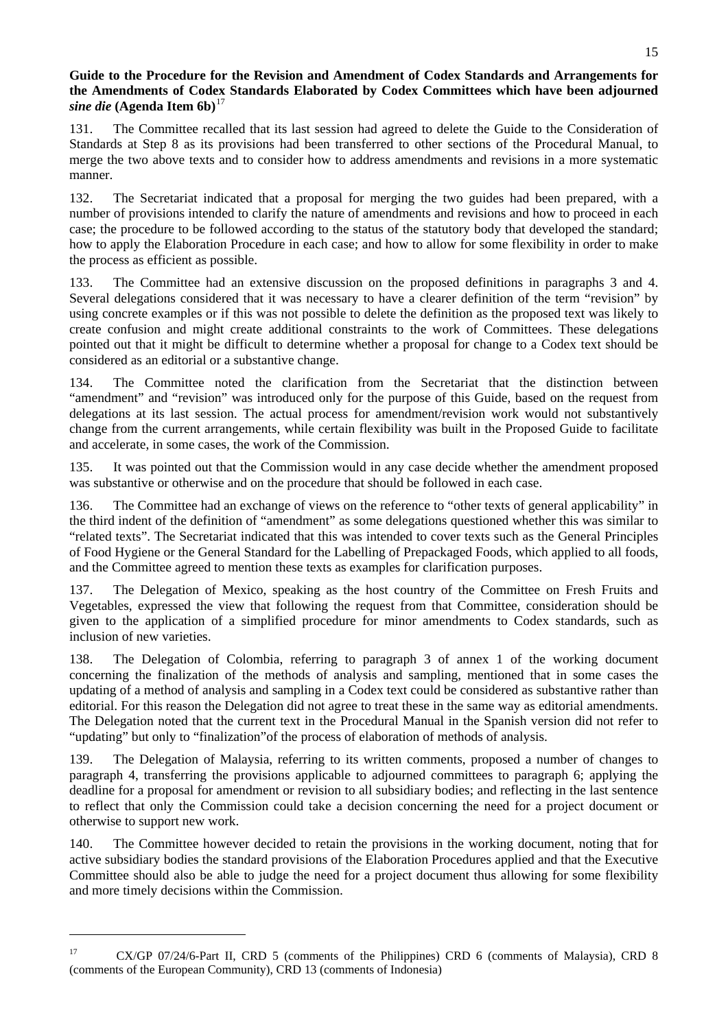## **Guide to the Procedure for the Revision and Amendment of Codex Standards and Arrangements for the Amendments of Codex Standards Elaborated by Codex Committees which have been adjourned**  *sine die* **(Agenda Item 6b)**[17](#page-20-0)

131. The Committee recalled that its last session had agreed to delete the Guide to the Consideration of Standards at Step 8 as its provisions had been transferred to other sections of the Procedural Manual, to merge the two above texts and to consider how to address amendments and revisions in a more systematic manner.

132. The Secretariat indicated that a proposal for merging the two guides had been prepared, with a number of provisions intended to clarify the nature of amendments and revisions and how to proceed in each case; the procedure to be followed according to the status of the statutory body that developed the standard; how to apply the Elaboration Procedure in each case; and how to allow for some flexibility in order to make the process as efficient as possible.

133. The Committee had an extensive discussion on the proposed definitions in paragraphs 3 and 4. Several delegations considered that it was necessary to have a clearer definition of the term "revision" by using concrete examples or if this was not possible to delete the definition as the proposed text was likely to create confusion and might create additional constraints to the work of Committees. These delegations pointed out that it might be difficult to determine whether a proposal for change to a Codex text should be considered as an editorial or a substantive change.

134. The Committee noted the clarification from the Secretariat that the distinction between "amendment" and "revision" was introduced only for the purpose of this Guide, based on the request from delegations at its last session. The actual process for amendment/revision work would not substantively change from the current arrangements, while certain flexibility was built in the Proposed Guide to facilitate and accelerate, in some cases, the work of the Commission.

135. It was pointed out that the Commission would in any case decide whether the amendment proposed was substantive or otherwise and on the procedure that should be followed in each case.

136. The Committee had an exchange of views on the reference to "other texts of general applicability" in the third indent of the definition of "amendment" as some delegations questioned whether this was similar to "related texts". The Secretariat indicated that this was intended to cover texts such as the General Principles of Food Hygiene or the General Standard for the Labelling of Prepackaged Foods, which applied to all foods, and the Committee agreed to mention these texts as examples for clarification purposes.

137. The Delegation of Mexico, speaking as the host country of the Committee on Fresh Fruits and Vegetables, expressed the view that following the request from that Committee, consideration should be given to the application of a simplified procedure for minor amendments to Codex standards, such as inclusion of new varieties.

138. The Delegation of Colombia, referring to paragraph 3 of annex 1 of the working document concerning the finalization of the methods of analysis and sampling, mentioned that in some cases the updating of a method of analysis and sampling in a Codex text could be considered as substantive rather than editorial. For this reason the Delegation did not agree to treat these in the same way as editorial amendments. The Delegation noted that the current text in the Procedural Manual in the Spanish version did not refer to "updating" but only to "finalization"of the process of elaboration of methods of analysis.

139. The Delegation of Malaysia, referring to its written comments, proposed a number of changes to paragraph 4, transferring the provisions applicable to adjourned committees to paragraph 6; applying the deadline for a proposal for amendment or revision to all subsidiary bodies; and reflecting in the last sentence to reflect that only the Commission could take a decision concerning the need for a project document or otherwise to support new work.

140. The Committee however decided to retain the provisions in the working document, noting that for active subsidiary bodies the standard provisions of the Elaboration Procedures applied and that the Executive Committee should also be able to judge the need for a project document thus allowing for some flexibility and more timely decisions within the Commission.

 $\overline{a}$ 

<span id="page-20-0"></span><sup>17</sup> CX/GP 07/24/6-Part II, CRD 5 (comments of the Philippines) CRD 6 (comments of Malaysia), CRD 8 (comments of the European Community), CRD 13 (comments of Indonesia)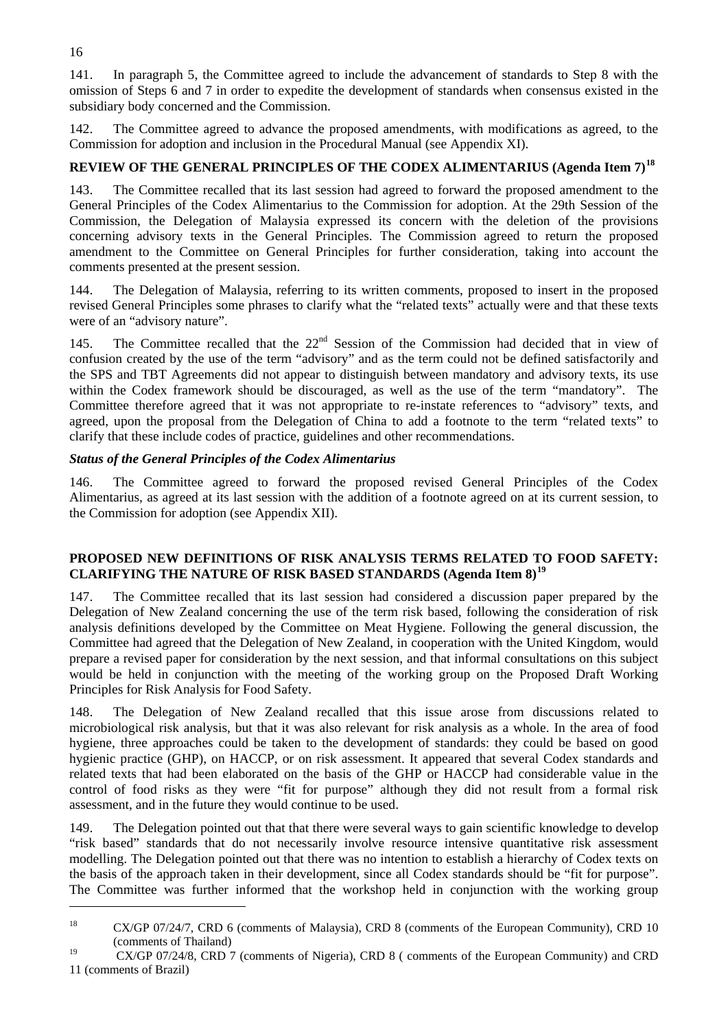141. In paragraph 5, the Committee agreed to include the advancement of standards to Step 8 with the omission of Steps 6 and 7 in order to expedite the development of standards when consensus existed in the subsidiary body concerned and the Commission.

142. The Committee agreed to advance the proposed amendments, with modifications as agreed, to the Commission for adoption and inclusion in the Procedural Manual (see Appendix XI).

## **REVIEW OF THE GENERAL PRINCIPLES OF THE CODEX ALIMENTARIUS (Agenda Item 7)[18](#page-21-0)**

143. The Committee recalled that its last session had agreed to forward the proposed amendment to the General Principles of the Codex Alimentarius to the Commission for adoption. At the 29th Session of the Commission, the Delegation of Malaysia expressed its concern with the deletion of the provisions concerning advisory texts in the General Principles. The Commission agreed to return the proposed amendment to the Committee on General Principles for further consideration, taking into account the comments presented at the present session.

144. The Delegation of Malaysia, referring to its written comments, proposed to insert in the proposed revised General Principles some phrases to clarify what the "related texts" actually were and that these texts were of an "advisory nature".

145. The Committee recalled that the  $22<sup>nd</sup>$  Session of the Commission had decided that in view of confusion created by the use of the term "advisory" and as the term could not be defined satisfactorily and the SPS and TBT Agreements did not appear to distinguish between mandatory and advisory texts, its use within the Codex framework should be discouraged, as well as the use of the term "mandatory". The Committee therefore agreed that it was not appropriate to re-instate references to "advisory" texts, and agreed, upon the proposal from the Delegation of China to add a footnote to the term "related texts" to clarify that these include codes of practice, guidelines and other recommendations.

## *Status of the General Principles of the Codex Alimentarius*

146. The Committee agreed to forward the proposed revised General Principles of the Codex Alimentarius, as agreed at its last session with the addition of a footnote agreed on at its current session, to the Commission for adoption (see Appendix XII).

## **PROPOSED NEW DEFINITIONS OF RISK ANALYSIS TERMS RELATED TO FOOD SAFETY: CLARIFYING THE NATURE OF RISK BASED STANDARDS (Agenda Item 8)[19](#page-21-1)**

147. The Committee recalled that its last session had considered a discussion paper prepared by the Delegation of New Zealand concerning the use of the term risk based, following the consideration of risk analysis definitions developed by the Committee on Meat Hygiene. Following the general discussion, the Committee had agreed that the Delegation of New Zealand, in cooperation with the United Kingdom, would prepare a revised paper for consideration by the next session, and that informal consultations on this subject would be held in conjunction with the meeting of the working group on the Proposed Draft Working Principles for Risk Analysis for Food Safety.

148. The Delegation of New Zealand recalled that this issue arose from discussions related to microbiological risk analysis, but that it was also relevant for risk analysis as a whole. In the area of food hygiene, three approaches could be taken to the development of standards: they could be based on good hygienic practice (GHP), on HACCP, or on risk assessment. It appeared that several Codex standards and related texts that had been elaborated on the basis of the GHP or HACCP had considerable value in the control of food risks as they were "fit for purpose" although they did not result from a formal risk assessment, and in the future they would continue to be used.

149. The Delegation pointed out that that there were several ways to gain scientific knowledge to develop "risk based" standards that do not necessarily involve resource intensive quantitative risk assessment modelling. The Delegation pointed out that there was no intention to establish a hierarchy of Codex texts on the basis of the approach taken in their development, since all Codex standards should be "fit for purpose". The Committee was further informed that the workshop held in conjunction with the working group

16

l

<span id="page-21-0"></span><sup>&</sup>lt;sup>18</sup> CX/GP 07/24/7, CRD 6 (comments of Malaysia), CRD 8 (comments of the European Community), CRD 10 (comments of Thailand)

<span id="page-21-1"></span><sup>&</sup>lt;sup>19</sup> CX/GP 07/24/8, CRD 7 (comments of Nigeria), CRD 8 (comments of the European Community) and CRD 11 (comments of Brazil)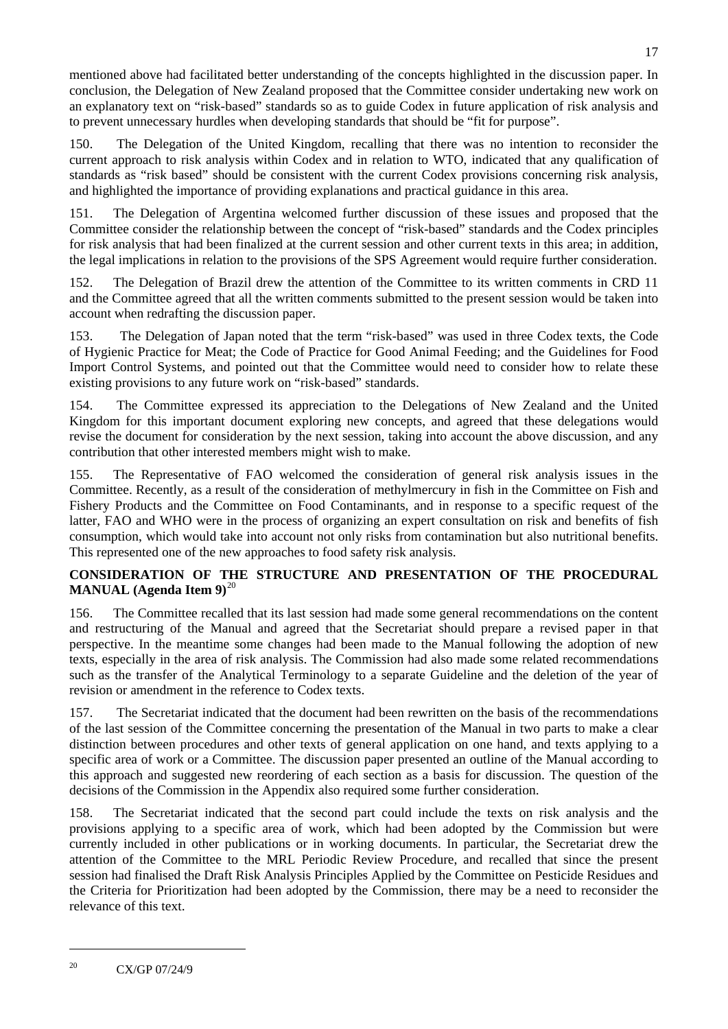mentioned above had facilitated better understanding of the concepts highlighted in the discussion paper. In conclusion, the Delegation of New Zealand proposed that the Committee consider undertaking new work on an explanatory text on "risk-based" standards so as to guide Codex in future application of risk analysis and to prevent unnecessary hurdles when developing standards that should be "fit for purpose".

150. The Delegation of the United Kingdom, recalling that there was no intention to reconsider the current approach to risk analysis within Codex and in relation to WTO, indicated that any qualification of standards as "risk based" should be consistent with the current Codex provisions concerning risk analysis, and highlighted the importance of providing explanations and practical guidance in this area.

151. The Delegation of Argentina welcomed further discussion of these issues and proposed that the Committee consider the relationship between the concept of "risk-based" standards and the Codex principles for risk analysis that had been finalized at the current session and other current texts in this area; in addition, the legal implications in relation to the provisions of the SPS Agreement would require further consideration.

152. The Delegation of Brazil drew the attention of the Committee to its written comments in CRD 11 and the Committee agreed that all the written comments submitted to the present session would be taken into account when redrafting the discussion paper.

153. The Delegation of Japan noted that the term "risk-based" was used in three Codex texts, the Code of Hygienic Practice for Meat; the Code of Practice for Good Animal Feeding; and the Guidelines for Food Import Control Systems, and pointed out that the Committee would need to consider how to relate these existing provisions to any future work on "risk-based" standards.

154. The Committee expressed its appreciation to the Delegations of New Zealand and the United Kingdom for this important document exploring new concepts, and agreed that these delegations would revise the document for consideration by the next session, taking into account the above discussion, and any contribution that other interested members might wish to make.

155. The Representative of FAO welcomed the consideration of general risk analysis issues in the Committee. Recently, as a result of the consideration of methylmercury in fish in the Committee on Fish and Fishery Products and the Committee on Food Contaminants, and in response to a specific request of the latter, FAO and WHO were in the process of organizing an expert consultation on risk and benefits of fish consumption, which would take into account not only risks from contamination but also nutritional benefits. This represented one of the new approaches to food safety risk analysis.

## **CONSIDERATION OF THE STRUCTURE AND PRESENTATION OF THE PROCEDURAL MANUAL (Agenda Item 9)**<sup>[20](#page-22-0)</sup>

156. The Committee recalled that its last session had made some general recommendations on the content and restructuring of the Manual and agreed that the Secretariat should prepare a revised paper in that perspective. In the meantime some changes had been made to the Manual following the adoption of new texts, especially in the area of risk analysis. The Commission had also made some related recommendations such as the transfer of the Analytical Terminology to a separate Guideline and the deletion of the year of revision or amendment in the reference to Codex texts.

157. The Secretariat indicated that the document had been rewritten on the basis of the recommendations of the last session of the Committee concerning the presentation of the Manual in two parts to make a clear distinction between procedures and other texts of general application on one hand, and texts applying to a specific area of work or a Committee. The discussion paper presented an outline of the Manual according to this approach and suggested new reordering of each section as a basis for discussion. The question of the decisions of the Commission in the Appendix also required some further consideration.

158. The Secretariat indicated that the second part could include the texts on risk analysis and the provisions applying to a specific area of work, which had been adopted by the Commission but were currently included in other publications or in working documents. In particular, the Secretariat drew the attention of the Committee to the MRL Periodic Review Procedure, and recalled that since the present session had finalised the Draft Risk Analysis Principles Applied by the Committee on Pesticide Residues and the Criteria for Prioritization had been adopted by the Commission, there may be a need to reconsider the relevance of this text.

l

<span id="page-22-0"></span><sup>20</sup> CX/GP 07/24/9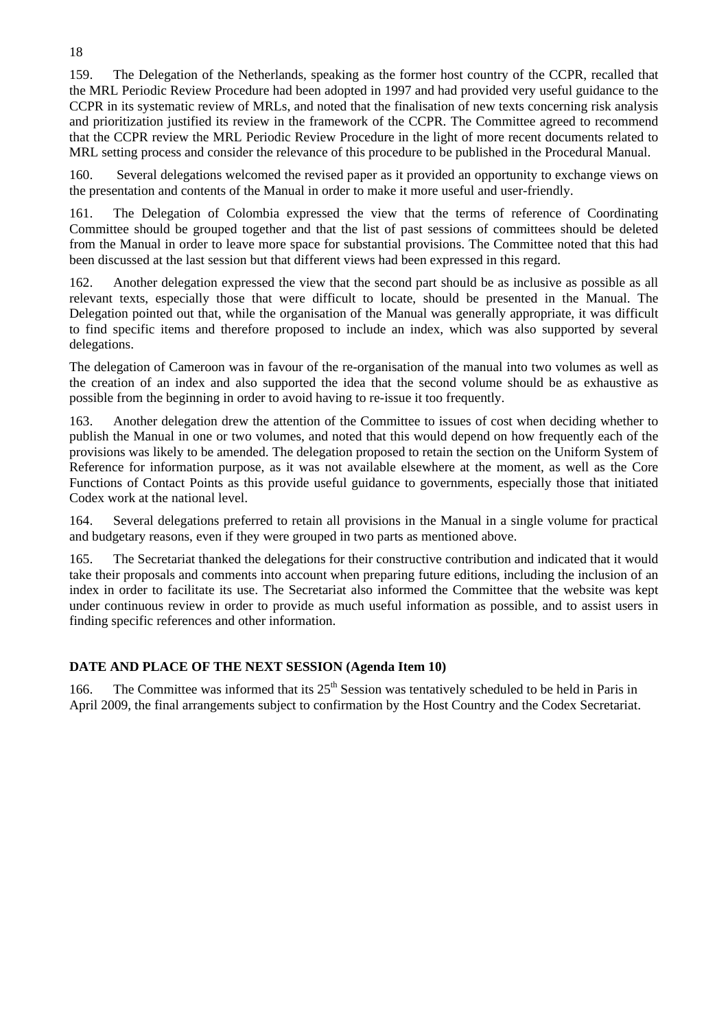159. The Delegation of the Netherlands, speaking as the former host country of the CCPR, recalled that the MRL Periodic Review Procedure had been adopted in 1997 and had provided very useful guidance to the CCPR in its systematic review of MRLs, and noted that the finalisation of new texts concerning risk analysis and prioritization justified its review in the framework of the CCPR. The Committee agreed to recommend that the CCPR review the MRL Periodic Review Procedure in the light of more recent documents related to MRL setting process and consider the relevance of this procedure to be published in the Procedural Manual.

160. Several delegations welcomed the revised paper as it provided an opportunity to exchange views on the presentation and contents of the Manual in order to make it more useful and user-friendly.

161. The Delegation of Colombia expressed the view that the terms of reference of Coordinating Committee should be grouped together and that the list of past sessions of committees should be deleted from the Manual in order to leave more space for substantial provisions. The Committee noted that this had been discussed at the last session but that different views had been expressed in this regard.

162. Another delegation expressed the view that the second part should be as inclusive as possible as all relevant texts, especially those that were difficult to locate, should be presented in the Manual. The Delegation pointed out that, while the organisation of the Manual was generally appropriate, it was difficult to find specific items and therefore proposed to include an index, which was also supported by several delegations.

The delegation of Cameroon was in favour of the re-organisation of the manual into two volumes as well as the creation of an index and also supported the idea that the second volume should be as exhaustive as possible from the beginning in order to avoid having to re-issue it too frequently.

163. Another delegation drew the attention of the Committee to issues of cost when deciding whether to publish the Manual in one or two volumes, and noted that this would depend on how frequently each of the provisions was likely to be amended. The delegation proposed to retain the section on the Uniform System of Reference for information purpose, as it was not available elsewhere at the moment, as well as the Core Functions of Contact Points as this provide useful guidance to governments, especially those that initiated Codex work at the national level.

164. Several delegations preferred to retain all provisions in the Manual in a single volume for practical and budgetary reasons, even if they were grouped in two parts as mentioned above.

165. The Secretariat thanked the delegations for their constructive contribution and indicated that it would take their proposals and comments into account when preparing future editions, including the inclusion of an index in order to facilitate its use. The Secretariat also informed the Committee that the website was kept under continuous review in order to provide as much useful information as possible, and to assist users in finding specific references and other information.

## **DATE AND PLACE OF THE NEXT SESSION (Agenda Item 10)**

166. The Committee was informed that its  $25<sup>th</sup>$  Session was tentatively scheduled to be held in Paris in April 2009, the final arrangements subject to confirmation by the Host Country and the Codex Secretariat.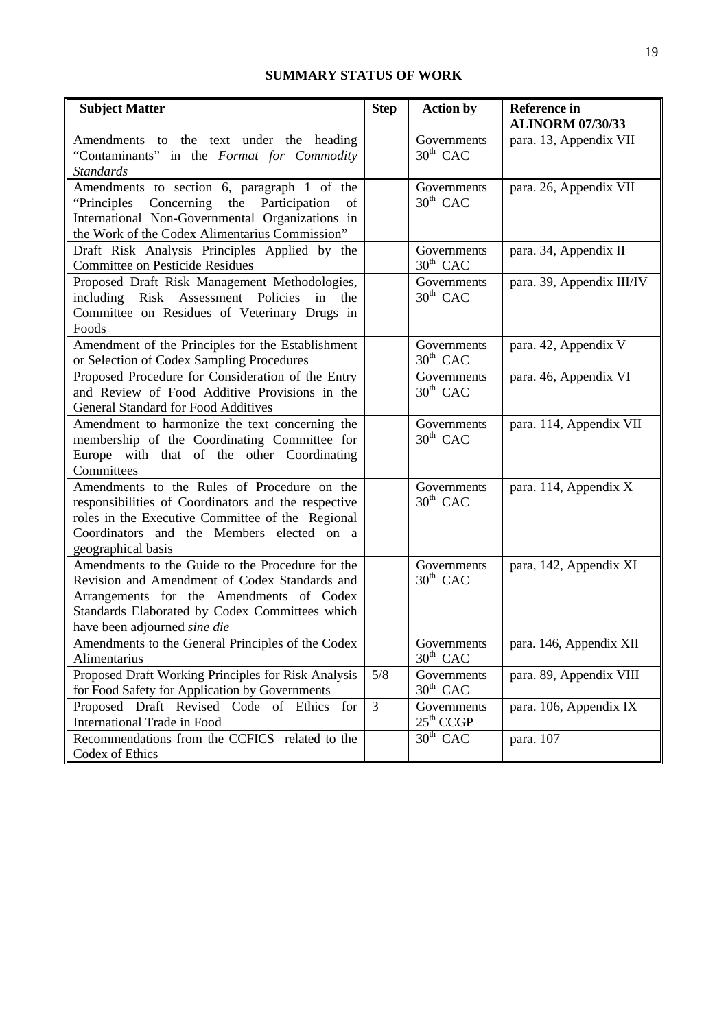## **SUMMARY STATUS OF WORK**

| <b>Subject Matter</b>                                                                                                                                                                                                           | <b>Step</b> | <b>Action by</b>                     | <b>Reference</b> in<br><b>ALINORM 07/30/33</b> |
|---------------------------------------------------------------------------------------------------------------------------------------------------------------------------------------------------------------------------------|-------------|--------------------------------------|------------------------------------------------|
| Amendments to the text under the heading<br>"Contaminants" in the Format for Commodity<br><b>Standards</b>                                                                                                                      |             | Governments<br>$30th$ CAC            | para. 13, Appendix VII                         |
| Amendments to section 6, paragraph 1 of the<br>"Principles"<br>Concerning<br>the Participation<br>of<br>International Non-Governmental Organizations in<br>the Work of the Codex Alimentarius Commission"                       |             | Governments<br>$30th$ CAC            | para. 26, Appendix VII                         |
| Draft Risk Analysis Principles Applied by the<br><b>Committee on Pesticide Residues</b>                                                                                                                                         |             | Governments<br>$30th$ CAC            | para. 34, Appendix II                          |
| Proposed Draft Risk Management Methodologies,<br>including Risk Assessment Policies in<br>the<br>Committee on Residues of Veterinary Drugs in<br>Foods                                                                          |             | Governments<br>$30th$ CAC            | para. 39, Appendix III/IV                      |
| Amendment of the Principles for the Establishment<br>or Selection of Codex Sampling Procedures                                                                                                                                  |             | Governments<br>$30th$ CAC            | para. 42, Appendix V                           |
| Proposed Procedure for Consideration of the Entry<br>and Review of Food Additive Provisions in the<br>General Standard for Food Additives                                                                                       |             | Governments<br>$30th$ CAC            | para. 46, Appendix VI                          |
| Amendment to harmonize the text concerning the<br>membership of the Coordinating Committee for<br>Europe with that of the other Coordinating<br>Committees                                                                      |             | Governments<br>$30th$ CAC            | para. 114, Appendix VII                        |
| Amendments to the Rules of Procedure on the<br>responsibilities of Coordinators and the respective<br>roles in the Executive Committee of the Regional<br>Coordinators and the Members elected on a<br>geographical basis       |             | Governments<br>$30th$ CAC            | para. 114, Appendix X                          |
| Amendments to the Guide to the Procedure for the<br>Revision and Amendment of Codex Standards and<br>Arrangements for the Amendments of Codex<br>Standards Elaborated by Codex Committees which<br>have been adjourned sine die |             | Governments<br>$30th$ CAC            | para, 142, Appendix XI                         |
| Amendments to the General Principles of the Codex<br>Alimentarius                                                                                                                                                               |             | $30th$ CAC                           | Governments   para. 146, Appendix XII          |
| Proposed Draft Working Principles for Risk Analysis<br>for Food Safety for Application by Governments                                                                                                                           |             | Governments<br>$30th$ CAC            | para. 89, Appendix VIII                        |
| Proposed Draft Revised Code of Ethics for<br>International Trade in Food                                                                                                                                                        |             | Governments<br>$25^{\text{th}}$ CCGP | para. 106, Appendix IX                         |
| Recommendations from the CCFICS related to the<br>Codex of Ethics                                                                                                                                                               |             | $30th$ CAC                           | para. 107                                      |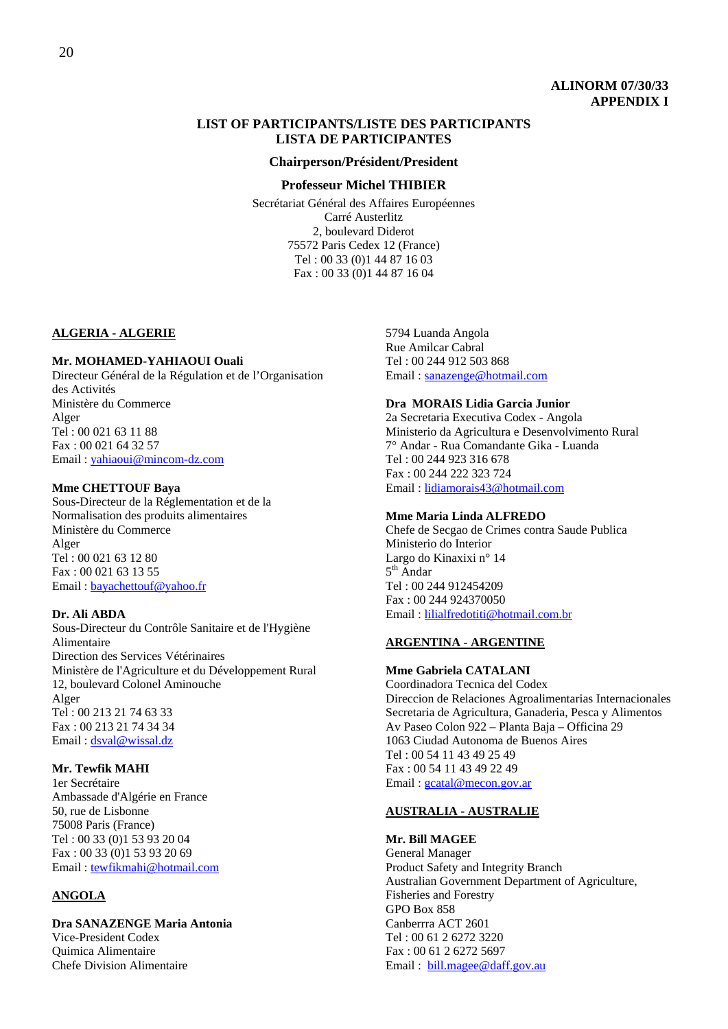## **ALINORM 07/30/33 APPENDIX I**

## **LIST OF PARTICIPANTS/LISTE DES PARTICIPANTS LISTA DE PARTICIPANTES**

#### **Chairperson/Président/President**

## **Professeur Michel THIBIER**

Secrétariat Général des Affaires Européennes Carré Austerlitz 2, boulevard Diderot 75572 Paris Cedex 12 (France) Tel : 00 33 (0)1 44 87 16 03 Fax : 00 33 (0)1 44 87 16 04

#### **ALGERIA - ALGERIE**

#### **Mr. MOHAMED-YAHIAOUI Ouali**

Directeur Général de la Régulation et de l'Organisation des Activités Ministère du Commerce Alger Tel : 00 021 63 11 88 Fax : 00 021 64 32 57 Email : [yahiaoui@mincom-dz.com](mailto:yahiaoui@mincom-dz.com)

## **Mme CHETTOUF Baya**

Sous-Directeur de la Réglementation et de la Normalisation des produits alimentaires Ministère du Commerce Alger Tel : 00 021 63 12 80 Fax : 00 021 63 13 55 Email : [bayachettouf@yahoo.fr](mailto:bayachettouf@yahoo.fr)

## **Dr. Ali ABDA**

Sous-Directeur du Contrôle Sanitaire et de l'Hygiène Alimentaire Direction des Services Vétérinaires Ministère de l'Agriculture et du Développement Rural 12, boulevard Colonel Aminouche Alger Tel : 00 213 21 74 63 33 Fax : 00 213 21 74 34 34 Email: dsval@wissal.dz

## **Mr. Tewfik MAHI**

1er Secrétaire Ambassade d'Algérie en France 50, rue de Lisbonne 75008 Paris (France) Tel : 00 33 (0)1 53 93 20 04 Fax : 00 33 (0)1 53 93 20 69 Email : [tewfikmahi@hotmail.com](mailto:tewfikmahi@hotmail.com)

## **ANGOLA**

## **Dra SANAZENGE Maria Antonia**

Vice-President Codex Quimica Alimentaire Chefe Division Alimentaire

5794 Luanda Angola Rue Amilcar Cabral Tel : 00 244 912 503 868 Email : [sanazenge@hotmail.com](mailto:sanazenge@hotmail.com)

#### **Dra MORAIS Lidia Garcia Junior**

2a Secretaria Executiva Codex - Angola Ministerio da Agricultura e Desenvolvimento Rural 7° Andar - Rua Comandante Gika - Luanda Tel : 00 244 923 316 678 Fax : 00 244 222 323 724 Email : [lidiamorais43@hotmail.com](mailto:lidiamorais43@hotmail.com)

### **Mme Maria Linda ALFREDO**

Chefe de Secgao de Crimes contra Saude Publica Ministerio do Interior Largo do Kinaxixi n° 14 5<sup>th</sup> Andar Tel : 00 244 912454209 Fax : 00 244 924370050 Email : [lilialfredotiti@hotmail.com.br](mailto:lilialfredotiti@hotmail.com.br)

## **ARGENTINA - ARGENTINE**

## **Mme Gabriela CATALANI**

Coordinadora Tecnica del Codex Direccion de Relaciones Agroalimentarias Internacionales Secretaria de Agricultura, Ganaderia, Pesca y Alimentos Av Paseo Colon 922 – Planta Baja – Officina 29 1063 Ciudad Autonoma de Buenos Aires Tel : 00 54 11 43 49 25 49 Fax : 00 54 11 43 49 22 49 Email : [gcatal@mecon.gov.ar](mailto:gcatal@mecon.gov.ar)

#### **AUSTRALIA - AUSTRALIE**

## **Mr. Bill MAGEE**

General Manager Product Safety and Integrity Branch Australian Government Department of Agriculture, Fisheries and Forestry GPO Box 858 Canberrra ACT 2601 Tel : 00 61 2 6272 3220 Fax : 00 61 2 6272 5697 Email : [bill.magee@daff.gov.au](mailto:bill.magee@daff.gov.au)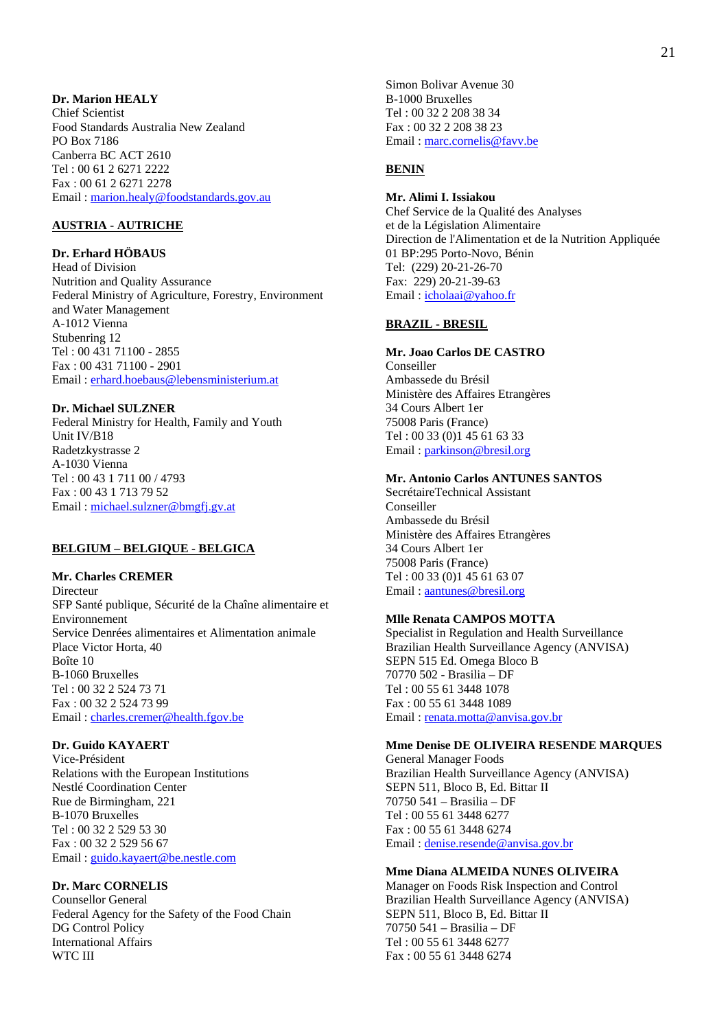## **Dr. Marion HEALY**

Chief Scientist Food Standards Australia New Zealand PO Box 7186 Canberra BC ACT 2610 Tel : 00 61 2 6271 2222 Fax : 00 61 2 6271 2278 Email : [marion.healy@foodstandards.gov.au](mailto:marion.healy@foodstandards.gov.au)

## **AUSTRIA - AUTRICHE**

## **Dr. Erhard HÖBAUS**

Head of Division Nutrition and Quality Assurance Federal Ministry of Agriculture, Forestry, Environment and Water Management A-1012 Vienna Stubenring 12 Tel : 00 431 71100 - 2855 Fax : 00 431 71100 - 2901 Email : [erhard.hoebaus@lebensministerium.at](mailto:erhard.hoebaus@lebensministerium.at)

## **Dr. Michael SULZNER**

Federal Ministry for Health, Family and Youth Unit IV/B18 Radetzkystrasse 2 A-1030 Vienna Tel : 00 43 1 711 00 / 4793 Fax : 00 43 1 713 79 52 Email : [michael.sulzner@bmgfj.gv.at](mailto:michael.sulzner@bmgf.gv.at)

#### **BELGIUM – BELGIQUE - BELGICA**

## **Mr. Charles CREMER**  Directeur SFP Santé publique, Sécurité de la Chaîne alimentaire et Environnement Service Denrées alimentaires et Alimentation animale Place Victor Horta, 40 Boîte 10 B-1060 Bruxelles Tel : 00 32 2 524 73 71 Fax : 00 32 2 524 73 99 Email : [charles.cremer@health.fgov.be](mailto:charles.cremer@health.fgov.be)

## **Dr. Guido KAYAERT**

Vice-Président Relations with the European Institutions Nestlé Coordination Center Rue de Birmingham, 221 B-1070 Bruxelles Tel : 00 32 2 529 53 30 Fax : 00 32 2 529 56 67 Email : [guido.kayaert@be.nestle.com](mailto:guido.kayaert@be01.nestle.com)

## **Dr. Marc CORNELIS**

Counsellor General Federal Agency for the Safety of the Food Chain DG Control Policy International Affairs WTC III

Simon Bolivar Avenue 30 B-1000 Bruxelles Tel : 00 32 2 208 38 34 Fax : 00 32 2 208 38 23 Email : [marc.cornelis@favv.be](mailto:marc.cornelis@favv.be)

## **BENIN**

**Mr. Alimi I. Issiakou**  Chef Service de la Qualité des Analyses et de la Législation Alimentaire Direction de l'Alimentation et de la Nutrition Appliquée 01 BP:295 Porto-Novo, Bénin Tel: (229) 20-21-26-70 Fax: 229) 20-21-39-63 Email : [icholaai@yahoo.fr](mailto:icholaai@yahoo.fr) 

#### **BRAZIL - BRESIL**

#### **Mr. Joao Carlos DE CASTRO**

Conseiller Ambassede du Brésil Ministère des Affaires Etrangères 34 Cours Albert 1er 75008 Paris (France) Tel : 00 33 (0)1 45 61 63 33 Email : [parkinson@bresil.org](mailto:parkinson@bresil.org)

#### **Mr. Antonio Carlos ANTUNES SANTOS**

SecrétaireTechnical Assistant Conseiller Ambassede du Brésil Ministère des Affaires Etrangères 34 Cours Albert 1er 75008 Paris (France) Tel : 00 33 (0)1 45 61 63 07 Email : [aantunes@bresil.org](mailto:aantunes@mre.gov.br)

#### **Mlle Renata CAMPOS MOTTA**

Specialist in Regulation and Health Surveillance Brazilian Health Surveillance Agency (ANVISA) SEPN 515 Ed. Omega Bloco B 70770 502 - Brasilia – DF Tel : 00 55 61 3448 1078 Fax : 00 55 61 3448 1089 Email : [renata.motta@anvisa.gov.br](mailto:renata.motta@anvisa.gov.br)

## **Mme Denise DE OLIVEIRA RESENDE MARQUES**

General Manager Foods Brazilian Health Surveillance Agency (ANVISA) SEPN 511, Bloco B, Ed. Bittar II 70750 541 – Brasilia – DF Tel : 00 55 61 3448 6277 Fax : 00 55 61 3448 6274 Email : [denise.resende@anvisa.gov.br](mailto:denise.resende@anvisa.gov.br)

#### **Mme Diana ALMEIDA NUNES OLIVEIRA**

Manager on Foods Risk Inspection and Control Brazilian Health Surveillance Agency (ANVISA) SEPN 511, Bloco B, Ed. Bittar II 70750 541 – Brasilia – DF Tel : 00 55 61 3448 6277 Fax : 00 55 61 3448 6274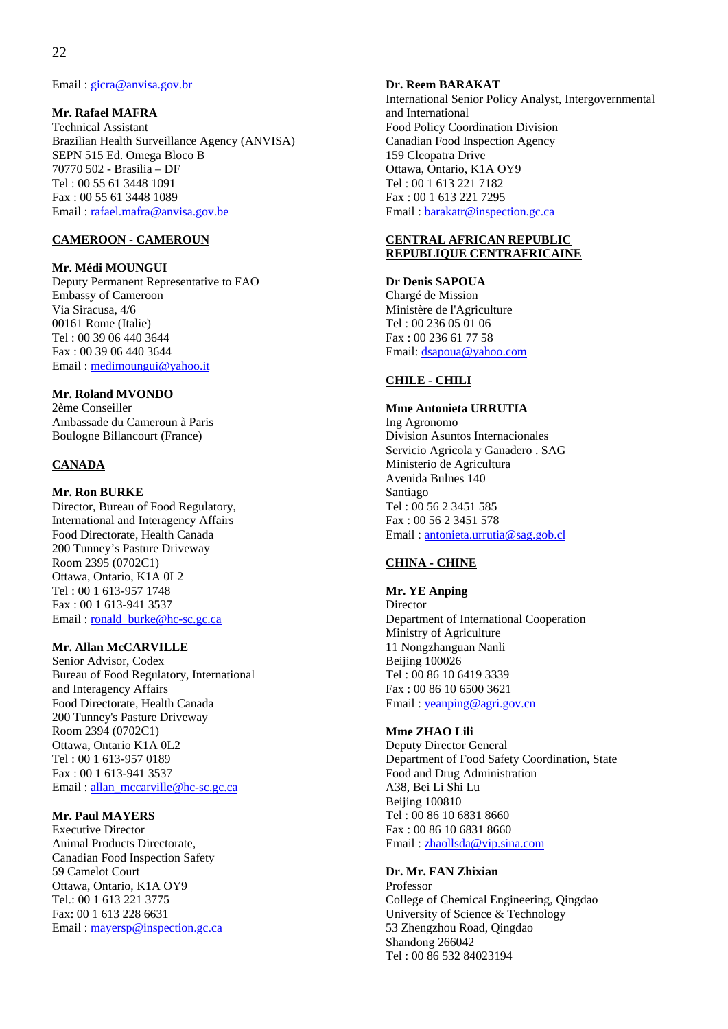Email : [gicra@anvisa.gov.br](mailto:gicra@anvisa.gov.br)

## **Mr. Rafael MAFRA**

Technical Assistant Brazilian Health Surveillance Agency (ANVISA) SEPN 515 Ed. Omega Bloco B 70770 502 - Brasilia – DF Tel : 00 55 61 3448 1091 Fax : 00 55 61 3448 1089 Email : [rafael.mafra@anvisa.gov.be](mailto:rafael.mafra@anvisa.gov.be)

## **CAMEROON - CAMEROUN**

## **Mr. Médi MOUNGUI**

Deputy Permanent Representative to FAO Embassy of Cameroon Via Siracusa, 4/6 00161 Rome (Italie) Tel : 00 39 06 440 3644 Fax : 00 39 06 440 3644 Email : [medimoungui@yahoo.it](mailto:medimoungui@yahoo.it)

## **Mr. Roland MVONDO**

2ème Conseiller Ambassade du Cameroun à Paris Boulogne Billancourt (France)

## **CANADA**

#### **Mr. Ron BURKE**

Director, Bureau of Food Regulatory, International and Interagency Affairs Food Directorate, Health Canada 200 Tunney's Pasture Driveway Room 2395 (0702C1) Ottawa, Ontario, K1A 0L2 Tel : 00 1 613-957 1748 Fax : 00 1 613-941 3537 Email: [ronald\\_burke@hc-sc.gc.ca](mailto:ronald_burke@hc-sc.gc.ca)

## **Mr. Allan McCARVILLE**

Senior Advisor, Codex Bureau of Food Regulatory, International and Interagency Affairs Food Directorate, Health Canada 200 Tunney's Pasture Driveway Room 2394 (0702C1) Ottawa, Ontario K1A 0L2 Tel : 00 1 613-957 0189 Fax : 00 1 613-941 3537 Email : [allan\\_mccarville@hc-sc.gc.ca](mailto:allan_mccarville@hc-sc.gc.ca)

## **Mr. Paul MAYERS**

Executive Director Animal Products Directorate, Canadian Food Inspection Safety 59 Camelot Court Ottawa, Ontario, K1A OY9 Tel.: 00 1 613 221 3775 Fax: 00 1 613 228 6631 Email : [mayersp@inspection.gc.ca](mailto:mayersp@inspection.gc.ca)

#### **Dr. Reem BARAKAT**

International Senior Policy Analyst, Intergovernmental and International Food Policy Coordination Division Canadian Food Inspection Agency 159 Cleopatra Drive Ottawa, Ontario, K1A OY9 Tel : 00 1 613 221 7182 Fax : 00 1 613 221 7295 Email : [barakatr@inspection.gc.ca](mailto:barakatr@inspection.gc.ca)

## **CENTRAL AFRICAN REPUBLIC REPUBLIQUE CENTRAFRICAINE**

## **Dr Denis SAPOUA**

Chargé de Mission Ministère de l'Agriculture Tel : 00 236 05 01 06 Fax : 00 236 61 77 58 Email: [dsapoua@yahoo.com](mailto:desapoua@yahoo.com)

## **CHILE - CHILI**

## **Mme Antonieta URRUTIA**  Ing Agronomo Division Asuntos Internacionales Servicio Agricola y Ganadero . SAG Ministerio de Agricultura Avenida Bulnes 140 Santiago Tel : 00 56 2 3451 585 Fax : 00 56 2 3451 578 Email : [antonieta.urrutia@sag.gob.cl](mailto:antonieta.urrutia@sag.gob.cl)

#### **CHINA - CHINE**

**Mr. YE Anping**  Director Department of International Cooperation Ministry of Agriculture 11 Nongzhanguan Nanli Beijing 100026 Tel : 00 86 10 6419 3339 Fax : 00 86 10 6500 3621 Email : [yeanping@agri.gov.cn](mailto:yeanping@agri.gov.cn)

## **Mme ZHAO Lili**

Deputy Director General Department of Food Safety Coordination, State Food and Drug Administration A38, Bei Li Shi Lu Beijing 100810 Tel : 00 86 10 6831 8660 Fax : 00 86 10 6831 8660 Email : [zhaollsda@vip.sina.com](mailto:zhaollsda@vip.sina.com)

#### **Dr. Mr. FAN Zhixian**

Professor College of Chemical Engineering, Qingdao University of Science & Technology 53 Zhengzhou Road, Qingdao Shandong 266042 Tel : 00 86 532 84023194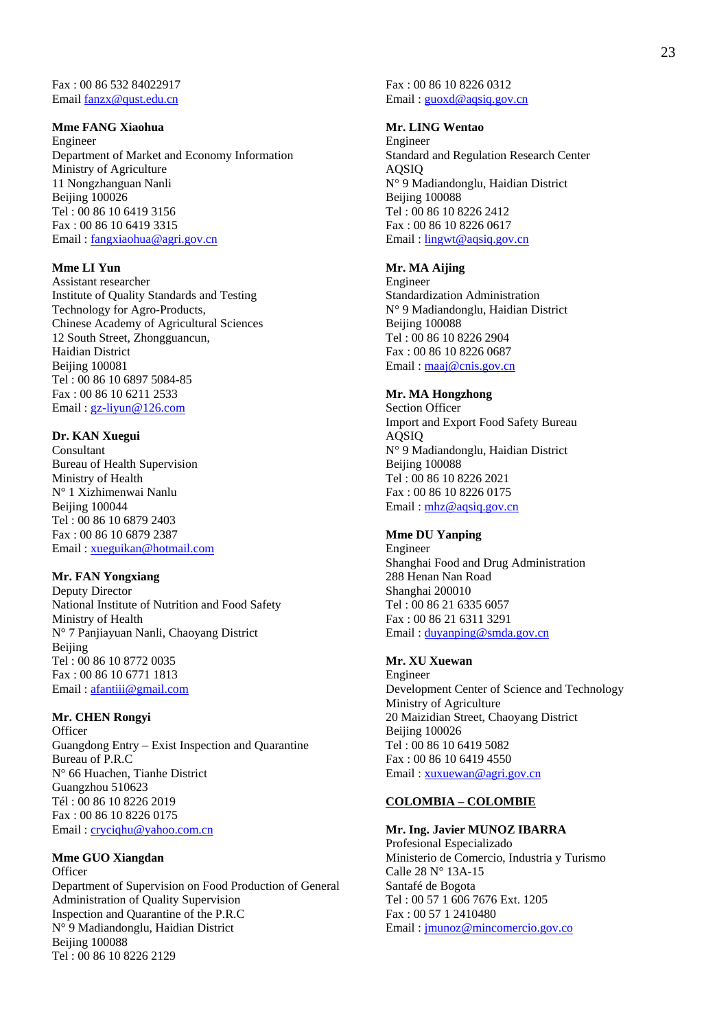Fax : 00 86 532 84022917 Email [fanzx@qust.edu.cn](mailto:fanzx@qust.edu.cn)

## **Mme FANG Xiaohua**

Engineer Department of Market and Economy Information Ministry of Agriculture 11 Nongzhanguan Nanli Beijing 100026 Tel : 00 86 10 6419 3156 Fax : 00 86 10 6419 3315 Email : [fangxiaohua@agri.gov.cn](mailto:fangxiaohua@agri.gov.cn)

#### **Mme LI Yun**

Assistant researcher Institute of Quality Standards and Testing Technology for Agro-Products, Chinese Academy of Agricultural Sciences 12 South Street, Zhongguancun, Haidian District Beijing 100081 Tel : 00 86 10 6897 5084-85 Fax : 00 86 10 6211 2533 Email : [gz-liyun@126.com](mailto:gz-liyun@126.com)

## **Dr. KAN Xuegui**

Consultant Bureau of Health Supervision Ministry of Health N° 1 Xizhimenwai Nanlu Beijing 100044 Tel : 00 86 10 6879 2403 Fax : 00 86 10 6879 2387 Email : [xueguikan@hotmail.com](mailto:xueguikan@hotmail.com)

#### **Mr. FAN Yongxiang**

Deputy Director National Institute of Nutrition and Food Safety Ministry of Health N° 7 Panjiayuan Nanli, Chaoyang District Beijing Tel : 00 86 10 8772 0035 Fax : 00 86 10 6771 1813 Email : [afantiii@gmail.com](mailto:afantiii@gmail.com)

#### **Mr. CHEN Rongyi**

**Officer** Guangdong Entry – Exist Inspection and Quarantine Bureau of P.R.C N° 66 Huachen, Tianhe District Guangzhou 510623 Tél : 00 86 10 8226 2019 Fax : 00 86 10 8226 0175 Email: [cryciqhu@yahoo.com.cn](mailto:cryciqhu@yahoo.com.cn)

#### **Mme GUO Xiangdan**

**Officer** Department of Supervision on Food Production of General Administration of Quality Supervision Inspection and Quarantine of the P.R.C N° 9 Madiandonglu, Haidian District Beijing 100088 Tel : 00 86 10 8226 2129

Fax : 00 86 10 8226 0312 Email : [guoxd@aqsiq.gov.cn](mailto:guzxd@aqsiq.gov.cn)

## **Mr. LING Wentao**

Engineer Standard and Regulation Research Center AQSIQ N° 9 Madiandonglu, Haidian District Beijing 100088 Tel : 00 86 10 8226 2412 Fax : 00 86 10 8226 0617 Email : [lingwt@aqsiq.gov.cn](mailto:lingwt@aqsiq.gov.cn)

#### **Mr. MA Aijing**

Engineer Standardization Administration N° 9 Madiandonglu, Haidian District Beijing 100088 Tel : 00 86 10 8226 2904 Fax : 00 86 10 8226 0687 Email: [maaj@cnis.gov.cn](mailto:maaj@cnis.gov.cn)

## **Mr. MA Hongzhong**

Section Officer Import and Export Food Safety Bureau AQSIQ N° 9 Madiandonglu, Haidian District Beijing 100088 Tel : 00 86 10 8226 2021 Fax : 00 86 10 8226 0175 Email : [mhz@aqsiq.gov.cn](mailto:mhz@aqsiq.gov.cn)

#### **Mme DU Yanping**

Engineer Shanghai Food and Drug Administration 288 Henan Nan Road Shanghai 200010 Tel : 00 86 21 6335 6057 Fax : 00 86 21 6311 3291 Email: [duyanping@smda.gov.cn](mailto:duyanping@smda.gov.cn)

#### **Mr. XU Xuewan**

Engineer Development Center of Science and Technology Ministry of Agriculture 20 Maizidian Street, Chaoyang District Beijing 100026 Tel : 00 86 10 6419 5082 Fax : 00 86 10 6419 4550 Email : [xuxuewan@agri.gov.cn](mailto:xuxuewan@agri.gov.cn)

#### **COLOMBIA – COLOMBIE**

#### **Mr. Ing. Javier MUNOZ IBARRA**

Profesional Especializado Ministerio de Comercio, Industria y Turismo Calle 28 N° 13A-15 Santafé de Bogota Tel : 00 57 1 606 7676 Ext. 1205 Fax : 00 57 1 2410480 Email : [jmunoz@mincomercio.gov.co](mailto:jmunoz@mincomercio.gov.co)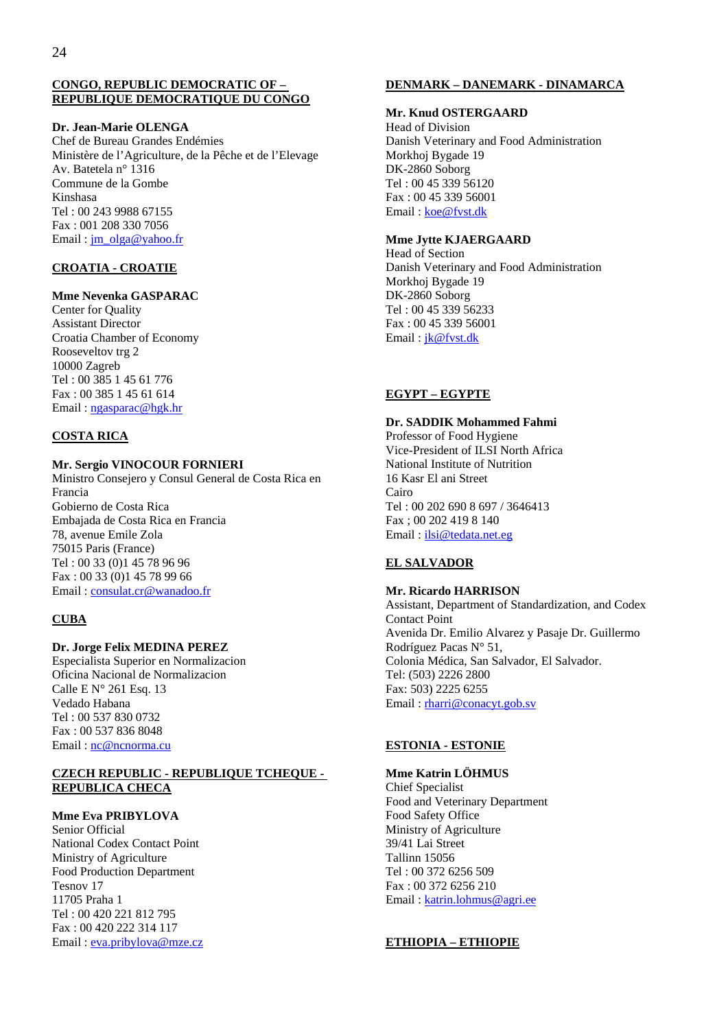## **CONGO, REPUBLIC DEMOCRATIC OF – REPUBLIQUE DEMOCRATIQUE DU CONGO**

## **Dr. Jean-Marie OLENGA**

Chef de Bureau Grandes Endémies Ministère de l'Agriculture, de la Pêche et de l'Elevage Av. Batetela n° 1316 Commune de la Gombe Kinshasa Tel : 00 243 9988 67155 Fax : 001 208 330 7056 Email : [jm\\_olga@yahoo.fr](mailto:jm-olga@yahoo.fr)

## **CROATIA - CROATIE**

## **Mme Nevenka GASPARAC**

Center for Quality Assistant Director Croatia Chamber of Economy Rooseveltov trg 2 10000 Zagreb Tel : 00 385 1 45 61 776 Fax : 00 385 1 45 61 614 Email : [ngasparac@hgk.hr](mailto:ngasparac@hgk.hr)

## **COSTA RICA**

## **Mr. Sergio VINOCOUR FORNIERI**

Ministro Consejero y Consul General de Costa Rica en Francia Gobierno de Costa Rica Embajada de Costa Rica en Francia 78, avenue Emile Zola 75015 Paris (France) Tel : 00 33 (0)1 45 78 96 96 Fax : 00 33 (0)1 45 78 99 66 Email : [consulat.cr@wanadoo.fr](mailto:consulat.cr@wanadoo.fr)

## **CUBA**

## **Dr. Jorge Felix MEDINA PEREZ**

Especialista Superior en Normalizacion Oficina Nacional de Normalizacion Calle E N° 261 Esq. 13 Vedado Habana Tel : 00 537 830 0732 Fax : 00 537 836 8048 Email : [nc@ncnorma.cu](mailto:nc@ncnorma.cu)

## **CZECH REPUBLIC - REPUBLIQUE TCHEQUE - REPUBLICA CHECA**

## **Mme Eva PRIBYLOVA**

Senior Official National Codex Contact Point Ministry of Agriculture Food Production Department Tesnov 17 11705 Praha 1 Tel : 00 420 221 812 795 Fax : 00 420 222 314 117 Email: [eva.pribylova@mze.cz](mailto:eva.pribylova@mze.cz)

#### **DENMARK – DANEMARK - DINAMARCA**

## **Mr. Knud OSTERGAARD**

Head of Division Danish Veterinary and Food Administration Morkhoj Bygade 19 DK-2860 Soborg Tel : 00 45 339 56120 Fax : 00 45 339 56001 Email : [koe@fvst.dk](mailto:koe@fdir.dk)

## **Mme Jytte KJAERGAARD**

Head of Section Danish Veterinary and Food Administration Morkhoj Bygade 19 DK-2860 Soborg Tel : 00 45 339 56233 Fax : 00 45 339 56001 Email : [jk@fvst.dk](mailto:jk@fdir.dk)

## **EGYPT – EGYPTE**

#### **Dr. SADDIK Mohammed Fahmi**  Professor of Food Hygiene

Vice-President of ILSI North Africa National Institute of Nutrition 16 Kasr El ani Street Cairo Tel : 00 202 690 8 697 / 3646413 Fax ; 00 202 419 8 140 Email : [ilsi@tedata.net.eg](mailto:ilsi@gega.net)

## **EL SALVADOR**

#### **Mr. Ricardo HARRISON**

Assistant, Department of Standardization, and Codex Contact Point Avenida Dr. Emilio Alvarez y Pasaje Dr. Guillermo Rodríguez Pacas N° 51, Colonia Médica, San Salvador, El Salvador. Tel: (503) 2226 2800 Fax: 503) 2225 6255 Email: [rharri@conacyt.gob.sv](mailto:rharri@conacyt.gob.sv)

## **ESTONIA - ESTONIE**

## **Mme Katrin LÖHMUS**

Chief Specialist Food and Veterinary Department Food Safety Office Ministry of Agriculture 39/41 Lai Street Tallinn 15056 Tel : 00 372 6256 509 Fax : 00 372 6256 210 Email : [katrin.lohmus@agri.ee](mailto:katrin.lohmus@agri.ee)

## **ETHIOPIA – ETHIOPIE**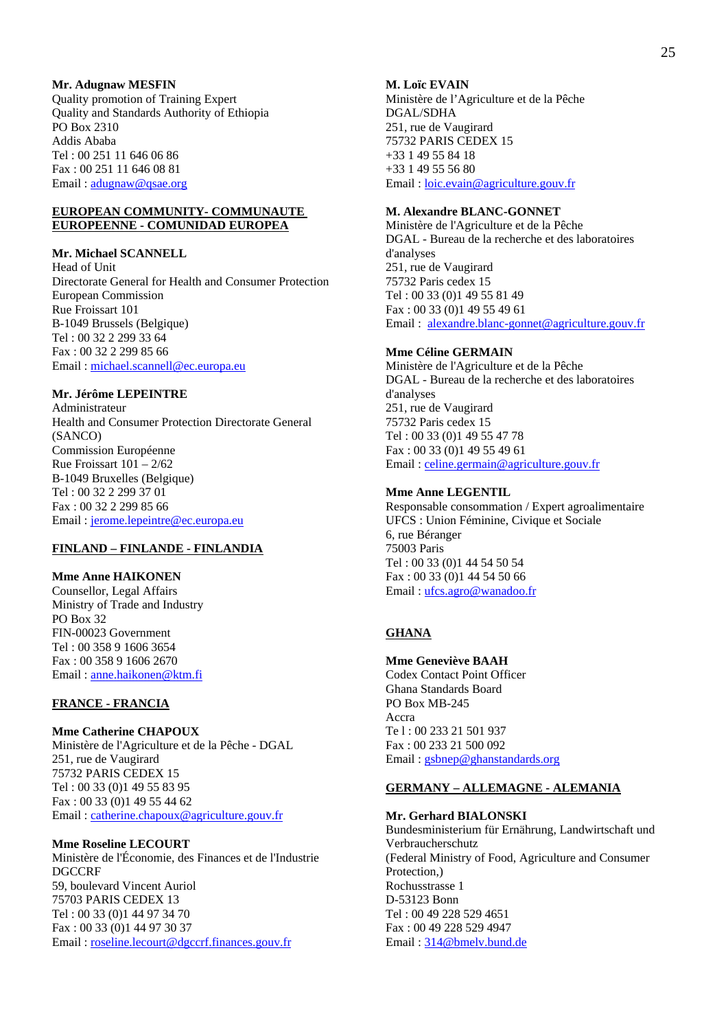#### **Mr. Adugnaw MESFIN**

Quality promotion of Training Expert Quality and Standards Authority of Ethiopia PO Box 2310 Addis Ababa Tel : 00 251 11 646 06 86 Fax : 00 251 11 646 08 81 Email : [adugnaw@qsae.org](mailto:adugnaw@qsae.org)

## **EUROPEAN COMMUNITY- COMMUNAUTE EUROPEENNE - COMUNIDAD EUROPEA**

## **Mr. Michael SCANNELL**

Head of Unit Directorate General for Health and Consumer Protection European Commission Rue Froissart 101 B-1049 Brussels (Belgique) Tel : 00 32 2 299 33 64 Fax : 00 32 2 299 85 66 Email : [michael.scannell@ec.europa.eu](mailto:michael.scannell@ec.europa.eu)

## **Mr. Jérôme LEPEINTRE**

Administrateur Health and Consumer Protection Directorate General (SANCO) Commission Européenne Rue Froissart  $101 - 2/62$ B-1049 Bruxelles (Belgique) Tel : 00 32 2 299 37 01 Fax : 00 32 2 299 85 66 Email : [jerome.lepeintre@ec.europa.eu](mailto:jerome.lepeintre@ec.europa.eu)

## **FINLAND – FINLANDE - FINLANDIA**

**Mme Anne HAIKONEN**  Counsellor, Legal Affairs Ministry of Trade and Industry PO Box 32 FIN-00023 Government Tel : 00 358 9 1606 3654 Fax : 00 358 9 1606 2670 Email : [anne.haikonen@ktm.fi](mailto:anne.haikonen@tm.fi)

## **FRANCE - FRANCIA**

**Mme Catherine CHAPOUX**  Ministère de l'Agriculture et de la Pêche - DGAL 251, rue de Vaugirard 75732 PARIS CEDEX 15 Tel : 00 33 (0)1 49 55 83 95 Fax : 00 33 (0)1 49 55 44 62 Email : [catherine.chapoux@agriculture.gouv.fr](mailto:catherine.chapoux@agriculture.gouv.fr)

## **Mme Roseline LECOURT**

Ministère de l'Économie, des Finances et de l'Industrie **DGCCRF** 59, boulevard Vincent Auriol 75703 PARIS CEDEX 13 Tel : 00 33 (0)1 44 97 34 70 Fax : 00 33 (0)1 44 97 30 37 Email : [roseline.lecourt@dgccrf.finances.gouv.fr](mailto:roseline.lecourt@dgccrf.finances.gouv.fr)

#### **M. Loïc EVAIN**

Ministère de l'Agriculture et de la Pêche DGAL/SDHA 251, rue de Vaugirard 75732 PARIS CEDEX 15 +33 1 49 55 84 18 +33 1 49 55 56 80 Email : [loic.evain@agriculture.gouv.fr](mailto:loic.evain@agriculture.gouv.fr) 

## **M. Alexandre BLANC-GONNET**

Ministère de l'Agriculture et de la Pêche DGAL - Bureau de la recherche et des laboratoires d'analyses 251, rue de Vaugirard 75732 Paris cedex 15 Tel : 00 33 (0)1 49 55 81 49 Fax : 00 33 (0)1 49 55 49 61 Email : [alexandre.blanc-gonnet@agriculture.gouv.fr](mailto:alexandre.blanc-gonnet@agriculture.gouv.fr)

#### **Mme Céline GERMAIN**

Ministère de l'Agriculture et de la Pêche DGAL - Bureau de la recherche et des laboratoires d'analyses 251, rue de Vaugirard 75732 Paris cedex 15 Tel : 00 33 (0)1 49 55 47 78 Fax : 00 33 (0)1 49 55 49 61 Email : [celine.germain@agriculture.gouv.fr](mailto:celine.germain@agriculture.gouv.fr)

#### **Mme Anne LEGENTIL**

Responsable consommation / Expert agroalimentaire UFCS : Union Féminine, Civique et Sociale 6, rue Béranger 75003 Paris Tel : 00 33 (0)1 44 54 50 54 Fax : 00 33 (0)1 44 54 50 66 Email : [ufcs.agro@wanadoo.fr](mailto:ufcs.conso@wanadoo.fr)

## **GHANA**

**Mme Geneviève BAAH**  Codex Contact Point Officer Ghana Standards Board PO Box MB-245 Accra Te l : 00 233 21 501 937 Fax : 00 233 21 500 092 Email : [gsbnep@ghanstandards.org](mailto:gsbnep@ghanstandards.org)

## **GERMANY – ALLEMAGNE - ALEMANIA**

#### **Mr. Gerhard BIALONSKI**

Bundesministerium für Ernährung, Landwirtschaft und Verbraucherschutz (Federal Ministry of Food, Agriculture and Consumer Protection,) Rochusstrasse 1 D-53123 Bonn Tel : 00 49 228 529 4651 Fax : 00 49 228 529 4947 Email : [314@bmelv.bund.de](mailto:314@bmelv.bund.de)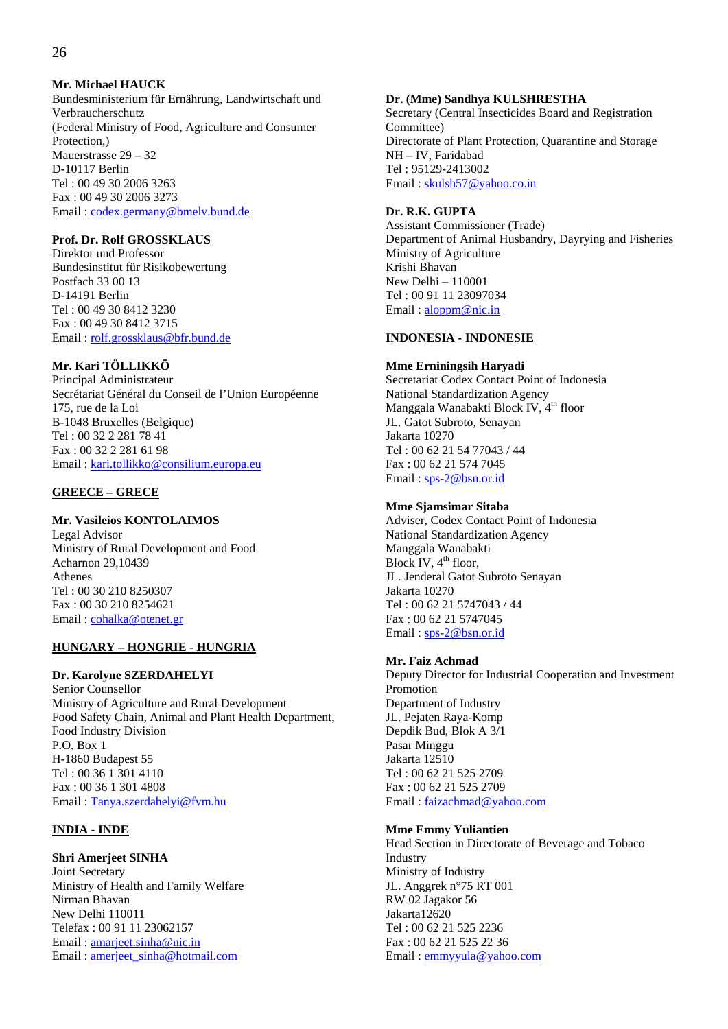## **Mr. Michael HAUCK**

Bundesministerium für Ernährung, Landwirtschaft und Verbraucherschutz (Federal Ministry of Food, Agriculture and Consumer Protection,) Mauerstrasse 29 – 32 D-10117 Berlin Tel : 00 49 30 2006 3263 Fax : 00 49 30 2006 3273 Email : [codex.germany@bmelv.bund.de](mailto:codex.germany@bmelv.bund.de)

## **Prof. Dr. Rolf GROSSKLAUS**

Direktor und Professor Bundesinstitut für Risikobewertung Postfach 33 00 13 D-14191 Berlin Tel : 00 49 30 8412 3230 Fax : 00 49 30 8412 3715 Email : [rolf.grossklaus@bfr.bund.de](mailto:rolf.grossklaus@bfr.bund.de)

## **Mr. Kari TÖLLIKKÖ**

Principal Administrateur Secrétariat Général du Conseil de l'Union Européenne 175, rue de la Loi B-1048 Bruxelles (Belgique) Tel : 00 32 2 281 78 41 Fax : 00 32 2 281 61 98 Email : [kari.tollikko@consilium.europa.eu](mailto:kari.tollikko@consilium.europa.eu)

## **GREECE – GRECE**

#### **Mr. Vasileios KONTOLAIMOS**

Legal Advisor Ministry of Rural Development and Food Acharnon 29,10439 Athenes Tel : 00 30 210 8250307 Fax : 00 30 210 8254621 Email: [cohalka@otenet.gr](mailto:cohalka@otenet.gr)

## **HUNGARY – HONGRIE - HUNGRIA**

## **Dr. Karolyne SZERDAHELYI**

Senior Counsellor Ministry of Agriculture and Rural Development Food Safety Chain, Animal and Plant Health Department, Food Industry Division P.O. Box 1 H-1860 Budapest 55 Tel : 00 36 1 301 4110 Fax : 00 36 1 301 4808 Email : [Tanya.szerdahelyi@fvm.hu](mailto:Tanya.szerdahelyi@fvm.hu)

## **INDIA - INDE**

**Shri Amerjeet SINHA**  Joint Secretary Ministry of Health and Family Welfare Nirman Bhavan New Delhi 110011 Telefax : 00 91 11 23062157 Email : [amarjeet.sinha@nic.in](mailto:amarjeet.sinha@nic.in) Email : [amerjeet\\_sinha@hotmail.com](mailto:amerjeet_sinha@hotmail.com)

#### **Dr. (Mme) Sandhya KULSHRESTHA**

Secretary (Central Insecticides Board and Registration Committee) Directorate of Plant Protection, Quarantine and Storage NH – IV, Faridabad Tel : 95129-2413002 Email : [skulsh57@yahoo.co.in](mailto:skulsh57@yahoo.co.in)

## **Dr. R.K. GUPTA**

Assistant Commissioner (Trade) Department of Animal Husbandry, Dayrying and Fisheries Ministry of Agriculture Krishi Bhavan New Delhi – 110001 Tel : 00 91 11 23097034 Email: [aloppm@nic.in](mailto:aloppm@nic.in)

#### **INDONESIA - INDONESIE**

#### **Mme Erniningsih Haryadi**

Secretariat Codex Contact Point of Indonesia National Standardization Agency Manggala Wanabakti Block IV, 4<sup>th</sup> floor JL. Gatot Subroto, Senayan Jakarta 10270 Tel : 00 62 21 54 77043 / 44 Fax : 00 62 21 574 7045 Email : [sps-2@bsn.or.id](mailto:sps-a@bsn.or.id)

#### **Mme Sjamsimar Sitaba**

Adviser, Codex Contact Point of Indonesia National Standardization Agency Manggala Wanabakti Block IV,  $4^{\text{th}}$  floor, JL. Jenderal Gatot Subroto Senayan Jakarta 10270 Tel : 00 62 21 5747043 / 44 Fax : 00 62 21 5747045 Email : [sps-2@bsn.or.id](mailto:sps-2@bsn.or.id)

#### **Mr. Faiz Achmad**

Deputy Director for Industrial Cooperation and Investment Promotion Department of Industry JL. Pejaten Raya-Komp Depdik Bud, Blok A 3/1 Pasar Minggu Jakarta 12510 Tel : 00 62 21 525 2709 Fax : 00 62 21 525 2709 Email : [faizachmad@yahoo.com](mailto:faizachmad@yahoo.com)

#### **Mme Emmy Yuliantien**

Head Section in Directorate of Beverage and Tobaco Industry Ministry of Industry JL. Anggrek n°75 RT 001 RW 02 Jagakor 56 Jakarta12620 Tel : 00 62 21 525 2236 Fax : 00 62 21 525 22 36 Email : [emmyyula@yahoo.com](mailto:emmy.yula@yahoo.com)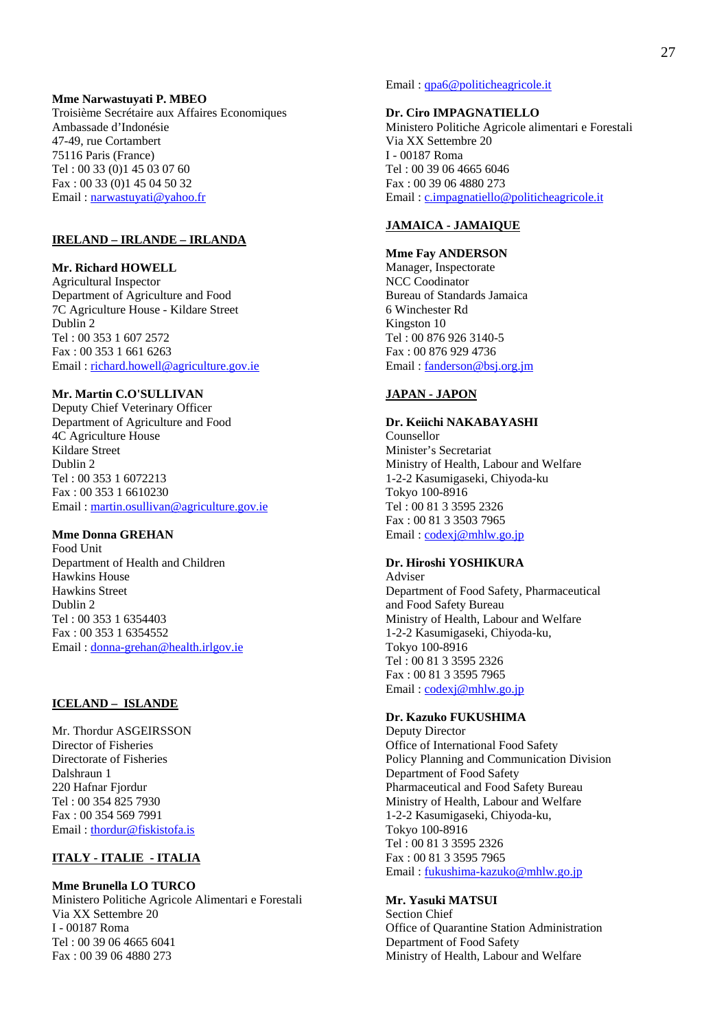#### **Mme Narwastuyati P. MBEO**

Troisième Secrétaire aux Affaires Economiques Ambassade d'Indonésie 47-49, rue Cortambert 75116 Paris (France) Tel : 00 33 (0)1 45 03 07 60 Fax : 00 33 (0)1 45 04 50 32 Email : [narwastuyati@yahoo.fr](mailto:narwastuyati@yahoo.fr)

## **IRELAND – IRLANDE – IRLANDA**

#### **Mr. Richard HOWELL**

Agricultural Inspector Department of Agriculture and Food 7C Agriculture House - Kildare Street Dublin 2 Tel : 00 353 1 607 2572 Fax : 00 353 1 661 6263 Email : [richard.howell@agriculture.gov.ie](mailto:richard.howell@agriculture.gov.ie)

## **Mr. Martin C.O'SULLIVAN**

Deputy Chief Veterinary Officer Department of Agriculture and Food 4C Agriculture House Kildare Street Dublin 2 Tel : 00 353 1 6072213 Fax : 00 353 1 6610230 Email : [martin.osullivan@agriculture.gov.ie](mailto:martin.osullivan@agriculture.gov.ie)

#### **Mme Donna GREHAN**

Food Unit Department of Health and Children Hawkins House Hawkins Street Dublin 2 Tel : 00 353 1 6354403 Fax : 00 353 1 6354552 Email : [donna-grehan@health.irlgov.ie](mailto:donna-grehan@health.irlgov.ie)

## **ICELAND – ISLANDE**

Mr. Thordur ASGEIRSSON Director of Fisheries Directorate of Fisheries Dalshraun 1 220 Hafnar Fjordur Tel : 00 354 825 7930 Fax : 00 354 569 7991 Email : [thordur@fiskistofa.is](mailto:thordur@fiskistofa.is)

#### **ITALY - ITALIE - ITALIA**

**Mme Brunella LO TURCO**  Ministero Politiche Agricole Alimentari e Forestali Via XX Settembre 20 I - 00187 Roma Tel : 00 39 06 4665 6041 Fax : 00 39 06 4880 273

Email : [qpa6@politicheagricole.it](mailto:qpa6@politiche.agricole.it)

#### **Dr. Ciro IMPAGNATIELLO**

Ministero Politiche Agricole alimentari e Forestali Via XX Settembre 20 I - 00187 Roma Tel : 00 39 06 4665 6046 Fax : 00 39 06 4880 273 Email : [c.impagnatiello@politicheagricole.it](mailto:c.impagnetiello@politiche.agricole.it)

### **JAMAICA - JAMAIQUE**

**Mme Fay ANDERSON**  Manager, Inspectorate NCC Coodinator Bureau of Standards Jamaica 6 Winchester Rd Kingston 10 Tel : 00 876 926 3140-5 Fax : 00 876 929 4736 Email : [fanderson@bsj.org.jm](mailto:fanderson@bsj.org.jm)

#### **JAPAN - JAPON**

**Dr. Keiichi NAKABAYASHI**  Counsellor Minister's Secretariat Ministry of Health, Labour and Welfare 1-2-2 Kasumigaseki, Chiyoda-ku Tokyo 100-8916 Tel : 00 81 3 3595 2326 Fax : 00 81 3 3503 7965 Email : [codexj@mhlw.go.jp](mailto:codexj@mhlw.go.jp)

## **Dr. Hiroshi YOSHIKURA**

Adviser Department of Food Safety, Pharmaceutical and Food Safety Bureau Ministry of Health, Labour and Welfare 1-2-2 Kasumigaseki, Chiyoda-ku, Tokyo 100-8916 Tel : 00 81 3 3595 2326 Fax : 00 81 3 3595 7965 Email : [codexj@mhlw.go.jp](mailto:codexj@mhlw.go.jp)

## **Dr. Kazuko FUKUSHIMA**

Deputy Director Office of International Food Safety Policy Planning and Communication Division Department of Food Safety Pharmaceutical and Food Safety Bureau Ministry of Health, Labour and Welfare 1-2-2 Kasumigaseki, Chiyoda-ku, Tokyo 100-8916 Tel : 00 81 3 3595 2326 Fax : 00 81 3 3595 7965 Email : [fukushima-kazuko@mhlw.go.jp](mailto:fukushima-kazuko@mhlw.go.jp)

**Mr. Yasuki MATSUI**  Section Chief Office of Quarantine Station Administration Department of Food Safety Ministry of Health, Labour and Welfare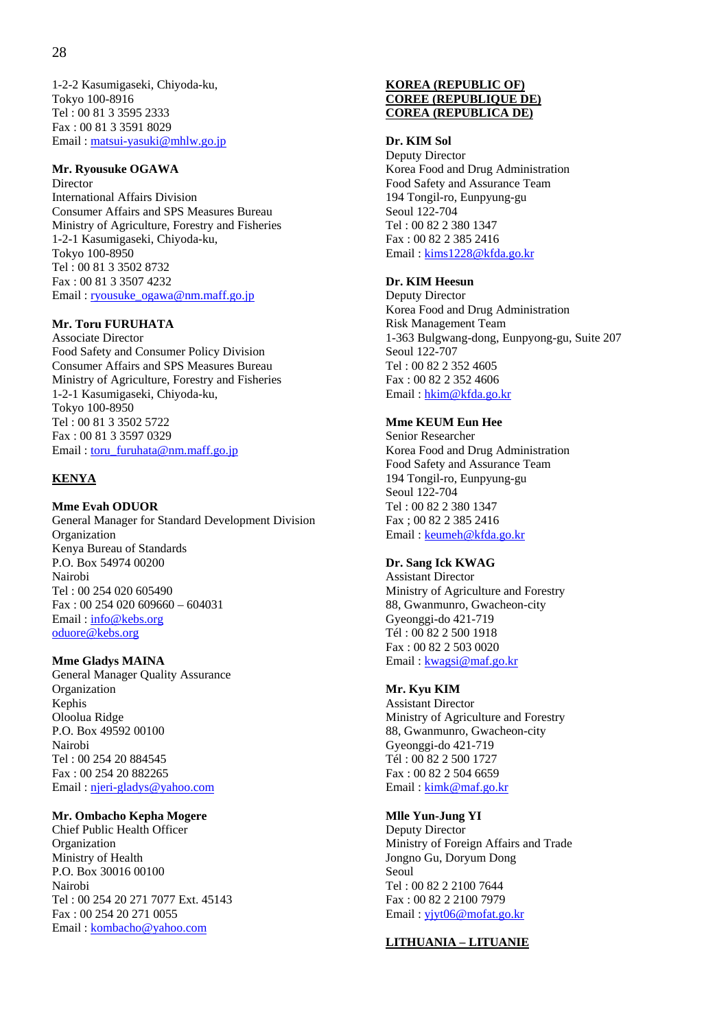## 28

1-2-2 Kasumigaseki, Chiyoda-ku, Tokyo 100-8916 Tel : 00 81 3 3595 2333 Fax : 00 81 3 3591 8029 Email : [matsui-yasuki@mhlw.go.jp](mailto:matsui-yasuki@mhlw.go.jp)

## **Mr. Ryousuke OGAWA**

**Director** International Affairs Division Consumer Affairs and SPS Measures Bureau Ministry of Agriculture, Forestry and Fisheries 1-2-1 Kasumigaseki, Chiyoda-ku, Tokyo 100-8950 Tel : 00 81 3 3502 8732 Fax : 00 81 3 3507 4232 Email : [ryousuke\\_ogawa@nm.maff.go.jp](mailto:ryousuke_ogawa@nm.maff.go.jp)

## **Mr. Toru FURUHATA**

Associate Director Food Safety and Consumer Policy Division Consumer Affairs and SPS Measures Bureau Ministry of Agriculture, Forestry and Fisheries 1-2-1 Kasumigaseki, Chiyoda-ku, Tokyo 100-8950 Tel : 00 81 3 3502 5722 Fax : 00 81 3 3597 0329 Email : [toru\\_furuhata@nm.maff.go.jp](mailto:toru_furuhata@nm.maff.go.jp)

## **KENYA**

#### **Mme Evah ODUOR**

General Manager for Standard Development Division Organization Kenya Bureau of Standards P.O. Box 54974 00200 Nairobi Tel : 00 254 020 605490 Fax : 00 254 020 609660 – 604031 Email : [info@kebs.org](mailto:info@kebs.org)  [oduore@kebs.org](mailto:oduore@kebs.org) 

#### **Mme Gladys MAINA**

General Manager Quality Assurance Organization Kephis Oloolua Ridge P.O. Box 49592 00100 Nairobi Tel : 00 254 20 884545 Fax : 00 254 20 882265 Email : [njeri-gladys@yahoo.com](mailto:njeri-gladys@yahoo.com)

## **Mr. Ombacho Kepha Mogere**

Chief Public Health Officer Organization Ministry of Health P.O. Box 30016 00100 Nairobi Tel : 00 254 20 271 7077 Ext. 45143 Fax : 00 254 20 271 0055 Email : [kombacho@yahoo.com](mailto:kombacho@yahoo.com)

## **KOREA (REPUBLIC OF) COREE (REPUBLIQUE DE) COREA (REPUBLICA DE)**

## **Dr. KIM Sol**

Deputy Director Korea Food and Drug Administration Food Safety and Assurance Team 194 Tongil-ro, Eunpyung-gu Seoul 122-704 Tel : 00 82 2 380 1347 Fax : 00 82 2 385 2416 Email : [kims1228@kfda.go.kr](mailto:kims1228@kfda.go.kr)

## **Dr. KIM Heesun**

Deputy Director Korea Food and Drug Administration Risk Management Team 1-363 Bulgwang-dong, Eunpyong-gu, Suite 207 Seoul 122-707 Tel : 00 82 2 352 4605 Fax : 00 82 2 352 4606 Email : [hkim@kfda.go.kr](mailto:hkim@kfda.go.kr)

## **Mme KEUM Eun Hee**

Senior Researcher Korea Food and Drug Administration Food Safety and Assurance Team 194 Tongil-ro, Eunpyung-gu Seoul 122-704 Tel : 00 82 2 380 1347 Fax ; 00 82 2 385 2416 Email : [keumeh@kfda.go.kr](mailto:keumeh@kfda.go.kr)

#### **Dr. Sang Ick KWAG**

Assistant Director Ministry of Agriculture and Forestry 88, Gwanmunro, Gwacheon-city Gyeonggi-do 421-719 Tél : 00 82 2 500 1918 Fax : 00 82 2 503 0020 Email : [kwagsi@maf.go.kr](mailto:kwagsi@maf.go.kr)

## **Mr. Kyu KIM**

Assistant Director Ministry of Agriculture and Forestry 88, Gwanmunro, Gwacheon-city Gyeonggi-do 421-719 Tél : 00 82 2 500 1727 Fax : 00 82 2 504 6659 Email : [kimk@maf.go.kr](mailto:kimk@maf.go.kr)

## **Mlle Yun-Jung YI**

Deputy Director Ministry of Foreign Affairs and Trade Jongno Gu, Doryum Dong Seoul Tel : 00 82 2 2100 7644 Fax : 00 82 2 2100 7979 Email: [yjyt06@mofat.go.kr](mailto:yjyt06@mofat.go.kr)

#### **LITHUANIA – LITUANIE**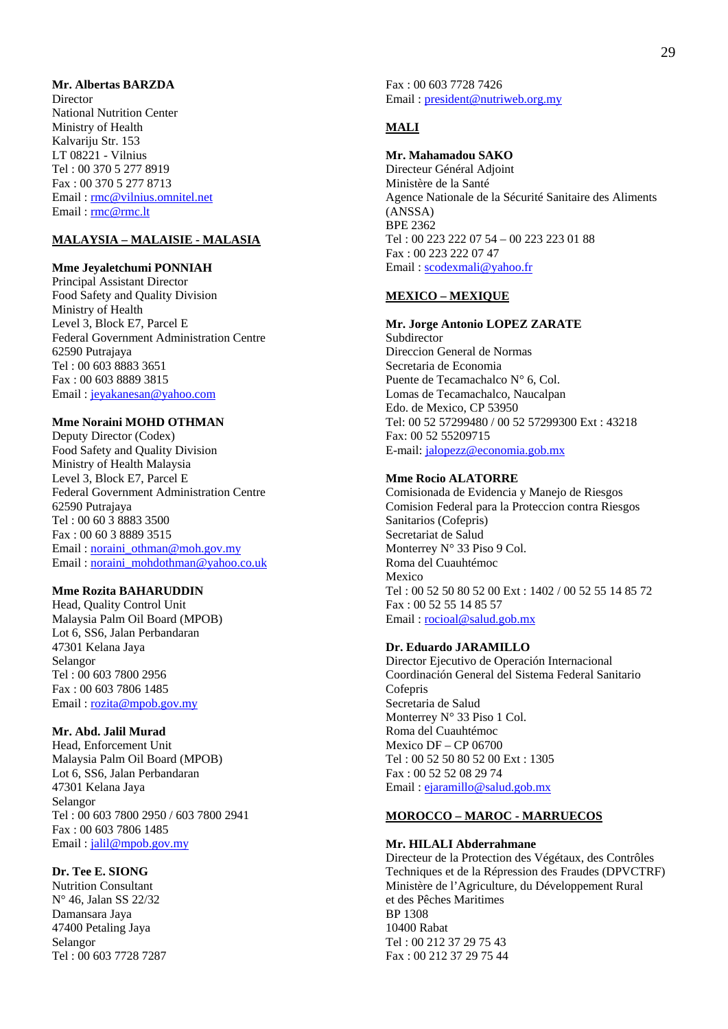#### **Mr. Albertas BARZDA**

Director National Nutrition Center Ministry of Health Kalvariju Str. 153 LT 08221 - Vilnius Tel : 00 370 5 277 8919 Fax : 00 370 5 277 8713 Email: [rmc@vilnius.omnitel.net](mailto:rmc@vilnius.omnitel.net) Email : [rmc@rmc.lt](mailto:rmc@rmc.lt)

## **MALAYSIA – MALAISIE - MALASIA**

#### **Mme Jeyaletchumi PONNIAH**

Principal Assistant Director Food Safety and Quality Division Ministry of Health Level 3, Block E7, Parcel E Federal Government Administration Centre 62590 Putrajaya Tel : 00 603 8883 3651 Fax : 00 603 8889 3815 Email : [jeyakanesan@yahoo.com](mailto:jeyakanesan@yahoo.com)

## **Mme Noraini MOHD OTHMAN**

Deputy Director (Codex) Food Safety and Quality Division Ministry of Health Malaysia Level 3, Block E7, Parcel E Federal Government Administration Centre 62590 Putrajaya Tel : 00 60 3 8883 3500 Fax : 00 60 3 8889 3515 Email: [noraini\\_othman@moh.gov.my](mailto:noraini_othman@moh.gov.my) Email : [noraini\\_mohdothman@yahoo.co.uk](mailto:norianio@hotmail.com)

#### **Mme Rozita BAHARUDDIN**

Head, Quality Control Unit Malaysia Palm Oil Board (MPOB) Lot 6, SS6, Jalan Perbandaran 47301 Kelana Jaya Selangor Tel : 00 603 7800 2956 Fax : 00 603 7806 1485 Email : [rozita@mpob.gov.my](mailto:rozita@mpob.gov.my)

## **Mr. Abd. Jalil Murad**

Head, Enforcement Unit Malaysia Palm Oil Board (MPOB) Lot 6, SS6, Jalan Perbandaran 47301 Kelana Jaya Selangor Tel : 00 603 7800 2950 / 603 7800 2941 Fax : 00 603 7806 1485 Email: [jalil@mpob.gov.my](mailto:jalil@mpob.gov.my)

## **Dr. Tee E. SIONG**

Nutrition Consultant N° 46, Jalan SS 22/32 Damansara Jaya 47400 Petaling Jaya Selangor Tel : 00 603 7728 7287

Fax : 00 603 7728 7426 Email : [president@nutriweb.org.my](mailto:president@nutriweb.org.my)

## **MALI**

**Mr. Mahamadou SAKO**  Directeur Général Adjoint Ministère de la Santé Agence Nationale de la Sécurité Sanitaire des Aliments (ANSSA) BPE 2362 Tel : 00 223 222 07 54 – 00 223 223 01 88 Fax : 00 223 222 07 47 Email : [scodexmali@yahoo.fr](mailto:scodexmali@yahoo.fr)

#### **MEXICO – MEXIQUE**

#### **Mr. Jorge Antonio LOPEZ ZARATE**

Subdirector Direccion General de Normas Secretaria de Economia Puente de Tecamachalco N° 6, Col. Lomas de Tecamachalco, Naucalpan Edo. de Mexico, CP 53950 Tel: 00 52 57299480 / 00 52 57299300 Ext : 43218 Fax: 00 52 55209715 E-mail: [jalopezz@economia.gob.mx](mailto:jalopezz@economia.gob.mx)

#### **Mme Rocio ALATORRE**

Comisionada de Evidencia y Manejo de Riesgos Comision Federal para la Proteccion contra Riesgos Sanitarios (Cofepris) Secretariat de Salud Monterrey N° 33 Piso 9 Col. Roma del Cuauhtémoc Mexico Tel : 00 52 50 80 52 00 Ext : 1402 / 00 52 55 14 85 72 Fax : 00 52 55 14 85 57 Email : [rocioal@salud.gob.mx](mailto:rocioal@salud.gob.mx)

#### **Dr. Eduardo JARAMILLO**

Director Ejecutivo de Operación Internacional Coordinación General del Sistema Federal Sanitario Cofepris Secretaria de Salud Monterrey N° 33 Piso 1 Col. Roma del Cuauhtémoc Mexico DF – CP 06700 Tel : 00 52 50 80 52 00 Ext : 1305 Fax : 00 52 52 08 29 74 Email : [ejaramillo@salud.gob.mx](mailto:ejaramillo@salud.gob.mx)

#### **MOROCCO – MAROC - MARRUECOS**

#### **Mr. HILALI Abderrahmane**

Directeur de la Protection des Végétaux, des Contrôles Techniques et de la Répression des Fraudes (DPVCTRF) Ministère de l'Agriculture, du Développement Rural et des Pêches Maritimes BP 1308 10400 Rabat Tel : 00 212 37 29 75 43 Fax : 00 212 37 29 75 44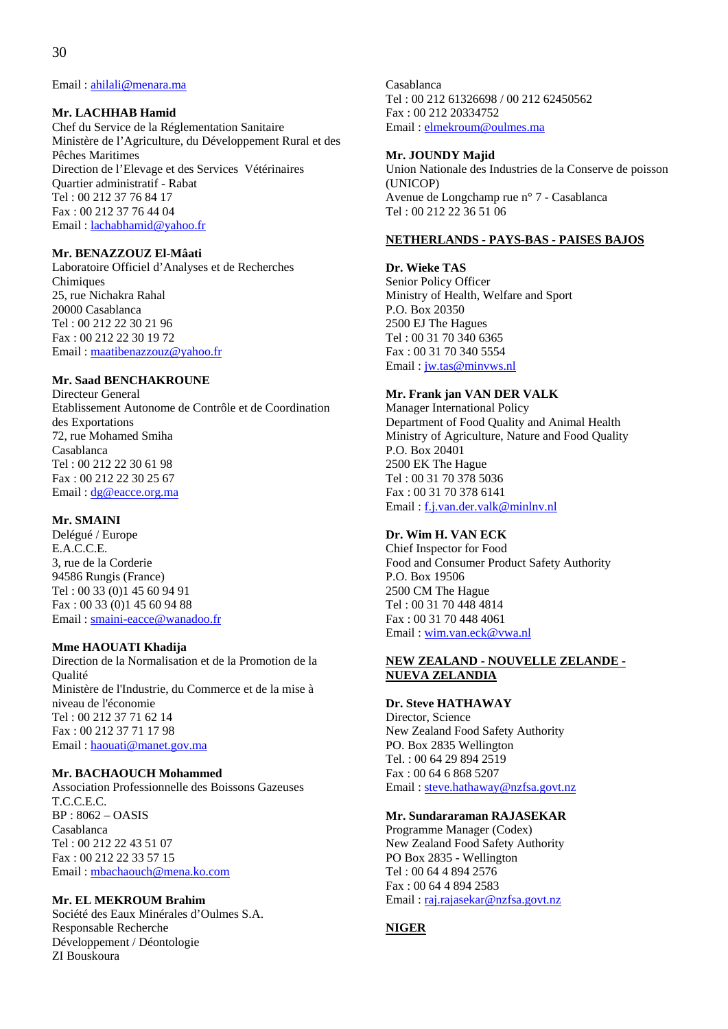30

Email : [ahilali@menara.ma](mailto:ahilali@iam.net.ma)

## **Mr. LACHHAB Hamid**

Chef du Service de la Réglementation Sanitaire Ministère de l'Agriculture, du Développement Rural et des Pêches Maritimes Direction de l'Elevage et des Services Vétérinaires Quartier administratif - Rabat Tel : 00 212 37 76 84 17 Fax : 00 212 37 76 44 04 Email : [lachabhamid@yahoo.fr](mailto:lachhab@de.madrpm.gov.ma)

#### **Mr. BENAZZOUZ El-Mâati**

Laboratoire Officiel d'Analyses et de Recherches Chimiques 25, rue Nichakra Rahal 20000 Casablanca Tel : 00 212 22 30 21 96 Fax : 00 212 22 30 19 72 Email : [maatibenazzouz@yahoo.fr](mailto:maatibenazzouz@yahoo.fr)

## **Mr. Saad BENCHAKROUNE**

Directeur General Etablissement Autonome de Contrôle et de Coordination des Exportations 72, rue Mohamed Smiha Casablanca Tel : 00 212 22 30 61 98 Fax : 00 212 22 30 25 67 Email: <u>dg@eacce.org.ma</u>

## **Mr. SMAINI**

Delégué / Europe E.A.C.C.E. 3, rue de la Corderie 94586 Rungis (France) Tel : 00 33 (0)1 45 60 94 91 Fax : 00 33 (0)1 45 60 94 88 Email: [smaini-eacce@wanadoo.fr](mailto:smaini-eacce@wanadoo.fr)

#### **Mme HAOUATI Khadija**

Direction de la Normalisation et de la Promotion de la Qualité Ministère de l'Industrie, du Commerce et de la mise à niveau de l'économie Tel : 00 212 37 71 62 14 Fax : 00 212 37 71 17 98 Email : [haouati@manet.gov.ma](mailto:haouati@manet.gov.ma)

## **Mr. BACHAOUCH Mohammed**

Association Professionnelle des Boissons Gazeuses T.C.C.E.C. BP : 8062 – OASIS Casablanca Tel : 00 212 22 43 51 07 Fax : 00 212 22 33 57 15 Email : [mbachaouch@mena.ko.com](mailto:mbachaouch@mena.ko.com)

#### **Mr. EL MEKROUM Brahim**

Société des Eaux Minérales d'Oulmes S.A. Responsable Recherche Développement / Déontologie ZI Bouskoura

Casablanca Tel : 00 212 61326698 / 00 212 62450562 Fax : 00 212 20334752 Email : [elmekroum@oulmes.ma](mailto:elmekroum@oulmes.ma)

## **Mr. JOUNDY Majid**

Union Nationale des Industries de la Conserve de poisson (UNICOP) Avenue de Longchamp rue n° 7 - Casablanca Tel : 00 212 22 36 51 06

## **NETHERLANDS - PAYS-BAS - PAISES BAJOS**

**Dr. Wieke TAS**  Senior Policy Officer Ministry of Health, Welfare and Sport P.O. Box 20350 2500 EJ The Hagues Tel : 00 31 70 340 6365 Fax : 00 31 70 340 5554 Email : [jw.tas@minvws.nl](mailto:jw.tas@minvws.nl)

## **Mr. Frank jan VAN DER VALK**

Manager International Policy Department of Food Quality and Animal Health Ministry of Agriculture, Nature and Food Quality P.O. Box 20401 2500 EK The Hague Tel : 00 31 70 378 5036 Fax : 00 31 70 378 6141 Email : [f.j.van.der.valk@minlnv.nl](mailto:f.j.van.der.valk@minlnv.nl)

## **Dr. Wim H. VAN ECK**

Chief Inspector for Food Food and Consumer Product Safety Authority P.O. Box 19506 2500 CM The Hague Tel : 00 31 70 448 4814 Fax : 00 31 70 448 4061 Email : [wim.van.eck@vwa.nl](mailto:wim.van.eck@vwa.nl)

## **NEW ZEALAND - NOUVELLE ZELANDE - NUEVA ZELANDIA**

## **Dr. Steve HATHAWAY**

Director, Science New Zealand Food Safety Authority PO. Box 2835 Wellington Tel. : 00 64 29 894 2519 Fax : 00 64 6 868 5207 Email : [steve.hathaway@nzfsa.govt.nz](mailto:steve.hathaway@nzfsa.govt.nz)

## **Mr. Sundararaman RAJASEKAR**

Programme Manager (Codex) New Zealand Food Safety Authority PO Box 2835 - Wellington Tel : 00 64 4 894 2576 Fax : 00 64 4 894 2583 Email : [raj.rajasekar@nzfsa.govt.nz](mailto:raj.rajasekar@nzfsa.govt.nz)

## **NIGER**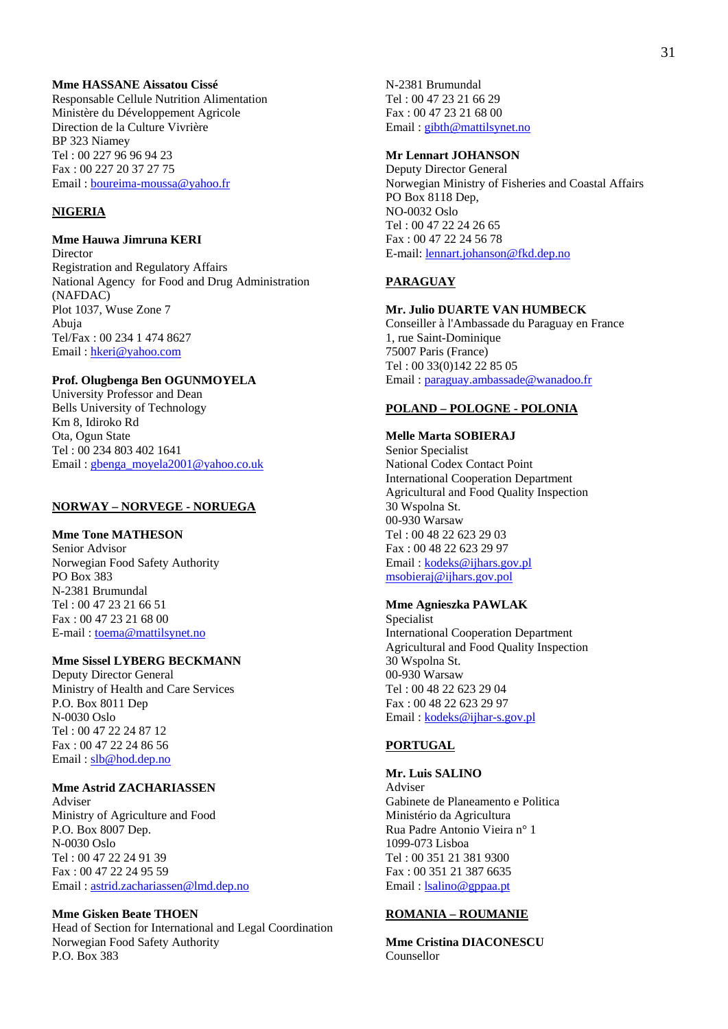### **Mme HASSANE Aissatou Cissé**

Responsable Cellule Nutrition Alimentation Ministère du Développement Agricole Direction de la Culture Vivrière BP 323 Niamey Tel : 00 227 96 96 94 23 Fax : 00 227 20 37 27 75 Email : [boureima-moussa@yahoo.fr](mailto:boureima-moussa@yahoo.fr)

## **NIGERIA**

## **Mme Hauwa Jimruna KERI**

Director Registration and Regulatory Affairs National Agency for Food and Drug Administration (NAFDAC) Plot 1037, Wuse Zone 7 Abuja Tel/Fax : 00 234 1 474 8627 Email: [hkeri@yahoo.com](mailto:hkeri@yahoo.com)

## **Prof. Olugbenga Ben OGUNMOYELA**

University Professor and Dean Bells University of Technology Km 8, Idiroko Rd Ota, Ogun State Tel : 00 234 803 402 1641 Email : [gbenga\\_moyela2001@yahoo.co.uk](mailto:gbenga_moyela2001@yahoo.co.uk)

## **NORWAY – NORVEGE - NORUEGA**

**Mme Tone MATHESON**  Senior Advisor Norwegian Food Safety Authority PO Box 383 N-2381 Brumundal Tel : 00 47 23 21 66 51 Fax : 00 47 23 21 68 00 E-mail : [toema@mattilsynet.no](mailto:toema@mattilsynet.no)

## **Mme Sissel LYBERG BECKMANN**

Deputy Director General Ministry of Health and Care Services P.O. Box 8011 Dep N-0030 Oslo Tel : 00 47 22 24 87 12 Fax : 00 47 22 24 86 56 Email : [slb@hod.dep.no](mailto:sissel.beckmann@hod.dep.no)

### **Mme Astrid ZACHARIASSEN**

Adviser Ministry of Agriculture and Food P.O. Box 8007 Dep. N-0030 Oslo Tel : 00 47 22 24 91 39 Fax : 00 47 22 24 95 59 Email : [astrid.zachariassen@lmd.dep.no](mailto:astrid.zachariassen@lmd.dep.no)

### **Mme Gisken Beate THOEN**

Head of Section for International and Legal Coordination Norwegian Food Safety Authority P.O. Box 383

N-2381 Brumundal Tel : 00 47 23 21 66 29 Fax : 00 47 23 21 68 00 Email : [gibth@mattilsynet.no](mailto:gibth@mattilsynet.no)

### **Mr Lennart JOHANSON**

Deputy Director General Norwegian Ministry of Fisheries and Coastal Affairs PO Box 8118 Dep, NO-0032 Oslo Tel : 00 47 22 24 26 65 Fax : 00 47 22 24 56 78 E-mail: [lennart.johanson@fkd.dep.no](mailto:lennart.johanson@fid.dep.no)

## **PARAGUAY**

## **Mr. Julio DUARTE VAN HUMBECK**

Conseiller à l'Ambassade du Paraguay en France 1, rue Saint-Dominique 75007 Paris (France) Tel : 00 33(0)142 22 85 05 Email : [paraguay.ambassade@wanadoo.fr](mailto:paraguay-ambassade@wanadoo.fr)

## **POLAND – POLOGNE - POLONIA**

## **Melle Marta SOBIERAJ**

Senior Specialist National Codex Contact Point International Cooperation Department Agricultural and Food Quality Inspection 30 Wspolna St. 00-930 Warsaw Tel : 00 48 22 623 29 03 Fax : 00 48 22 623 29 97 Email : [kodeks@ijhars.gov.pl](mailto:kodeks@ijhars.gov.pl) [msobieraj@ijhars.gov.pol](mailto:msobieraj@ijhars.gov.pol)

## **Mme Agnieszka PAWLAK**

Specialist International Cooperation Department Agricultural and Food Quality Inspection 30 Wspolna St. 00-930 Warsaw Tel : 00 48 22 623 29 04 Fax : 00 48 22 623 29 97 Email : [kodeks@ijhar-s.gov.pl](mailto:kodeks@ijhar-s.gov.pl)

## **PORTUGAL**

### **Mr. Luis SALINO**

Adviser Gabinete de Planeamento e Politica Ministério da Agricultura Rua Padre Antonio Vieira n° 1 1099-073 Lisboa Tel : 00 351 21 381 9300 Fax : 00 351 21 387 6635 Email : [lsalino@gppaa.pt](mailto:lsalino@gppaa.pt)

## **ROMANIA – ROUMANIE**

**Mme Cristina DIACONESCU**  Counsellor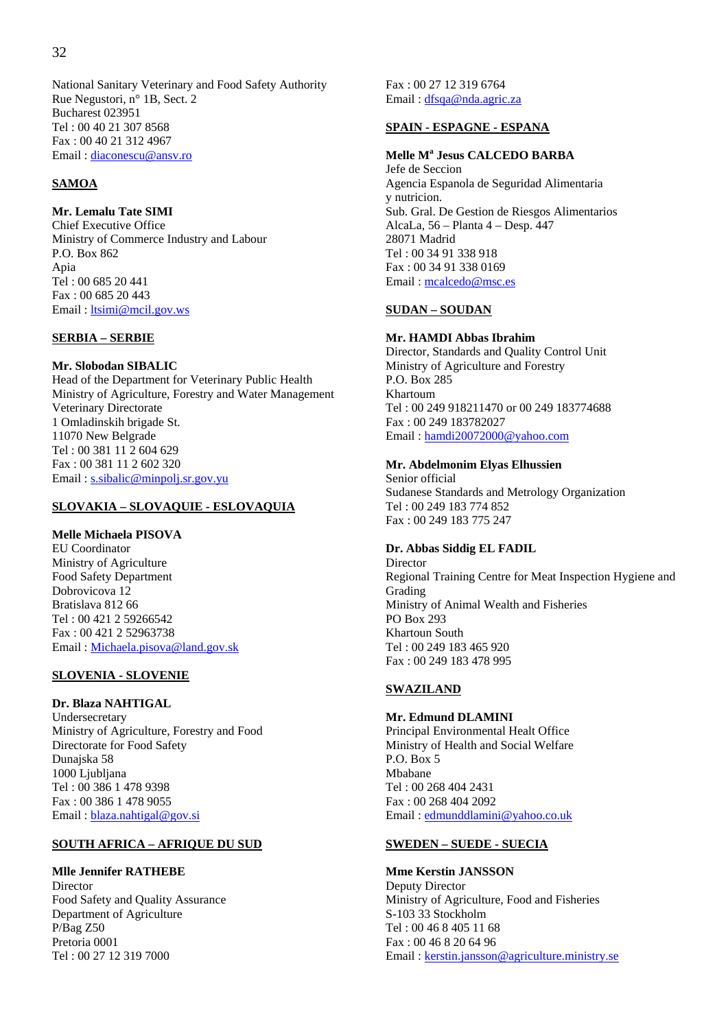## 32

National Sanitary Veterinary and Food Safety Authority Rue Negustori, n° 1B, Sect. 2 Bucharest 023951 Tel : 00 40 21 307 8568 Fax : 00 40 21 312 4967 Email : [diaconescu@ansv.ro](mailto:diaconescu@ansv.ro)

## **SAMOA**

### **Mr. Lemalu Tate SIMI**

Chief Executive Office Ministry of Commerce Industry and Labour P.O. Box 862 Apia Tel : 00 685 20 441 Fax : 00 685 20 443 Email: [ltsimi@mcil.gov.ws](mailto:ltsimi@mcil.gov.ws)

#### **SERBIA – SERBIE**

**Mr. Slobodan SIBALIC**  Head of the Department for Veterinary Public Health Ministry of Agriculture, Forestry and Water Management Veterinary Directorate 1 Omladinskih brigade St. 11070 New Belgrade Tel : 00 381 11 2 604 629 Fax : 00 381 11 2 602 320 Email : [s.sibalic@minpolj.sr.gov.yu](mailto:s.sibalic@minpolj.sr.gov.yu)

### **SLOVAKIA – SLOVAQUIE - ESLOVAQUIA**

## **Melle Michaela PISOVA**

EU Coordinator Ministry of Agriculture Food Safety Department Dobrovicova 12 Bratislava 812 66 Tel : 00 421 2 59266542 Fax : 00 421 2 52963738 Email : [Michaela.pisova@land.gov.sk](mailto:Michaela.pisova@land.gov.sk)

## **SLOVENIA - SLOVENIE**

### **Dr. Blaza NAHTIGAL**

Undersecretary Ministry of Agriculture, Forestry and Food Directorate for Food Safety Dunajska 58 1000 Ljubljana Tel : 00 386 1 478 9398 Fax : 00 386 1 478 9055 Email : [blaza.nahtigal@gov.si](mailto:blaza.nahtigal@gov.si)

### **SOUTH AFRICA – AFRIQUE DU SUD**

#### **Mlle Jennifer RATHEBE**

**Director** Food Safety and Quality Assurance Department of Agriculture P/Bag Z50 Pretoria 0001 Tel : 00 27 12 319 7000

Fax : 00 27 12 319 6764 Email : [dfsqa@nda.agric.za](mailto:dfsqa@bda.agric.sa)

### **SPAIN - ESPAGNE - ESPANA**

## **Melle Ma Jesus CALCEDO BARBA**

Jefe de Seccion Agencia Espanola de Seguridad Alimentaria y nutricion. Sub. Gral. De Gestion de Riesgos Alimentarios AlcaLa, 56 – Planta 4 – Desp. 447 28071 Madrid Tel : 00 34 91 338 918 Fax : 00 34 91 338 0169 Email : [mcalcedo@msc.es](mailto:mcalcedo@msc.es)

#### **SUDAN – SOUDAN**

### **Mr. HAMDI Abbas Ibrahim**

Director, Standards and Quality Control Unit Ministry of Agriculture and Forestry P.O. Box 285 Khartoum Tel : 00 249 918211470 or 00 249 183774688 Fax : 00 249 183782027 Email : [hamdi20072000@yahoo.com](mailto:hamdi20072000@yahoo.com)

#### **Mr. Abdelmonim Elyas Elhussien**

Senior official Sudanese Standards and Metrology Organization Tel : 00 249 183 774 852 Fax : 00 249 183 775 247

#### **Dr. Abbas Siddig EL FADIL**

**Director** Regional Training Centre for Meat Inspection Hygiene and Grading Ministry of Animal Wealth and Fisheries PO Box 293 Khartoun South Tel : 00 249 183 465 920 Fax : 00 249 183 478 995

## **SWAZILAND**

**Mr. Edmund DLAMINI**  Principal Environmental Healt Office Ministry of Health and Social Welfare P.O. Box 5 Mbabane Tel : 00 268 404 2431 Fax : 00 268 404 2092 Email : [edmunddlamini@yahoo.co.uk](mailto:edmunddlamiwi@yahoo.co.uk)

#### **SWEDEN – SUEDE - SUECIA**

#### **Mme Kerstin JANSSON**

Deputy Director Ministry of Agriculture, Food and Fisheries S-103 33 Stockholm Tel : 00 46 8 405 11 68 Fax : 00 46 8 20 64 96 Email : [kerstin.jansson@agriculture.ministry.se](mailto:kerstin.jansson@agriculture.ministry.se)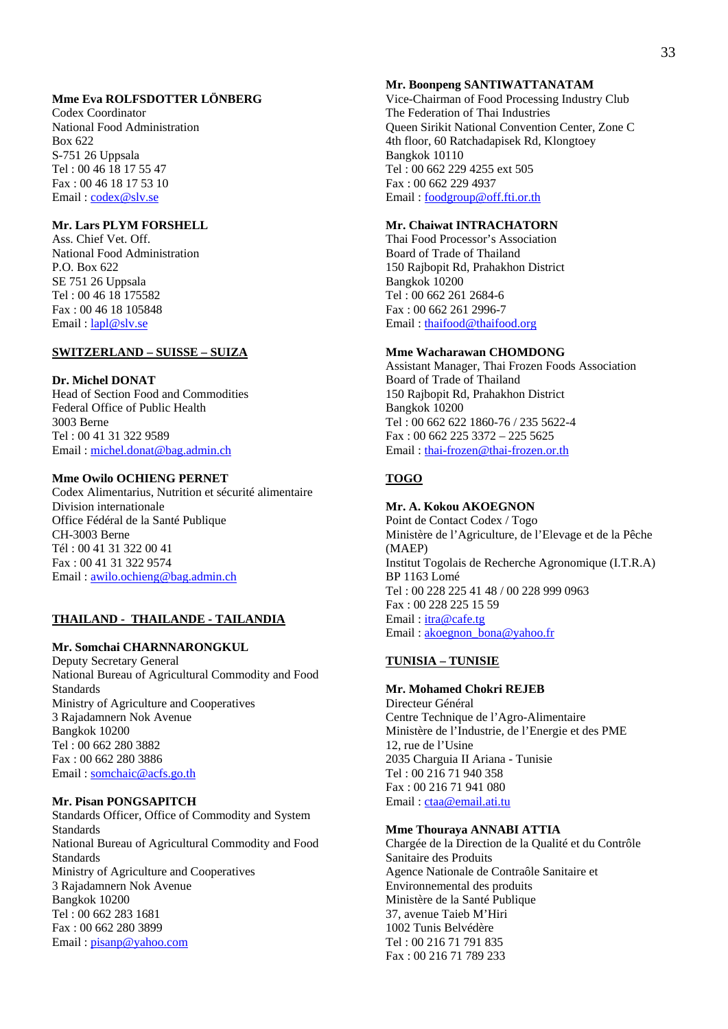## **Mme Eva ROLFSDOTTER LÖNBERG**

Codex Coordinator National Food Administration Box 622 S-751 26 Uppsala Tel : 00 46 18 17 55 47 Fax : 00 46 18 17 53 10 Email : [codex@slv.se](mailto:evr.lonberg@slv.se)

#### **Mr. Lars PLYM FORSHELL**

Ass. Chief Vet. Off. National Food Administration P.O. Box 622 SE 751 26 Uppsala Tel : 00 46 18 175582 Fax : 00 46 18 105848 Email: [lapl@slv.se](mailto:lapl@slv.se)

#### **SWITZERLAND – SUISSE – SUIZA**

#### **Dr. Michel DONAT**

Head of Section Food and Commodities Federal Office of Public Health 3003 Berne Tel : 00 41 31 322 9589 Email : [michel.donat@bag.admin.ch](mailto:michel.donat@bag.admin.ch)

## **Mme Owilo OCHIENG PERNET**

Codex Alimentarius, Nutrition et sécurité alimentaire Division internationale Office Fédéral de la Santé Publique CH-3003 Berne Tél : 00 41 31 322 00 41 Fax : 00 41 31 322 9574 Email : [awilo.ochieng@bag.admin.ch](mailto:awilo.ochieng@bag.admin.ch)

### **THAILAND - THAILANDE - TAILANDIA**

#### **Mr. Somchai CHARNNARONGKUL**

Deputy Secretary General National Bureau of Agricultural Commodity and Food Standards Ministry of Agriculture and Cooperatives 3 Rajadamnern Nok Avenue Bangkok 10200 Tel : 00 662 280 3882 Fax : 00 662 280 3886 Email: [somchaic@acfs.go.th](mailto:somchaic@acfs.go.th)

#### **Mr. Pisan PONGSAPITCH**

Standards Officer, Office of Commodity and System **Standards** National Bureau of Agricultural Commodity and Food Standards Ministry of Agriculture and Cooperatives 3 Rajadamnern Nok Avenue Bangkok 10200 Tel : 00 662 283 1681 Fax : 00 662 280 3899 Email : [pisanp@yahoo.com](mailto:pisanp@yahoo.com)

#### **Mr. Boonpeng SANTIWATTANATAM**

Vice-Chairman of Food Processing Industry Club The Federation of Thai Industries Queen Sirikit National Convention Center, Zone C 4th floor, 60 Ratchadapisek Rd, Klongtoey Bangkok 10110 Tel : 00 662 229 4255 ext 505 Fax : 00 662 229 4937 Email : [foodgroup@off.fti.or.th](mailto:foodgroup@off.fti.or.th)

#### **Mr. Chaiwat INTRACHATORN**

Thai Food Processor's Association Board of Trade of Thailand 150 Rajbopit Rd, Prahakhon District Bangkok 10200 Tel : 00 662 261 2684-6 Fax : 00 662 261 2996-7 Email: [thaifood@thaifood.org](mailto:thaifood@thaifood.org)

#### **Mme Wacharawan CHOMDONG**

Assistant Manager, Thai Frozen Foods Association Board of Trade of Thailand 150 Rajbopit Rd, Prahakhon District Bangkok 10200 Tel : 00 662 622 1860-76 / 235 5622-4 Fax : 00 662 225 3372 – 225 5625 Email : [thai-frozen@thai-frozen.or.th](mailto:thai-frozen@thai-frozen.or.th)

## **TOGO**

#### **Mr. A. Kokou AKOEGNON**

Point de Contact Codex / Togo Ministère de l'Agriculture, de l'Elevage et de la Pêche (MAEP) Institut Togolais de Recherche Agronomique (I.T.R.A) BP 1163 Lomé Tel : 00 228 225 41 48 / 00 228 999 0963 Fax : 00 228 225 15 59 Email: [itra@cafe.tg](mailto:itra@cafe.tg) Email : [akoegnon\\_bona@yahoo.fr](mailto:akoegnon_bona@yahoo.fr)

### **TUNISIA – TUNISIE**

### **Mr. Mohamed Chokri REJEB**

Directeur Général Centre Technique de l'Agro-Alimentaire Ministère de l'Industrie, de l'Energie et des PME 12, rue de l'Usine 2035 Charguia II Ariana - Tunisie Tel : 00 216 71 940 358 Fax : 00 216 71 941 080 Email : [ctaa@email.ati.tu](mailto:ctaa@email.ati.tu)

#### **Mme Thouraya ANNABI ATTIA**

Chargée de la Direction de la Qualité et du Contrôle Sanitaire des Produits Agence Nationale de Contraôle Sanitaire et Environnemental des produits Ministère de la Santé Publique 37, avenue Taieb M'Hiri 1002 Tunis Belvédère Tel : 00 216 71 791 835 Fax : 00 216 71 789 233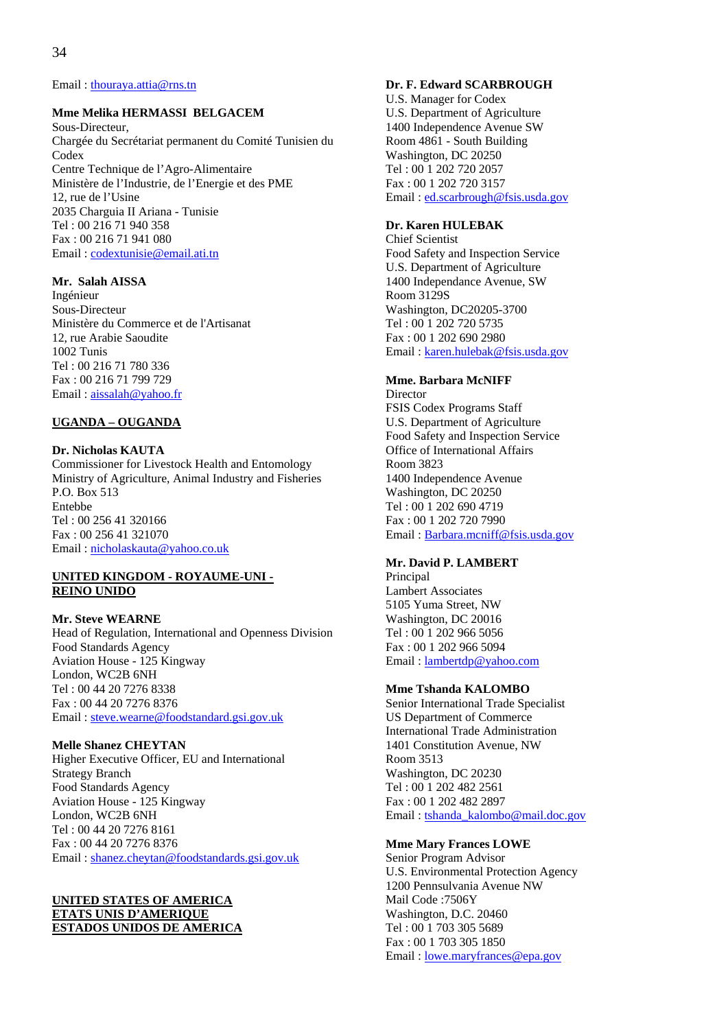Email : [thouraya.attia@rns.tn](mailto:thouraya.attia@rns.tn)

## **Mme Melika HERMASSI BELGACEM**

Sous-Directeur, Chargée du Secrétariat permanent du Comité Tunisien du **Codex** Centre Technique de l'Agro-Alimentaire Ministère de l'Industrie, de l'Energie et des PME 12, rue de l'Usine 2035 Charguia II Ariana - Tunisie Tel : 00 216 71 940 358 Fax : 00 216 71 941 080 Email : [codextunisie@email.ati.tn](mailto:codextunisie@email.ati.tn)

#### **Mr. Salah AISSA**

Ingénieur Sous-Directeur Ministère du Commerce et de l'Artisanat 12, rue Arabie Saoudite 1002 Tunis Tel : 00 216 71 780 336 Fax : 00 216 71 799 729 Email : [aissalah@yahoo.fr](mailto:aissalah@yahoo.fr)

## **UGANDA – OUGANDA**

### **Dr. Nicholas KAUTA**

Commissioner for Livestock Health and Entomology Ministry of Agriculture, Animal Industry and Fisheries P.O. Box 513 Entebbe Tel : 00 256 41 320166 Fax : 00 256 41 321070 Email : [nicholaskauta@yahoo.co.uk](mailto:nicholaskauta@yahoo.co.uk)

### **UNITED KINGDOM - ROYAUME-UNI - REINO UNIDO**

**Mr. Steve WEARNE**  Head of Regulation, International and Openness Division Food Standards Agency Aviation House - 125 Kingway London, WC2B 6NH Tel : 00 44 20 7276 8338 Fax : 00 44 20 7276 8376 Email : [steve.wearne@foodstandard.gsi.gov.uk](mailto:steve.wearne@foodstandard.gsi.gov.uk)

#### **Melle Shanez CHEYTAN**

Higher Executive Officer, EU and International Strategy Branch Food Standards Agency Aviation House - 125 Kingway London, WC2B 6NH Tel : 00 44 20 7276 8161 Fax : 00 44 20 7276 8376 Email : [shanez.cheytan@foodstandards.gsi.gov.uk](mailto:shanez.cheytan@foodstandards.gsi.gov.uk)

#### **UNITED STATES OF AMERICA ETATS UNIS D'AMERIQUE ESTADOS UNIDOS DE AMERICA**

#### **Dr. F. Edward SCARBROUGH**

U.S. Manager for Codex U.S. Department of Agriculture 1400 Independence Avenue SW Room 4861 - South Building Washington, DC 20250 Tel : 00 1 202 720 2057 Fax : 00 1 202 720 3157 Email : [ed.scarbrough@fsis.usda.gov](mailto:ed.scarbrough@usda.gov)

#### **Dr. Karen HULEBAK**

Chief Scientist Food Safety and Inspection Service U.S. Department of Agriculture 1400 Independance Avenue, SW Room 3129S Washington, DC20205-3700 Tel : 00 1 202 720 5735 Fax : 00 1 202 690 2980 Email : [karen.hulebak@fsis.usda.gov](mailto:karen.hulebak@fsis.usda.gov)

## **Mme. Barbara McNIFF**

Director FSIS Codex Programs Staff U.S. Department of Agriculture Food Safety and Inspection Service Office of International Affairs Room 3823 1400 Independence Avenue Washington, DC 20250 Tel : 00 1 202 690 4719 Fax : 00 1 202 720 7990 Email : [Barbara.mcniff@fsis.usda.gov](mailto:Barbara.mcniff@fsis.usda.gov)

#### **Mr. David P. LAMBERT**

Principal Lambert Associates 5105 Yuma Street, NW Washington, DC 20016 Tel : 00 1 202 966 5056 Fax : 00 1 202 966 5094 Email : [lambertdp@yahoo.com](mailto:lambertdp@yahoo.com)

#### **Mme Tshanda KALOMBO**

Senior International Trade Specialist US Department of Commerce International Trade Administration 1401 Constitution Avenue, NW Room 3513 Washington, DC 20230 Tel : 00 1 202 482 2561 Fax : 00 1 202 482 2897 Email : [tshanda\\_kalombo@mail.doc.gov](mailto:tshanda_kalombo@mail.doc.gov)

#### **Mme Mary Frances LOWE**

Senior Program Advisor U.S. Environmental Protection Agency 1200 Pennsulvania Avenue NW Mail Code :7506Y Washington, D.C. 20460 Tel : 00 1 703 305 5689 Fax : 00 1 703 305 1850 Email : [lowe.maryfrances@epa.gov](mailto:lowe.maryfrances@epa.gov)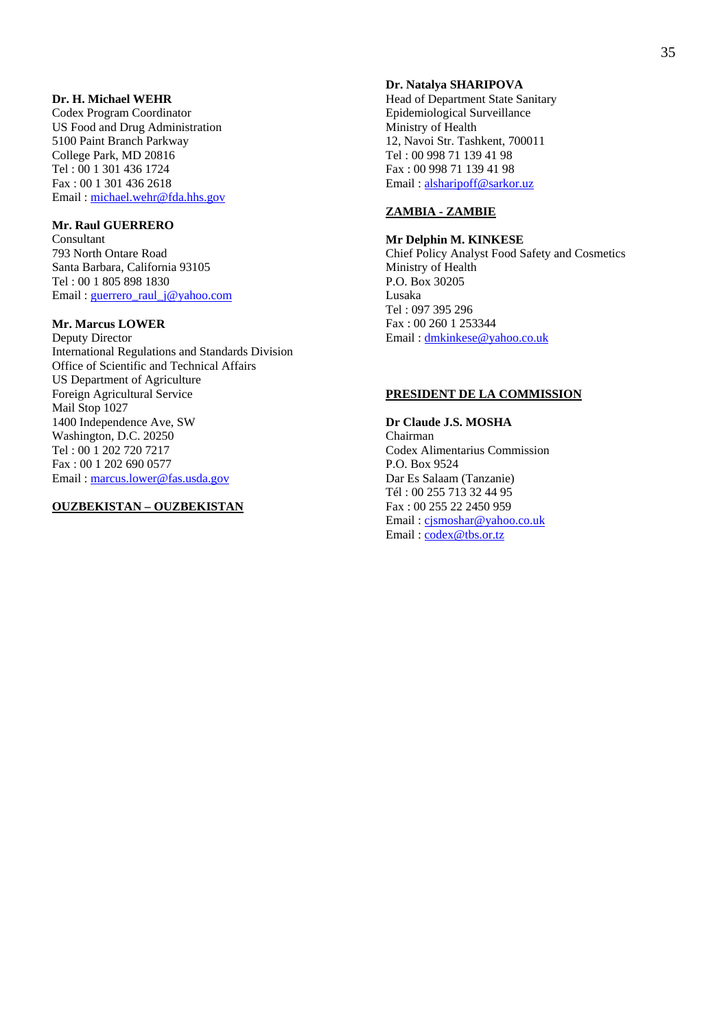#### **Dr. H. Michael WEHR**

Codex Program Coordinator US Food and Drug Administration 5100 Paint Branch Parkway College Park, MD 20816 Tel : 00 1 301 436 1724 Fax : 00 1 301 436 2618 Email : [michael.wehr@fda.hhs.gov](mailto:michael.wehr@fda.hhs.gov)

### **Mr. Raul GUERRERO**

Consultant 793 North Ontare Road Santa Barbara, California 93105 Tel : 00 1 805 898 1830 Email : [guerrero\\_raul\\_j@yahoo.com](mailto:guerrero_raul_j@yahoo.com)

## **Mr. Marcus LOWER**

Deputy Director International Regulations and Standards Division Office of Scientific and Technical Affairs US Department of Agriculture Foreign Agricultural Service Mail Stop 1027 1400 Independence Ave, SW Washington, D.C. 20250 Tel : 00 1 202 720 7217 Fax : 00 1 202 690 0577 Email : [marcus.lower@fas.usda.gov](mailto:marcus.lower@fas.usda.gov)

## **OUZBEKISTAN – OUZBEKISTAN**

#### **Dr. Natalya SHARIPOVA**

Head of Department State Sanitary Epidemiological Surveillance Ministry of Health 12, Navoi Str. Tashkent, 700011 Tel : 00 998 71 139 41 98 Fax : 00 998 71 139 41 98 Email : [alsharipoff@sarkor.uz](mailto:alsharipoff@sarkor.uz)

## **ZAMBIA - ZAMBIE**

### **Mr Delphin M. KINKESE**

Chief Policy Analyst Food Safety and Cosmetics Ministry of Health P.O. Box 30205 Lusaka Tel : 097 395 296 Fax : 00 260 1 253344 Email: [dmkinkese@yahoo.co.uk](mailto:dmkinkese@yahoo.co.uk)

#### **PRESIDENT DE LA COMMISSION**

**Dr Claude J.S. MOSHA**  Chairman Codex Alimentarius Commission P.O. Box 9524 Dar Es Salaam (Tanzanie) Tél : 00 255 713 32 44 95 Fax : 00 255 22 2450 959 Email : [cjsmoshar@yahoo.co.uk](mailto:cjsmoshar@yahoo.co.uk) Email : [codex@tbs.or.tz](mailto:codex@tbs.or.tz)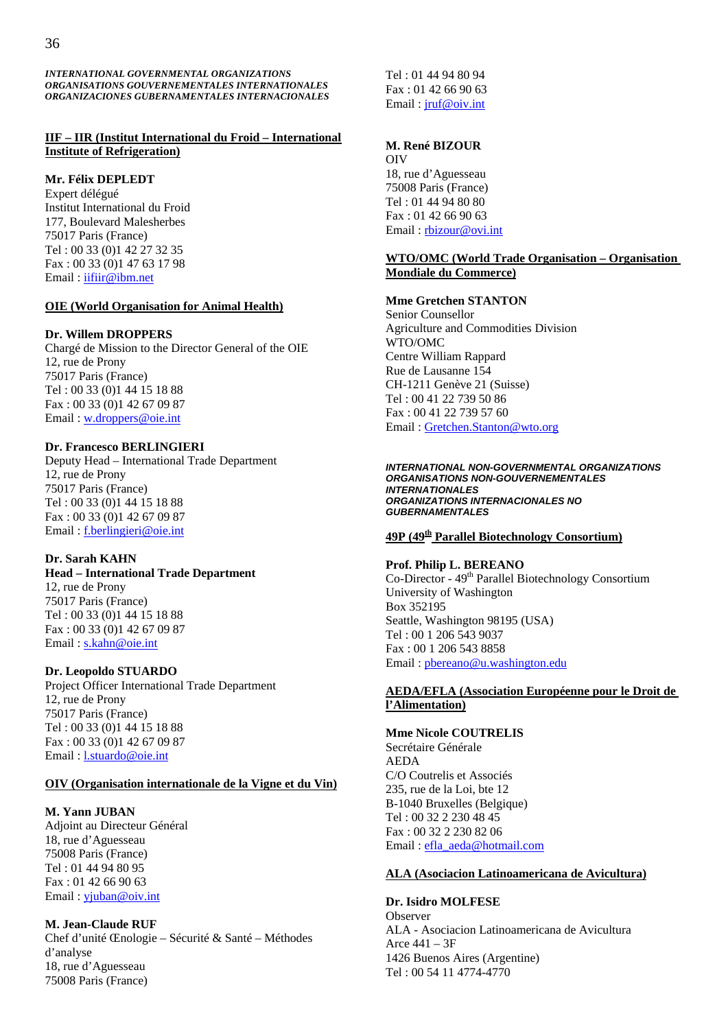*INTERNATIONAL GOVERNMENTAL ORGANIZATIONS ORGANISATIONS GOUVERNEMENTALES INTERNATIONALES ORGANIZACIONES GUBERNAMENTALES INTERNACIONALES* 

### **IIF – IIR (Institut International du Froid – International Institute of Refrigeration)**

## **Mr. Félix DEPLEDT**

Expert délégué Institut International du Froid 177, Boulevard Malesherbes 75017 Paris (France) Tel : 00 33 (0)1 42 27 32 35 Fax : 00 33 (0)1 47 63 17 98 Email: [iifiir@ibm.net](mailto:iifiir@ibm.net)

## **OIE (World Organisation for Animal Health)**

## **Dr. Willem DROPPERS**

Chargé de Mission to the Director General of the OIE 12, rue de Prony 75017 Paris (France) Tel : 00 33 (0)1 44 15 18 88 Fax : 00 33 (0)1 42 67 09 87 Email: [w.droppers@oie.int](mailto:w.droppers@oie.int)

## **Dr. Francesco BERLINGIERI**

Deputy Head – International Trade Department 12, rue de Prony 75017 Paris (France) Tel : 00 33 (0)1 44 15 18 88 Fax : 00 33 (0)1 42 67 09 87 Email : [f.berlingieri@oie.int](mailto:f.berlingieri@oie.int)

## **Dr. Sarah KAHN**

**Head – International Trade Department**  12, rue de Prony 75017 Paris (France) Tel : 00 33 (0)1 44 15 18 88 Fax : 00 33 (0)1 42 67 09 87 Email : [s.kahn@oie.int](mailto:s.kahn@oie.int)

### **Dr. Leopoldo STUARDO**

Project Officer International Trade Department 12, rue de Prony 75017 Paris (France) Tel : 00 33 (0)1 44 15 18 88 Fax : 00 33 (0)1 42 67 09 87 Email : [l.stuardo@oie.int](mailto:l.stuardo@oie.int)

### **OIV (Organisation internationale de la Vigne et du Vin)**

## **M. Yann JUBAN**

Adjoint au Directeur Général 18, rue d'Aguesseau 75008 Paris (France) Tel : 01 44 94 80 95 Fax : 01 42 66 90 63 Email: [yjuban@oiv.int](mailto:yjuban@oiv.int)

## **M. Jean-Claude RUF**

Chef d'unité Œnologie – Sécurité & Santé – Méthodes d'analyse 18, rue d'Aguesseau 75008 Paris (France)

Tel : 01 44 94 80 94 Fax : 01 42 66 90 63 Email : [jruf@oiv.int](mailto:jruf@oiv.int)

## **M. René BIZOUR**

**OIV** 18, rue d'Aguesseau 75008 Paris (France) Tel : 01 44 94 80 80 Fax : 01 42 66 90 63 Email: [rbizour@ovi.int](mailto:rbizour@ovi.int)

## **WTO/OMC (World Trade Organisation – Organisation Mondiale du Commerce)**

## **Mme Gretchen STANTON**

Senior Counsellor Agriculture and Commodities Division WTO/OMC Centre William Rappard Rue de Lausanne 154 CH-1211 Genève 21 (Suisse) Tel : 00 41 22 739 50 86 Fax : 00 41 22 739 57 60 Email : [Gretchen.Stanton@wto.org](mailto:Gretchen.Stanton@wto.org)

#### *INTERNATIONAL NON-GOVERNMENTAL ORGANIZATIONS ORGANISATIONS NON-GOUVERNEMENTALES INTERNATIONALES ORGANIZATIONS INTERNACIONALES NO GUBERNAMENTALES*

## **49P (49th Parallel Biotechnology Consortium)**

### **Prof. Philip L. BEREANO**

Co-Director - 49<sup>th</sup> Parallel Biotechnology Consortium University of Washington Box 352195 Seattle, Washington 98195 (USA) Tel : 00 1 206 543 9037 Fax : 00 1 206 543 8858 Email : [pbereano@u.washington.edu](mailto:pbereano@washington.edu)

### **AEDA/EFLA (Association Européenne pour le Droit de l'Alimentation)**

**Mme Nicole COUTRELIS**  Secrétaire Générale AEDA C/O Coutrelis et Associés 235, rue de la Loi, bte 12 B-1040 Bruxelles (Belgique) Tel : 00 32 2 230 48 45 Fax : 00 32 2 230 82 06 Email : [efla\\_aeda@hotmail.com](mailto:efla_aeda@hotmail.com)

### **ALA (Asociacion Latinoamericana de Avicultura)**

# **Dr. Isidro MOLFESE**

Observer ALA - Asociacion Latinoamericana de Avicultura Arce 441 – 3F 1426 Buenos Aires (Argentine) Tel : 00 54 11 4774-4770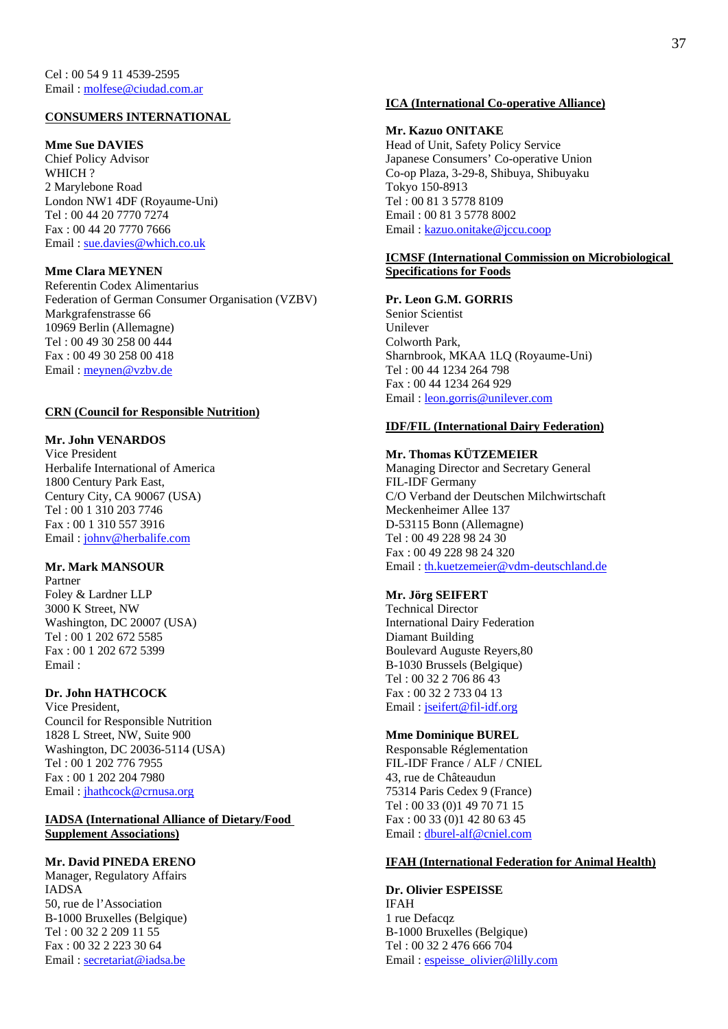### **CONSUMERS INTERNATIONAL**

#### **Mme Sue DAVIES**

Chief Policy Advisor WHICH? 2 Marylebone Road London NW1 4DF (Royaume-Uni) Tel : 00 44 20 7770 7274 Fax : 00 44 20 7770 7666 Email : [sue.davies@which.co.uk](mailto:sue.davies@which.co.uk)

### **Mme Clara MEYNEN**

Referentin Codex Alimentarius Federation of German Consumer Organisation (VZBV) Markgrafenstrasse 66 10969 Berlin (Allemagne) Tel : 00 49 30 258 00 444 Fax : 00 49 30 258 00 418 Email : [meynen@vzbv.de](mailto:meynen@vzbv.de)

#### **CRN (Council for Responsible Nutrition)**

### **Mr. John VENARDOS**

Vice President Herbalife International of America 1800 Century Park East, Century City, CA 90067 (USA) Tel : 00 1 310 203 7746 Fax : 00 1 310 557 3916 Email : [johnv@herbalife.com](mailto:johnv@herbalife.com)

## **Mr. Mark MANSOUR**

Partner Foley & Lardner LLP 3000 K Street, NW Washington, DC 20007 (USA) Tel : 00 1 202 672 5585 Fax : 00 1 202 672 5399 Email :

## **Dr. John HATHCOCK**

Vice President, Council for Responsible Nutrition 1828 L Street, NW, Suite 900 Washington, DC 20036-5114 (USA) Tel : 00 1 202 776 7955 Fax : 00 1 202 204 7980 Email : [jhathcock@crnusa.org](mailto:jhathcock@crnusa.org)

### **IADSA (International Alliance of Dietary/Food Supplement Associations)**

### **Mr. David PINEDA ERENO**

Manager, Regulatory Affairs IADSA 50, rue de l'Association B-1000 Bruxelles (Belgique) Tel : 00 32 2 209 11 55 Fax : 00 32 2 223 30 64 Email : [secretariat@iadsa.be](mailto:secretariat@iadsa.be)

### **ICA (International Co-operative Alliance)**

## **Mr. Kazuo ONITAKE**

Head of Unit, Safety Policy Service Japanese Consumers' Co-operative Union Co-op Plaza, 3-29-8, Shibuya, Shibuyaku Tokyo 150-8913 Tel : 00 81 3 5778 8109 Email : 00 81 3 5778 8002 Email : [kazuo.onitake@jccu.coop](mailto:kazoo.onitake@jccu.coop)

### **ICMSF (International Commission on Microbiological Specifications for Foods**

## **Pr. Leon G.M. GORRIS**

Senior Scientist Unilever Colworth Park, Sharnbrook, MKAA 1LQ (Royaume-Uni) Tel : 00 44 1234 264 798 Fax : 00 44 1234 264 929 Email : [leon.gorris@unilever.com](mailto:leon.gorris@unilever.com)

### **IDF/FIL (International Dairy Federation)**

## **Mr. Thomas KÜTZEMEIER**

Managing Director and Secretary General FIL-IDF Germany C/O Verband der Deutschen Milchwirtschaft Meckenheimer Allee 137 D-53115 Bonn (Allemagne) Tel : 00 49 228 98 24 30 Fax : 00 49 228 98 24 320 Email : [th.kuetzemeier@vdm-deutschland.de](mailto:th.kuetzemeier@vdm-deutschland.de)

### **Mr. Jörg SEIFERT**

Technical Director International Dairy Federation Diamant Building Boulevard Auguste Reyers,80 B-1030 Brussels (Belgique) Tel : 00 32 2 706 86 43 Fax : 00 32 2 733 04 13 Email : [jseifert@fil-idf.org](mailto:jseifert@fil-idf.org)

#### **Mme Dominique BUREL**

Responsable Réglementation FIL-IDF France / ALF / CNIEL 43, rue de Châteaudun 75314 Paris Cedex 9 (France) Tel : 00 33 (0)1 49 70 71 15 Fax : 00 33 (0)1 42 80 63 45 Email : [dburel-alf@cniel.com](mailto:dburel-alf@cniel.com)

### **IFAH (International Federation for Animal Health)**

**Dr. Olivier ESPEISSE**  IFAH 1 rue Defacqz B-1000 Bruxelles (Belgique) Tel : 00 32 2 476 666 704 Email : [espeisse\\_olivier@lilly.com](mailto:espeisse_olivier@lilly.com)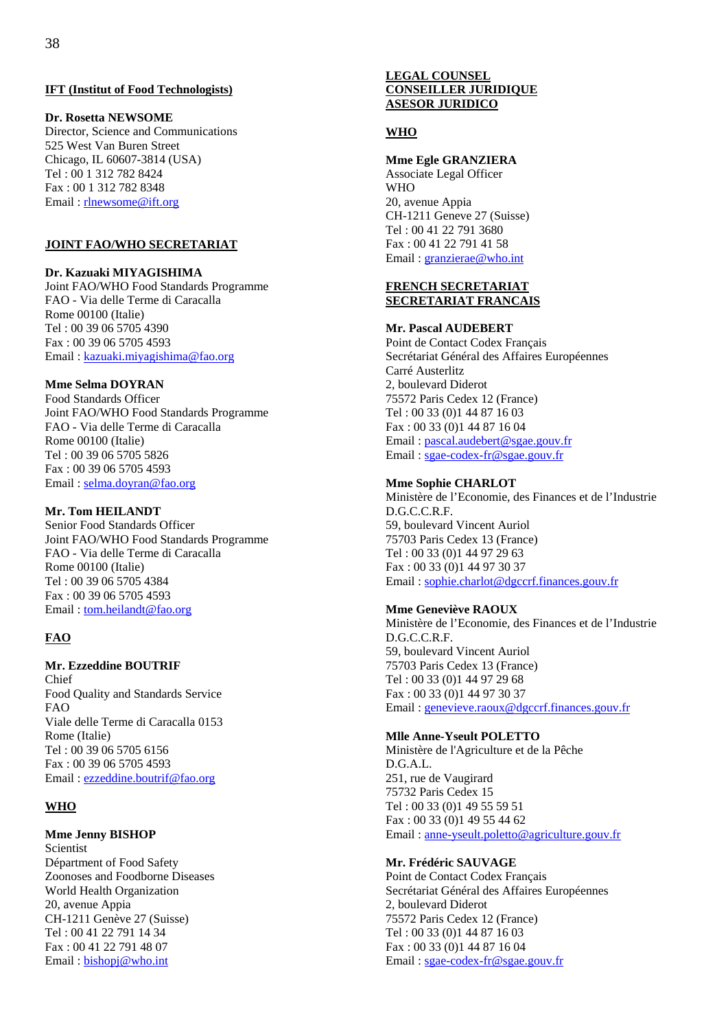### **IFT (Institut of Food Technologists)**

#### **Dr. Rosetta NEWSOME**

Director, Science and Communications 525 West Van Buren Street Chicago, IL 60607-3814 (USA) Tel : 00 1 312 782 8424 Fax : 00 1 312 782 8348 Email : [rlnewsome@ift.org](mailto:rlnewsome@ift.org)

#### **JOINT FAO/WHO SECRETARIAT**

#### **Dr. Kazuaki MIYAGISHIMA**

Joint FAO/WHO Food Standards Programme FAO - Via delle Terme di Caracalla Rome 00100 (Italie) Tel : 00 39 06 5705 4390 Fax : 00 39 06 5705 4593 Email : [kazuaki.miyagishima@fao.org](mailto:kazuaki.miyagishima@fao.org)

## **Mme Selma DOYRAN**

Food Standards Officer Joint FAO/WHO Food Standards Programme FAO - Via delle Terme di Caracalla Rome 00100 (Italie) Tel : 00 39 06 5705 5826 Fax : 00 39 06 5705 4593 Email : [selma.doyran@fao.org](mailto:selma.doyran@fao.org)

#### **Mr. Tom HEILANDT**

Senior Food Standards Officer Joint FAO/WHO Food Standards Programme FAO - Via delle Terme di Caracalla Rome 00100 (Italie) Tel : 00 39 06 5705 4384 Fax : 00 39 06 5705 4593 Email : [tom.heilandt@fao.org](mailto:tom.heilandt@fao.org)

## **FAO**

### **Mr. Ezzeddine BOUTRIF**

Chief Food Quality and Standards Service FAO Viale delle Terme di Caracalla 0153 Rome (Italie) Tel : 00 39 06 5705 6156 Fax : 00 39 06 5705 4593 Email : [ezzeddine.boutrif@fao.org](mailto:ezzeddine.boutrif@fao.org)

#### **WHO**

### **Mme Jenny BISHOP**

Scientist Départment of Food Safety Zoonoses and Foodborne Diseases World Health Organization 20, avenue Appia CH-1211 Genève 27 (Suisse) Tel : 00 41 22 791 14 34 Fax : 00 41 22 791 48 07 Email : [bishopj@who.int](mailto:bishopj@who.int)

#### **LEGAL COUNSEL CONSEILLER JURIDIQUE ASESOR JURIDICO**

#### **WHO**

**Mme Egle GRANZIERA**  Associate Legal Officer WHO 20, avenue Appia CH-1211 Geneve 27 (Suisse) Tel : 00 41 22 791 3680 Fax : 00 41 22 791 41 58 Email: [granzierae@who.int](mailto:granzierae@who.int)

#### **FRENCH SECRETARIAT SECRETARIAT FRANCAIS**

#### **Mr. Pascal AUDEBERT**

Point de Contact Codex Français Secrétariat Général des Affaires Européennes Carré Austerlitz 2, boulevard Diderot 75572 Paris Cedex 12 (France) Tel : 00 33 (0)1 44 87 16 03 Fax : 00 33 (0)1 44 87 16 04 Email : [pascal.audebert@sgae.gouv.fr](mailto:pascal.audebert@sgae.gouv.fr) Email : [sgae-codex-fr@sgae.gouv.fr](mailto:sgae-codex-fr@sgae.gouv.fr)

#### **Mme Sophie CHARLOT**

Ministère de l'Economie, des Finances et de l'Industrie D.G.C.C.R.F. 59, boulevard Vincent Auriol 75703 Paris Cedex 13 (France) Tel : 00 33 (0)1 44 97 29 63 Fax : 00 33 (0)1 44 97 30 37 Email : [sophie.charlot@dgccrf.finances.gouv.fr](mailto:sophie.charlot@dgccrf.finances.gouv.fr)

#### **Mme Geneviève RAOUX**

Ministère de l'Economie, des Finances et de l'Industrie D.G.C.C.R.F. 59, boulevard Vincent Auriol 75703 Paris Cedex 13 (France) Tel : 00 33 (0)1 44 97 29 68 Fax : 00 33 (0)1 44 97 30 37 Email : [genevieve.raoux@dgccrf.finances.gouv.fr](mailto:genevieve.raoux@dgccrf.finances.gouv.fr)

#### **Mlle Anne-Yseult POLETTO**

Ministère de l'Agriculture et de la Pêche D.G.A.L. 251, rue de Vaugirard 75732 Paris Cedex 15 Tel : 00 33 (0)1 49 55 59 51 Fax : 00 33 (0)1 49 55 44 62 Email : [anne-yseult.poletto@agriculture.gouv.fr](mailto:anne-yseult.poletto@agriculture.gouv.fr)

## **Mr. Frédéric SAUVAGE**

Point de Contact Codex Français Secrétariat Général des Affaires Européennes 2, boulevard Diderot 75572 Paris Cedex 12 (France) Tel : 00 33 (0)1 44 87 16 03 Fax : 00 33 (0)1 44 87 16 04 Email : [sgae-codex-fr@sgae.gouv.fr](mailto:sgae-codex-fr@sgae.gouv.fr)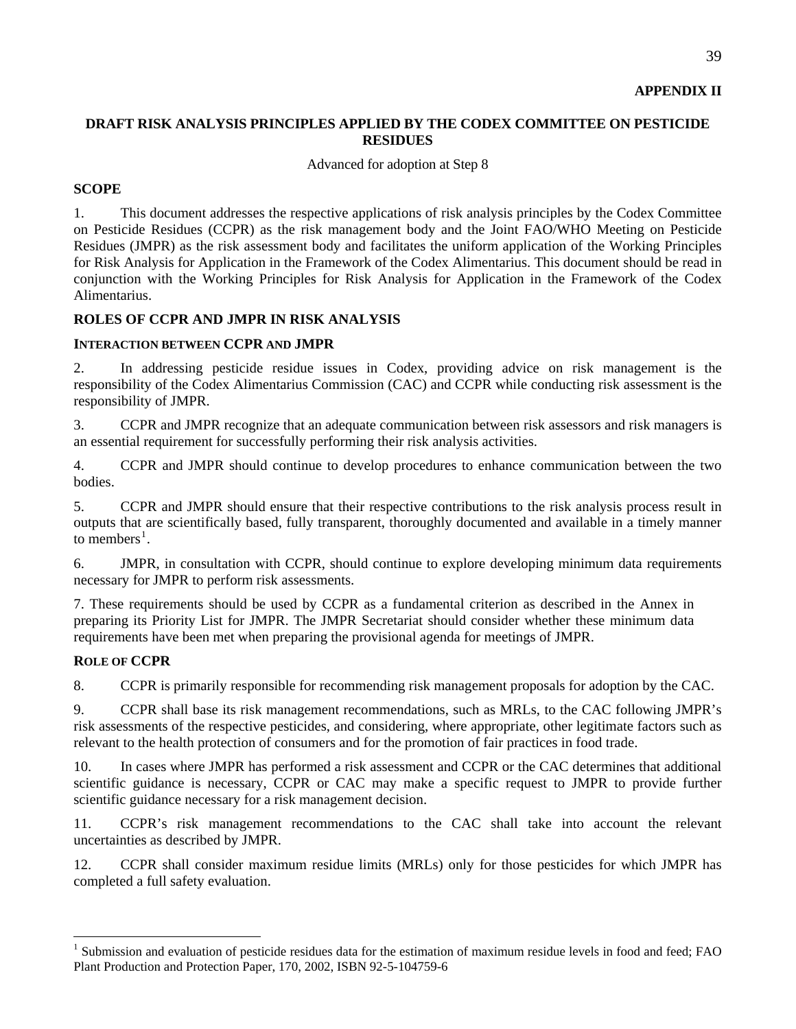## **APPENDIX II**

## **DRAFT RISK ANALYSIS PRINCIPLES APPLIED BY THE CODEX COMMITTEE ON PESTICIDE RESIDUES**

Advanced for adoption at Step 8

## **SCOPE**

1. This document addresses the respective applications of risk analysis principles by the Codex Committee on Pesticide Residues (CCPR) as the risk management body and the Joint FAO/WHO Meeting on Pesticide Residues (JMPR) as the risk assessment body and facilitates the uniform application of the Working Principles for Risk Analysis for Application in the Framework of the Codex Alimentarius. This document should be read in conjunction with the Working Principles for Risk Analysis for Application in the Framework of the Codex Alimentarius.

## **ROLES OF CCPR AND JMPR IN RISK ANALYSIS**

## **INTERACTION BETWEEN CCPR AND JMPR**

2. In addressing pesticide residue issues in Codex, providing advice on risk management is the responsibility of the Codex Alimentarius Commission (CAC) and CCPR while conducting risk assessment is the responsibility of JMPR.

3. CCPR and JMPR recognize that an adequate communication between risk assessors and risk managers is an essential requirement for successfully performing their risk analysis activities.

4. CCPR and JMPR should continue to develop procedures to enhance communication between the two bodies.

5. CCPR and JMPR should ensure that their respective contributions to the risk analysis process result in outputs that are scientifically based, fully transparent, thoroughly documented and available in a timely manner to members<sup>[1](#page-44-0)</sup>.

6. JMPR, in consultation with CCPR, should continue to explore developing minimum data requirements necessary for JMPR to perform risk assessments.

7. These requirements should be used by CCPR as a fundamental criterion as described in the Annex in preparing its Priority List for JMPR. The JMPR Secretariat should consider whether these minimum data requirements have been met when preparing the provisional agenda for meetings of JMPR.

## **ROLE OF CCPR**

8. CCPR is primarily responsible for recommending risk management proposals for adoption by the CAC.

9. CCPR shall base its risk management recommendations, such as MRLs, to the CAC following JMPR's risk assessments of the respective pesticides, and considering, where appropriate, other legitimate factors such as relevant to the health protection of consumers and for the promotion of fair practices in food trade.

10. In cases where JMPR has performed a risk assessment and CCPR or the CAC determines that additional scientific guidance is necessary, CCPR or CAC may make a specific request to JMPR to provide further scientific guidance necessary for a risk management decision.

11. CCPR's risk management recommendations to the CAC shall take into account the relevant uncertainties as described by JMPR.

12. CCPR shall consider maximum residue limits (MRLs) only for those pesticides for which JMPR has completed a full safety evaluation.

<span id="page-44-0"></span><sup>&</sup>lt;sup>1</sup> Submission and evaluation of pesticide residues data for the estimation of maximum residue levels in food and feed; FAO Plant Production and Protection Paper, 170, 2002, ISBN 92-5-104759-6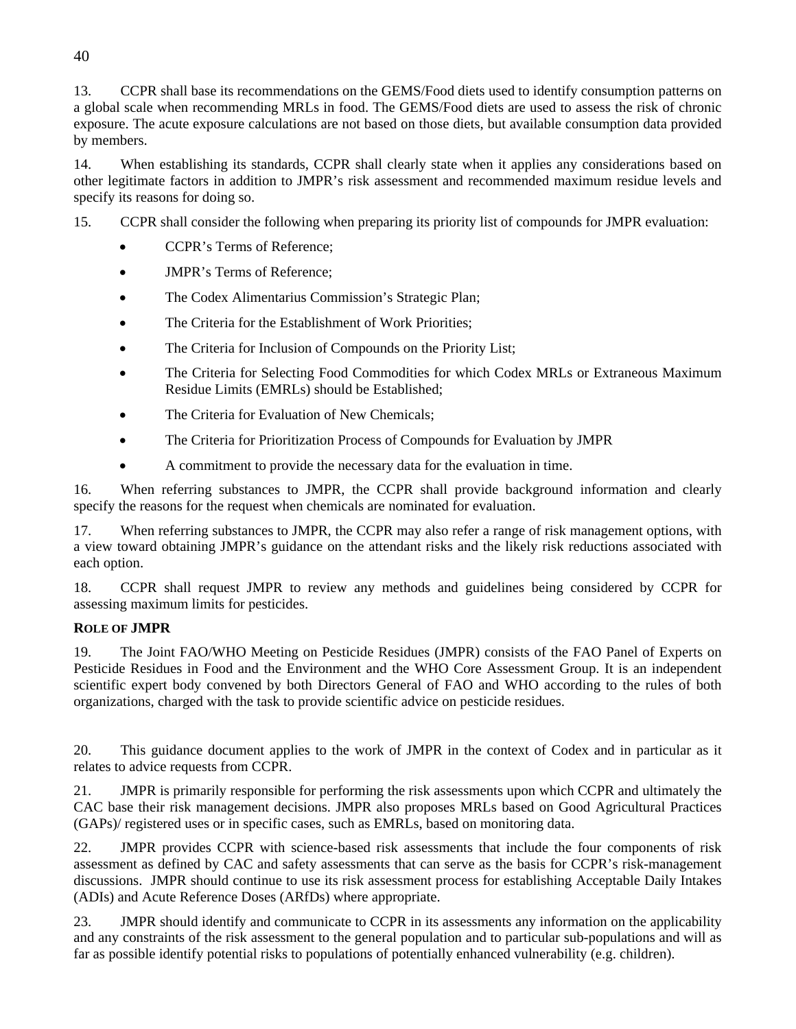13. CCPR shall base its recommendations on the GEMS/Food diets used to identify consumption patterns on a global scale when recommending MRLs in food. The GEMS/Food diets are used to assess the risk of chronic exposure. The acute exposure calculations are not based on those diets, but available consumption data provided by members.

14. When establishing its standards, CCPR shall clearly state when it applies any considerations based on other legitimate factors in addition to JMPR's risk assessment and recommended maximum residue levels and specify its reasons for doing so.

15. CCPR shall consider the following when preparing its priority list of compounds for JMPR evaluation:

- CCPR's Terms of Reference;
- **JMPR's Terms of Reference;**
- The Codex Alimentarius Commission's Strategic Plan;
- The Criteria for the Establishment of Work Priorities;
- The Criteria for Inclusion of Compounds on the Priority List;
- The Criteria for Selecting Food Commodities for which Codex MRLs or Extraneous Maximum Residue Limits (EMRLs) should be Established;
- The Criteria for Evaluation of New Chemicals;
- The Criteria for Prioritization Process of Compounds for Evaluation by JMPR
- A commitment to provide the necessary data for the evaluation in time.

16. When referring substances to JMPR, the CCPR shall provide background information and clearly specify the reasons for the request when chemicals are nominated for evaluation.

17. When referring substances to JMPR, the CCPR may also refer a range of risk management options, with a view toward obtaining JMPR's guidance on the attendant risks and the likely risk reductions associated with each option.

18. CCPR shall request JMPR to review any methods and guidelines being considered by CCPR for assessing maximum limits for pesticides.

## **ROLE OF JMPR**

19. The Joint FAO/WHO Meeting on Pesticide Residues (JMPR) consists of the FAO Panel of Experts on Pesticide Residues in Food and the Environment and the WHO Core Assessment Group. It is an independent scientific expert body convened by both Directors General of FAO and WHO according to the rules of both organizations, charged with the task to provide scientific advice on pesticide residues.

20. This guidance document applies to the work of JMPR in the context of Codex and in particular as it relates to advice requests from CCPR.

21. JMPR is primarily responsible for performing the risk assessments upon which CCPR and ultimately the CAC base their risk management decisions. JMPR also proposes MRLs based on Good Agricultural Practices (GAPs)/ registered uses or in specific cases, such as EMRLs, based on monitoring data.

22. JMPR provides CCPR with science-based risk assessments that include the four components of risk assessment as defined by CAC and safety assessments that can serve as the basis for CCPR's risk-management discussions. JMPR should continue to use its risk assessment process for establishing Acceptable Daily Intakes (ADIs) and Acute Reference Doses (ARfDs) where appropriate.

23. JMPR should identify and communicate to CCPR in its assessments any information on the applicability and any constraints of the risk assessment to the general population and to particular sub-populations and will as far as possible identify potential risks to populations of potentially enhanced vulnerability (e.g. children).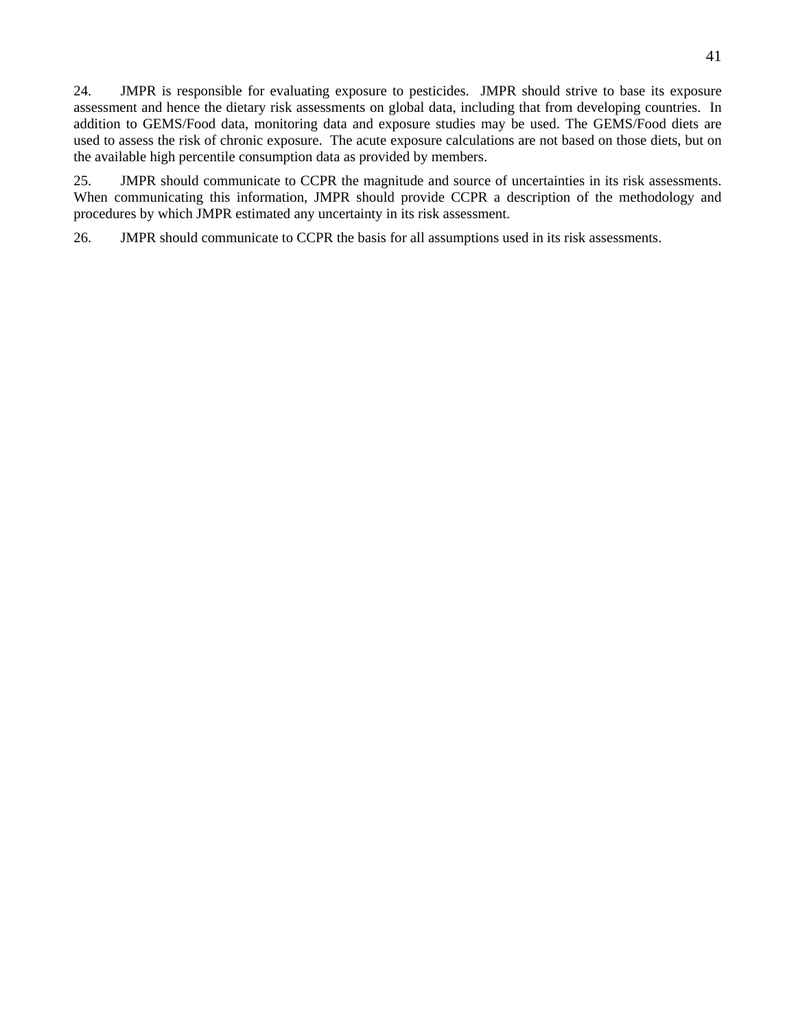24. JMPR is responsible for evaluating exposure to pesticides. JMPR should strive to base its exposure assessment and hence the dietary risk assessments on global data, including that from developing countries. In addition to GEMS/Food data, monitoring data and exposure studies may be used. The GEMS/Food diets are used to assess the risk of chronic exposure. The acute exposure calculations are not based on those diets, but on the available high percentile consumption data as provided by members.

25. JMPR should communicate to CCPR the magnitude and source of uncertainties in its risk assessments. When communicating this information, JMPR should provide CCPR a description of the methodology and procedures by which JMPR estimated any uncertainty in its risk assessment.

26. JMPR should communicate to CCPR the basis for all assumptions used in its risk assessments.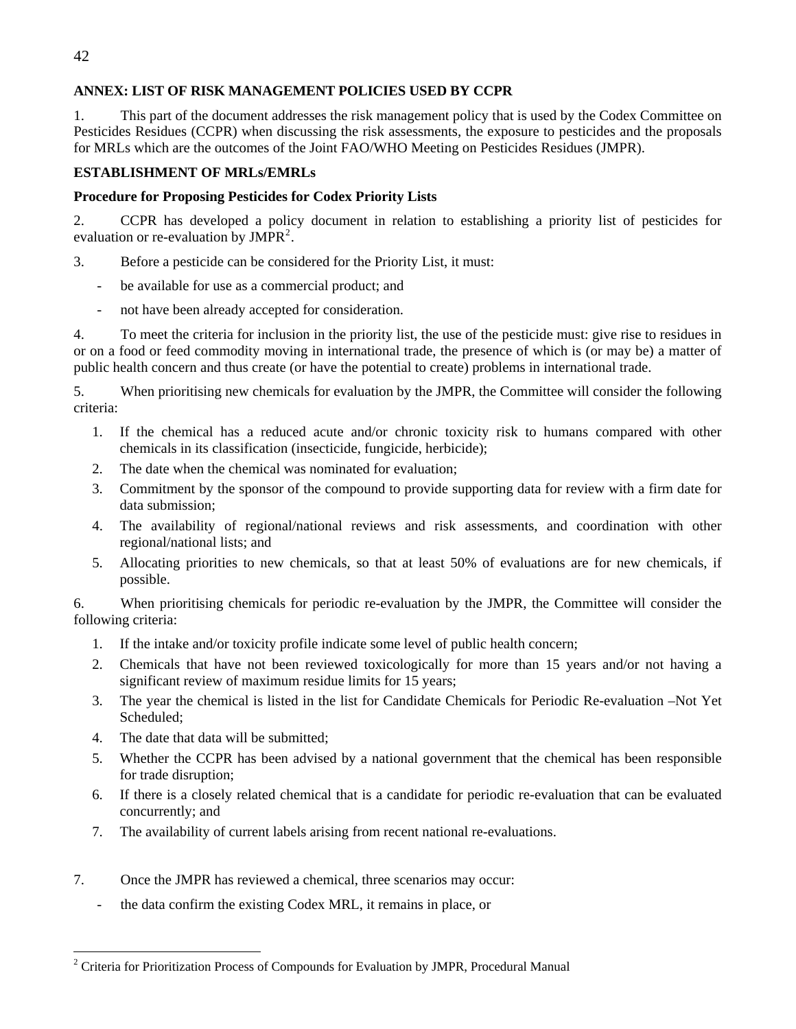## **ANNEX: LIST OF RISK MANAGEMENT POLICIES USED BY CCPR**

1. This part of the document addresses the risk management policy that is used by the Codex Committee on Pesticides Residues (CCPR) when discussing the risk assessments, the exposure to pesticides and the proposals for MRLs which are the outcomes of the Joint FAO/WHO Meeting on Pesticides Residues (JMPR).

## **ESTABLISHMENT OF MRLs/EMRLs**

## **Procedure for Proposing Pesticides for Codex Priority Lists**

2. CCPR has developed a policy document in relation to establishing a priority list of pesticides for evaluation or re-evaluation by  $J\text{MPR}^2$  $J\text{MPR}^2$ .

3. Before a pesticide can be considered for the Priority List, it must:

- be available for use as a commercial product; and
- not have been already accepted for consideration.

4. To meet the criteria for inclusion in the priority list, the use of the pesticide must: give rise to residues in or on a food or feed commodity moving in international trade, the presence of which is (or may be) a matter of public health concern and thus create (or have the potential to create) problems in international trade.

5. When prioritising new chemicals for evaluation by the JMPR, the Committee will consider the following criteria:

- 1. If the chemical has a reduced acute and/or chronic toxicity risk to humans compared with other chemicals in its classification (insecticide, fungicide, herbicide);
- 2. The date when the chemical was nominated for evaluation;
- 3. Commitment by the sponsor of the compound to provide supporting data for review with a firm date for data submission;
- 4. The availability of regional/national reviews and risk assessments, and coordination with other regional/national lists; and
- 5. Allocating priorities to new chemicals, so that at least 50% of evaluations are for new chemicals, if possible.

6. When prioritising chemicals for periodic re-evaluation by the JMPR, the Committee will consider the following criteria:

- 1. If the intake and/or toxicity profile indicate some level of public health concern;
- 2. Chemicals that have not been reviewed toxicologically for more than 15 years and/or not having a significant review of maximum residue limits for 15 years;
- 3. The year the chemical is listed in the list for Candidate Chemicals for Periodic Re-evaluation –Not Yet Scheduled;
- 4. The date that data will be submitted;
- 5. Whether the CCPR has been advised by a national government that the chemical has been responsible for trade disruption;
- 6. If there is a closely related chemical that is a candidate for periodic re-evaluation that can be evaluated concurrently; and
- 7. The availability of current labels arising from recent national re-evaluations.
- 7. Once the JMPR has reviewed a chemical, three scenarios may occur:
	- the data confirm the existing Codex MRL, it remains in place, or

<span id="page-47-0"></span><sup>&</sup>lt;sup>2</sup> Criteria for Prioritization Process of Compounds for Evaluation by JMPR, Procedural Manual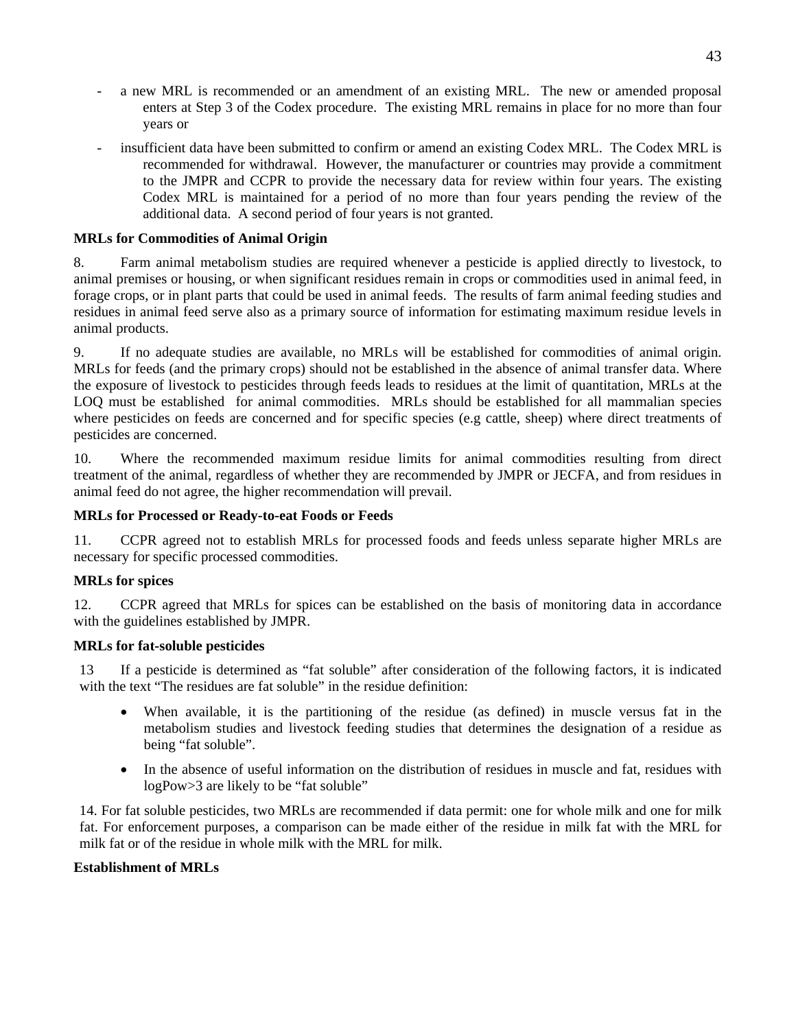- a new MRL is recommended or an amendment of an existing MRL. The new or amended proposal enters at Step 3 of the Codex procedure. The existing MRL remains in place for no more than four years or
- insufficient data have been submitted to confirm or amend an existing Codex MRL. The Codex MRL is recommended for withdrawal. However, the manufacturer or countries may provide a commitment to the JMPR and CCPR to provide the necessary data for review within four years. The existing Codex MRL is maintained for a period of no more than four years pending the review of the additional data. A second period of four years is not granted.

## **MRLs for Commodities of Animal Origin**

8. Farm animal metabolism studies are required whenever a pesticide is applied directly to livestock, to animal premises or housing, or when significant residues remain in crops or commodities used in animal feed, in forage crops, or in plant parts that could be used in animal feeds. The results of farm animal feeding studies and residues in animal feed serve also as a primary source of information for estimating maximum residue levels in animal products.

9. If no adequate studies are available, no MRLs will be established for commodities of animal origin. MRLs for feeds (and the primary crops) should not be established in the absence of animal transfer data. Where the exposure of livestock to pesticides through feeds leads to residues at the limit of quantitation, MRLs at the LOQ must be established for animal commodities. MRLs should be established for all mammalian species where pesticides on feeds are concerned and for specific species (e.g cattle, sheep) where direct treatments of pesticides are concerned.

10. Where the recommended maximum residue limits for animal commodities resulting from direct treatment of the animal, regardless of whether they are recommended by JMPR or JECFA, and from residues in animal feed do not agree, the higher recommendation will prevail.

## **MRLs for Processed or Ready-to-eat Foods or Feeds**

11. CCPR agreed not to establish MRLs for processed foods and feeds unless separate higher MRLs are necessary for specific processed commodities.

## **MRLs for spices**

12. CCPR agreed that MRLs for spices can be established on the basis of monitoring data in accordance with the guidelines established by JMPR.

## **MRLs for fat-soluble pesticides**

13 If a pesticide is determined as "fat soluble" after consideration of the following factors, it is indicated with the text "The residues are fat soluble" in the residue definition:

- When available, it is the partitioning of the residue (as defined) in muscle versus fat in the metabolism studies and livestock feeding studies that determines the designation of a residue as being "fat soluble".
- In the absence of useful information on the distribution of residues in muscle and fat, residues with logPow>3 are likely to be "fat soluble"

14. For fat soluble pesticides, two MRLs are recommended if data permit: one for whole milk and one for milk fat. For enforcement purposes, a comparison can be made either of the residue in milk fat with the MRL for milk fat or of the residue in whole milk with the MRL for milk.

## **Establishment of MRLs**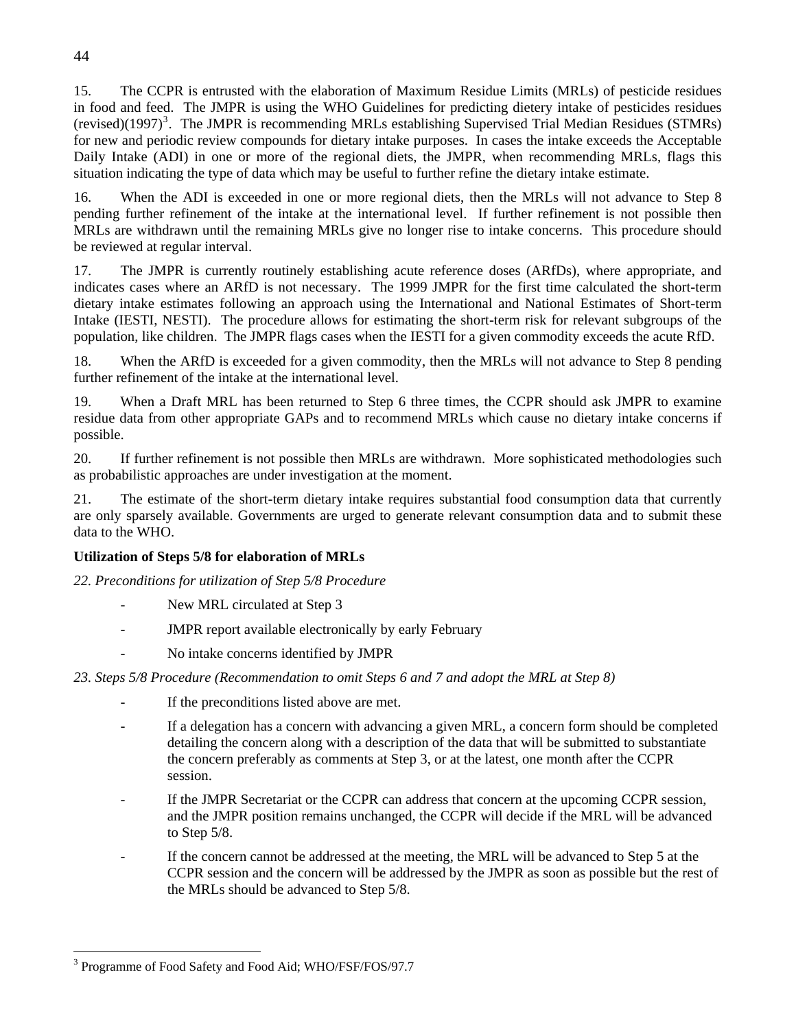15. The CCPR is entrusted with the elaboration of Maximum Residue Limits (MRLs) of pesticide residues in food and feed. The JMPR is using the WHO Guidelines for predicting dietery intake of pesticides residues  $(revised)(1997)^3$  $(revised)(1997)^3$ . The JMPR is recommending MRLs establishing Supervised Trial Median Residues (STMRs) for new and periodic review compounds for dietary intake purposes. In cases the intake exceeds the Acceptable Daily Intake (ADI) in one or more of the regional diets, the JMPR, when recommending MRLs, flags this situation indicating the type of data which may be useful to further refine the dietary intake estimate.

16. When the ADI is exceeded in one or more regional diets, then the MRLs will not advance to Step 8 pending further refinement of the intake at the international level. If further refinement is not possible then MRLs are withdrawn until the remaining MRLs give no longer rise to intake concerns. This procedure should be reviewed at regular interval.

17. The JMPR is currently routinely establishing acute reference doses (ARfDs), where appropriate, and indicates cases where an ARfD is not necessary. The 1999 JMPR for the first time calculated the short-term dietary intake estimates following an approach using the International and National Estimates of Short-term Intake (IESTI, NESTI). The procedure allows for estimating the short-term risk for relevant subgroups of the population, like children. The JMPR flags cases when the IESTI for a given commodity exceeds the acute RfD.

18. When the ARfD is exceeded for a given commodity, then the MRLs will not advance to Step 8 pending further refinement of the intake at the international level.

19. When a Draft MRL has been returned to Step 6 three times, the CCPR should ask JMPR to examine residue data from other appropriate GAPs and to recommend MRLs which cause no dietary intake concerns if possible.

20. If further refinement is not possible then MRLs are withdrawn. More sophisticated methodologies such as probabilistic approaches are under investigation at the moment.

21. The estimate of the short-term dietary intake requires substantial food consumption data that currently are only sparsely available. Governments are urged to generate relevant consumption data and to submit these data to the WHO.

## **Utilization of Steps 5/8 for elaboration of MRLs**

*22. Preconditions for utilization of Step 5/8 Procedure*

- New MRL circulated at Step 3
- JMPR report available electronically by early February
- No intake concerns identified by JMPR

## *23. Steps 5/8 Procedure (Recommendation to omit Steps 6 and 7 and adopt the MRL at Step 8)*

- If the preconditions listed above are met.
- If a delegation has a concern with advancing a given MRL, a concern form should be completed detailing the concern along with a description of the data that will be submitted to substantiate the concern preferably as comments at Step 3, or at the latest, one month after the CCPR session.
- If the JMPR Secretariat or the CCPR can address that concern at the upcoming CCPR session, and the JMPR position remains unchanged, the CCPR will decide if the MRL will be advanced to Step 5/8.
- If the concern cannot be addressed at the meeting, the MRL will be advanced to Step 5 at the CCPR session and the concern will be addressed by the JMPR as soon as possible but the rest of the MRLs should be advanced to Step 5/8.

 $\overline{a}$ 

<span id="page-49-0"></span><sup>&</sup>lt;sup>3</sup> Programme of Food Safety and Food Aid; WHO/FSF/FOS/97.7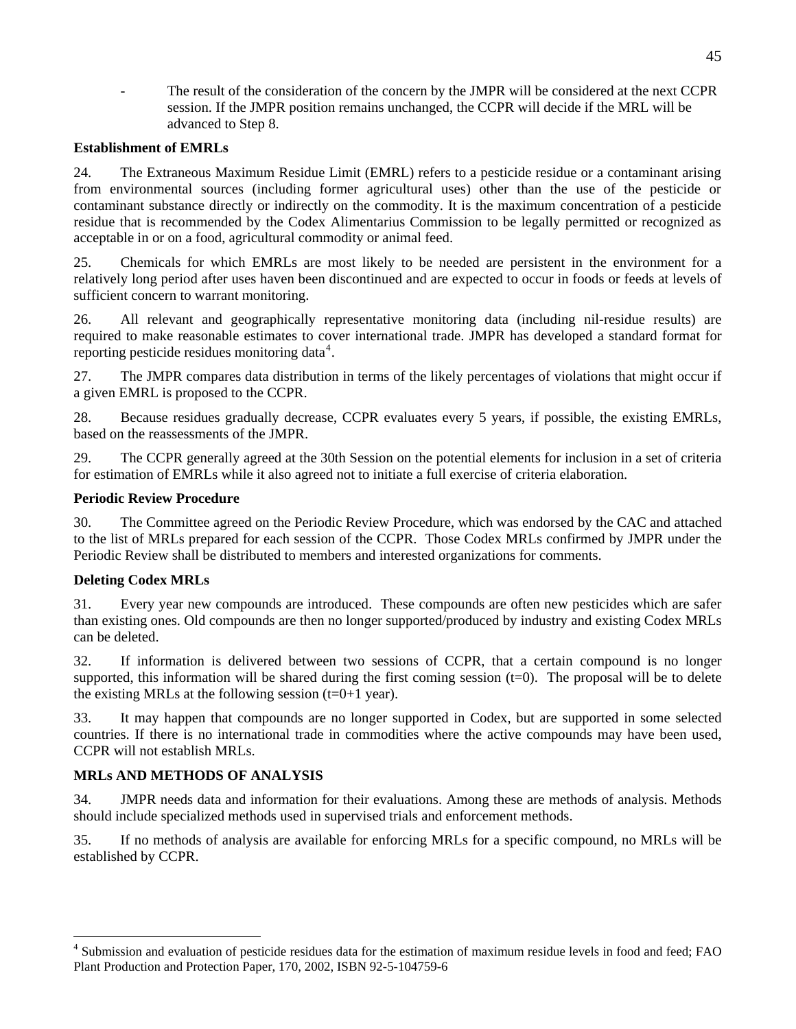The result of the consideration of the concern by the JMPR will be considered at the next CCPR session. If the JMPR position remains unchanged, the CCPR will decide if the MRL will be advanced to Step 8.

## **Establishment of EMRLs**

24. The Extraneous Maximum Residue Limit (EMRL) refers to a pesticide residue or a contaminant arising from environmental sources (including former agricultural uses) other than the use of the pesticide or contaminant substance directly or indirectly on the commodity. It is the maximum concentration of a pesticide residue that is recommended by the Codex Alimentarius Commission to be legally permitted or recognized as acceptable in or on a food, agricultural commodity or animal feed.

25. Chemicals for which EMRLs are most likely to be needed are persistent in the environment for a relatively long period after uses haven been discontinued and are expected to occur in foods or feeds at levels of sufficient concern to warrant monitoring.

26. All relevant and geographically representative monitoring data (including nil-residue results) are required to make reasonable estimates to cover international trade. JMPR has developed a standard format for reporting pesticide residues monitoring data $4$ .

27. The JMPR compares data distribution in terms of the likely percentages of violations that might occur if a given EMRL is proposed to the CCPR.

28. Because residues gradually decrease, CCPR evaluates every 5 years, if possible, the existing EMRLs, based on the reassessments of the JMPR.

29. The CCPR generally agreed at the 30th Session on the potential elements for inclusion in a set of criteria for estimation of EMRLs while it also agreed not to initiate a full exercise of criteria elaboration.

## **Periodic Review Procedure**

30. The Committee agreed on the Periodic Review Procedure, which was endorsed by the CAC and attached to the list of MRLs prepared for each session of the CCPR. Those Codex MRLs confirmed by JMPR under the Periodic Review shall be distributed to members and interested organizations for comments.

## **Deleting Codex MRLs**

31. Every year new compounds are introduced. These compounds are often new pesticides which are safer than existing ones. Old compounds are then no longer supported/produced by industry and existing Codex MRLs can be deleted.

32. If information is delivered between two sessions of CCPR, that a certain compound is no longer supported, this information will be shared during the first coming session  $(t=0)$ . The proposal will be to delete the existing MRLs at the following session ( $t=0+1$  year).

33. It may happen that compounds are no longer supported in Codex, but are supported in some selected countries. If there is no international trade in commodities where the active compounds may have been used, CCPR will not establish MRLs.

## **MRLs AND METHODS OF ANALYSIS**

34. JMPR needs data and information for their evaluations. Among these are methods of analysis. Methods should include specialized methods used in supervised trials and enforcement methods.

35. If no methods of analysis are available for enforcing MRLs for a specific compound, no MRLs will be established by CCPR.

<span id="page-50-0"></span><sup>&</sup>lt;sup>4</sup> Submission and evaluation of pesticide residues data for the estimation of maximum residue levels in food and feed; FAO Plant Production and Protection Paper, 170, 2002, ISBN 92-5-104759-6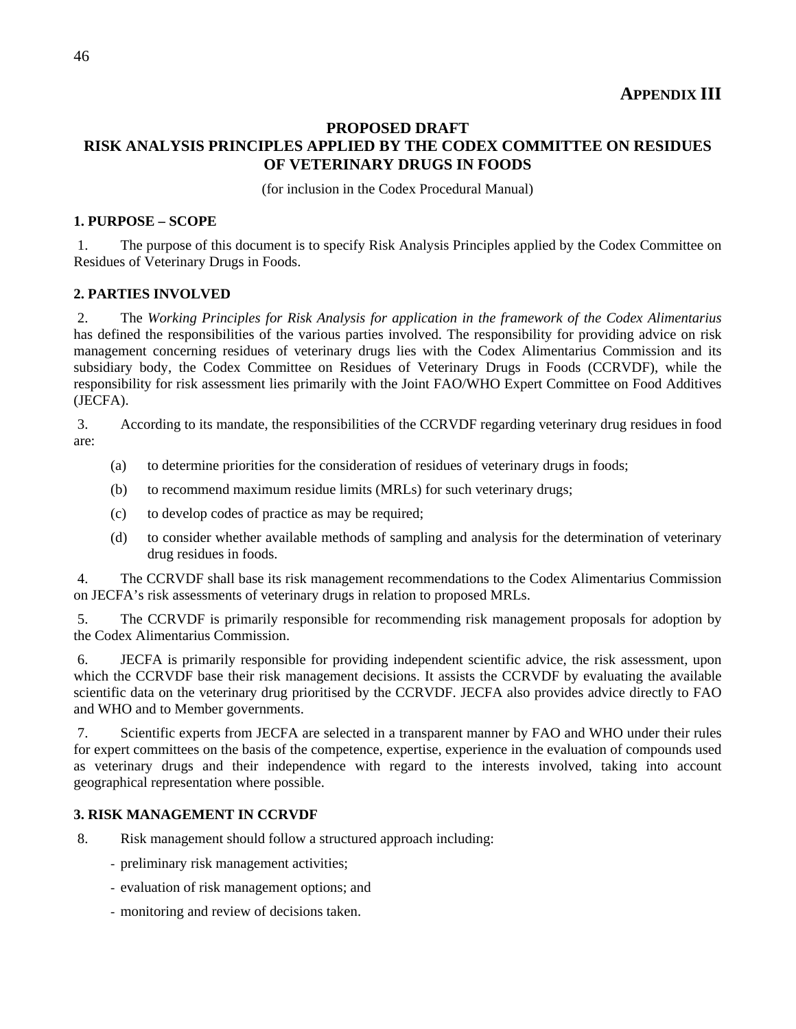## **PROPOSED DRAFT RISK ANALYSIS PRINCIPLES APPLIED BY THE CODEX COMMITTEE ON RESIDUES OF VETERINARY DRUGS IN FOODS**

(for inclusion in the Codex Procedural Manual)

## **1. PURPOSE – SCOPE**

1. The purpose of this document is to specify Risk Analysis Principles applied by the Codex Committee on Residues of Veterinary Drugs in Foods.

## **2. PARTIES INVOLVED**

2. The *Working Principles for Risk Analysis for application in the framework of the Codex Alimentarius* has defined the responsibilities of the various parties involved. The responsibility for providing advice on risk management concerning residues of veterinary drugs lies with the Codex Alimentarius Commission and its subsidiary body, the Codex Committee on Residues of Veterinary Drugs in Foods (CCRVDF), while the responsibility for risk assessment lies primarily with the Joint FAO/WHO Expert Committee on Food Additives (JECFA).

3. According to its mandate, the responsibilities of the CCRVDF regarding veterinary drug residues in food are:

- (a) to determine priorities for the consideration of residues of veterinary drugs in foods;
- (b) to recommend maximum residue limits (MRLs) for such veterinary drugs;
- (c) to develop codes of practice as may be required;
- (d) to consider whether available methods of sampling and analysis for the determination of veterinary drug residues in foods.

4. The CCRVDF shall base its risk management recommendations to the Codex Alimentarius Commission on JECFA's risk assessments of veterinary drugs in relation to proposed MRLs.

5. The CCRVDF is primarily responsible for recommending risk management proposals for adoption by the Codex Alimentarius Commission.

6. JECFA is primarily responsible for providing independent scientific advice, the risk assessment, upon which the CCRVDF base their risk management decisions. It assists the CCRVDF by evaluating the available scientific data on the veterinary drug prioritised by the CCRVDF. JECFA also provides advice directly to FAO and WHO and to Member governments.

7. Scientific experts from JECFA are selected in a transparent manner by FAO and WHO under their rules for expert committees on the basis of the competence, expertise, experience in the evaluation of compounds used as veterinary drugs and their independence with regard to the interests involved, taking into account geographical representation where possible.

## **3. RISK MANAGEMENT IN CCRVDF**

8. Risk management should follow a structured approach including:

- preliminary risk management activities;
- evaluation of risk management options; and
- monitoring and review of decisions taken.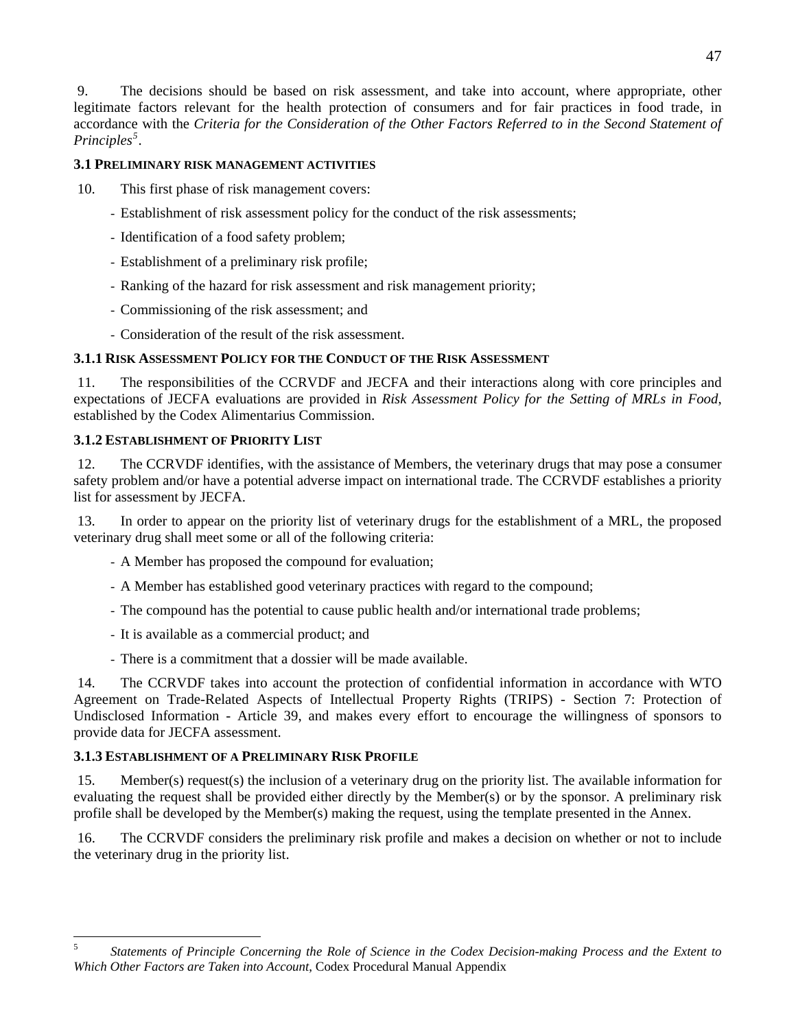9. The decisions should be based on risk assessment, and take into account, where appropriate, other legitimate factors relevant for the health protection of consumers and for fair practices in food trade, in accordance with the *Criteria for the Consideration of the Other Factors Referred to in the Second Statement of Principles[5](#page-52-0)* .

## **3.1 PRELIMINARY RISK MANAGEMENT ACTIVITIES**

- 10. This first phase of risk management covers:
	- Establishment of risk assessment policy for the conduct of the risk assessments;
	- Identification of a food safety problem;
	- Establishment of a preliminary risk profile;
	- Ranking of the hazard for risk assessment and risk management priority;
	- Commissioning of the risk assessment; and
	- Consideration of the result of the risk assessment.

## **3.1.1 RISK ASSESSMENT POLICY FOR THE CONDUCT OF THE RISK ASSESSMENT**

11. The responsibilities of the CCRVDF and JECFA and their interactions along with core principles and expectations of JECFA evaluations are provided in *Risk Assessment Policy for the Setting of MRLs in Food*, established by the Codex Alimentarius Commission.

## **3.1.2 ESTABLISHMENT OF PRIORITY LIST**

12. The CCRVDF identifies, with the assistance of Members, the veterinary drugs that may pose a consumer safety problem and/or have a potential adverse impact on international trade. The CCRVDF establishes a priority list for assessment by JECFA.

13. In order to appear on the priority list of veterinary drugs for the establishment of a MRL, the proposed veterinary drug shall meet some or all of the following criteria:

- A Member has proposed the compound for evaluation;
- A Member has established good veterinary practices with regard to the compound;
- The compound has the potential to cause public health and/or international trade problems;
- It is available as a commercial product; and
- There is a commitment that a dossier will be made available.

14. The CCRVDF takes into account the protection of confidential information in accordance with WTO Agreement on Trade-Related Aspects of Intellectual Property Rights (TRIPS) - Section 7: Protection of Undisclosed Information - Article 39, and makes every effort to encourage the willingness of sponsors to provide data for JECFA assessment.

## **3.1.3 ESTABLISHMENT OF A PRELIMINARY RISK PROFILE**

15. Member(s) request(s) the inclusion of a veterinary drug on the priority list. The available information for evaluating the request shall be provided either directly by the Member(s) or by the sponsor. A preliminary risk profile shall be developed by the Member(s) making the request, using the template presented in the Annex.

16. The CCRVDF considers the preliminary risk profile and makes a decision on whether or not to include the veterinary drug in the priority list.

<span id="page-52-0"></span> 5 *Statements of Principle Concerning the Role of Science in the Codex Decision-making Process and the Extent to Which Other Factors are Taken into Account*, Codex Procedural Manual Appendix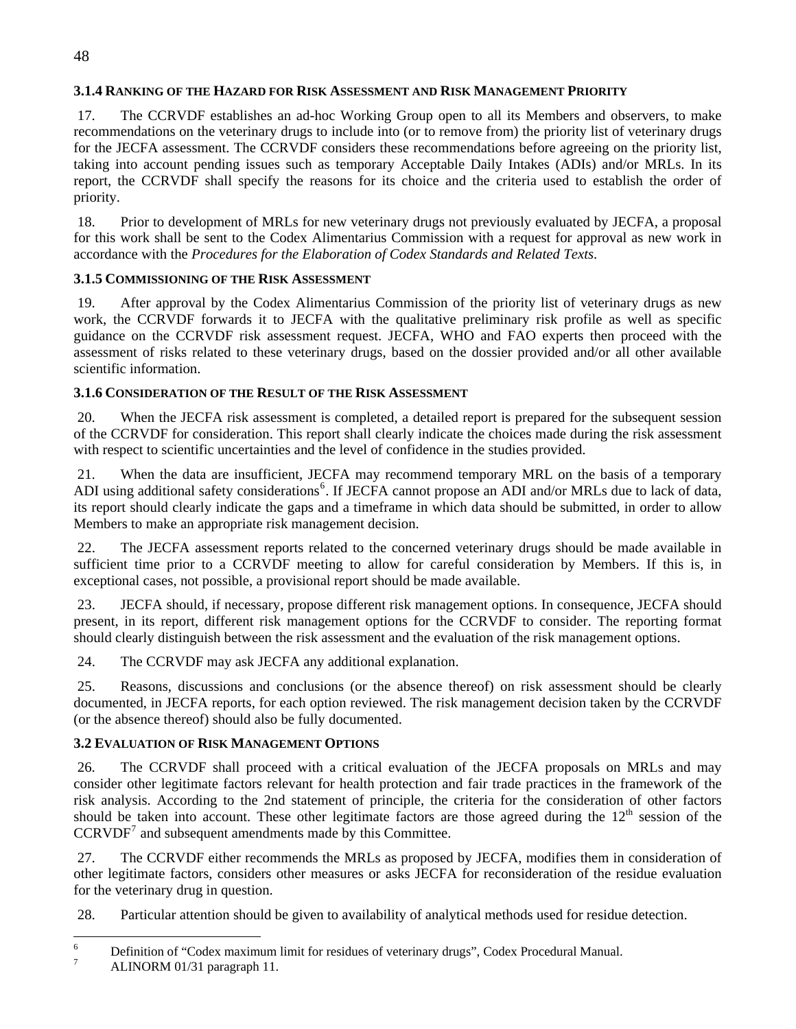## **3.1.4 RANKING OF THE HAZARD FOR RISK ASSESSMENT AND RISK MANAGEMENT PRIORITY**

17. The CCRVDF establishes an ad-hoc Working Group open to all its Members and observers, to make recommendations on the veterinary drugs to include into (or to remove from) the priority list of veterinary drugs for the JECFA assessment. The CCRVDF considers these recommendations before agreeing on the priority list, taking into account pending issues such as temporary Acceptable Daily Intakes (ADIs) and/or MRLs. In its report, the CCRVDF shall specify the reasons for its choice and the criteria used to establish the order of priority.

18. Prior to development of MRLs for new veterinary drugs not previously evaluated by JECFA, a proposal for this work shall be sent to the Codex Alimentarius Commission with a request for approval as new work in accordance with the *Procedures for the Elaboration of Codex Standards and Related Texts*.

## **3.1.5 COMMISSIONING OF THE RISK ASSESSMENT**

19. After approval by the Codex Alimentarius Commission of the priority list of veterinary drugs as new work, the CCRVDF forwards it to JECFA with the qualitative preliminary risk profile as well as specific guidance on the CCRVDF risk assessment request. JECFA, WHO and FAO experts then proceed with the assessment of risks related to these veterinary drugs, based on the dossier provided and/or all other available scientific information.

## **3.1.6 CONSIDERATION OF THE RESULT OF THE RISK ASSESSMENT**

20. When the JECFA risk assessment is completed, a detailed report is prepared for the subsequent session of the CCRVDF for consideration. This report shall clearly indicate the choices made during the risk assessment with respect to scientific uncertainties and the level of confidence in the studies provided.

21. When the data are insufficient, JECFA may recommend temporary MRL on the basis of a temporary ADI using additional safety considerations<sup>[6](#page-53-0)</sup>. If JECFA cannot propose an ADI and/or MRLs due to lack of data, its report should clearly indicate the gaps and a timeframe in which data should be submitted, in order to allow Members to make an appropriate risk management decision.

22. The JECFA assessment reports related to the concerned veterinary drugs should be made available in sufficient time prior to a CCRVDF meeting to allow for careful consideration by Members. If this is, in exceptional cases, not possible, a provisional report should be made available.

23. JECFA should, if necessary, propose different risk management options. In consequence, JECFA should present, in its report, different risk management options for the CCRVDF to consider. The reporting format should clearly distinguish between the risk assessment and the evaluation of the risk management options.

24. The CCRVDF may ask JECFA any additional explanation.

25. Reasons, discussions and conclusions (or the absence thereof) on risk assessment should be clearly documented, in JECFA reports, for each option reviewed. The risk management decision taken by the CCRVDF (or the absence thereof) should also be fully documented.

## **3.2 EVALUATION OF RISK MANAGEMENT OPTIONS**

26. The CCRVDF shall proceed with a critical evaluation of the JECFA proposals on MRLs and may consider other legitimate factors relevant for health protection and fair trade practices in the framework of the risk analysis. According to the 2nd statement of principle, the criteria for the consideration of other factors should be taken into account. These other legitimate factors are those agreed during the  $12<sup>th</sup>$  session of the  $CCRVDF<sup>7</sup>$  $CCRVDF<sup>7</sup>$  $CCRVDF<sup>7</sup>$  and subsequent amendments made by this Committee.

27. The CCRVDF either recommends the MRLs as proposed by JECFA, modifies them in consideration of other legitimate factors, considers other measures or asks JECFA for reconsideration of the residue evaluation for the veterinary drug in question.

28. Particular attention should be given to availability of analytical methods used for residue detection.

 $\frac{1}{6}$ Definition of "Codex maximum limit for residues of veterinary drugs", Codex Procedural Manual.

<span id="page-53-1"></span><span id="page-53-0"></span><sup>7</sup> ALINORM 01/31 paragraph 11.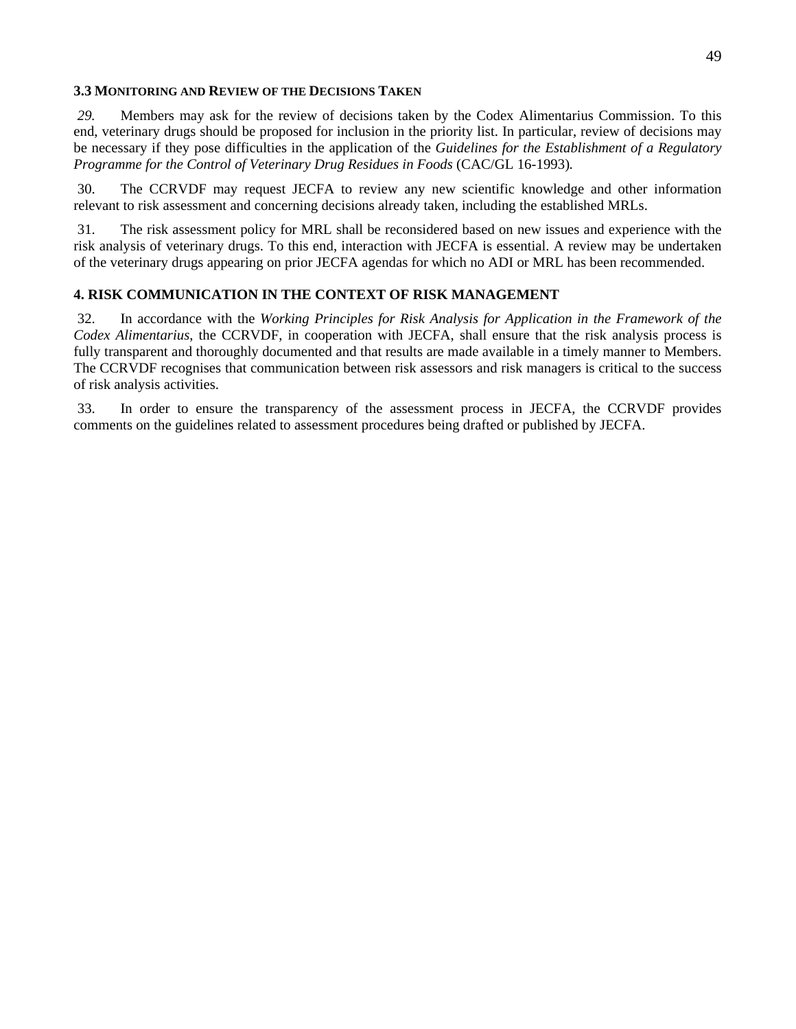#### **3.3 MONITORING AND REVIEW OF THE DECISIONS TAKEN**

*29.* Members may ask for the review of decisions taken by the Codex Alimentarius Commission. To this end, veterinary drugs should be proposed for inclusion in the priority list. In particular, review of decisions may be necessary if they pose difficulties in the application of the *Guidelines for the Establishment of a Regulatory Programme for the Control of Veterinary Drug Residues in Foods* (CAC/GL 16-1993)*.* 

30. The CCRVDF may request JECFA to review any new scientific knowledge and other information relevant to risk assessment and concerning decisions already taken, including the established MRLs.

31. The risk assessment policy for MRL shall be reconsidered based on new issues and experience with the risk analysis of veterinary drugs. To this end, interaction with JECFA is essential. A review may be undertaken of the veterinary drugs appearing on prior JECFA agendas for which no ADI or MRL has been recommended.

## **4. RISK COMMUNICATION IN THE CONTEXT OF RISK MANAGEMENT**

32. In accordance with the *Working Principles for Risk Analysis for Application in the Framework of the Codex Alimentarius*, the CCRVDF, in cooperation with JECFA, shall ensure that the risk analysis process is fully transparent and thoroughly documented and that results are made available in a timely manner to Members. The CCRVDF recognises that communication between risk assessors and risk managers is critical to the success of risk analysis activities.

33. In order to ensure the transparency of the assessment process in JECFA, the CCRVDF provides comments on the guidelines related to assessment procedures being drafted or published by JECFA.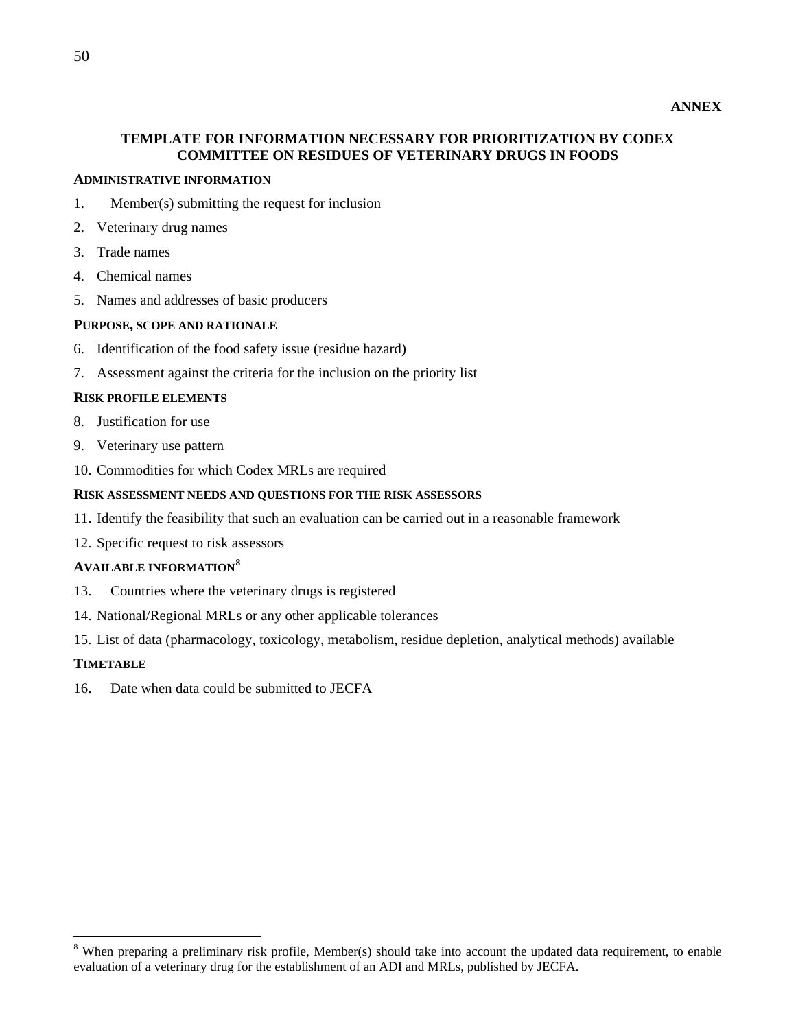## **TEMPLATE FOR INFORMATION NECESSARY FOR PRIORITIZATION BY CODEX COMMITTEE ON RESIDUES OF VETERINARY DRUGS IN FOODS**

## **ADMINISTRATIVE INFORMATION**

- 1. Member(s) submitting the request for inclusion
- 2. Veterinary drug names
- 3. Trade names
- 4. Chemical names
- 5. Names and addresses of basic producers

## **PURPOSE, SCOPE AND RATIONALE**

- 6. Identification of the food safety issue (residue hazard)
- 7. Assessment against the criteria for the inclusion on the priority list

### **RISK PROFILE ELEMENTS**

- 8. Justification for use
- 9. Veterinary use pattern
- 10. Commodities for which Codex MRLs are required

## **RISK ASSESSMENT NEEDS AND QUESTIONS FOR THE RISK ASSESSORS**

- 11. Identify the feasibility that such an evaluation can be carried out in a reasonable framework
- 12. Specific request to risk assessors

## **AVAILABLE INFORMATION[8](#page-55-0)**

- 13. Countries where the veterinary drugs is registered
- 14. National/Regional MRLs or any other applicable tolerances
- 15. List of data (pharmacology, toxicology, metabolism, residue depletion, analytical methods) available

## **TIMETABLE**

16. Date when data could be submitted to JECFA

<span id="page-55-0"></span> $8$  When preparing a preliminary risk profile, Member(s) should take into account the updated data requirement, to enable evaluation of a veterinary drug for the establishment of an ADI and MRLs, published by JECFA.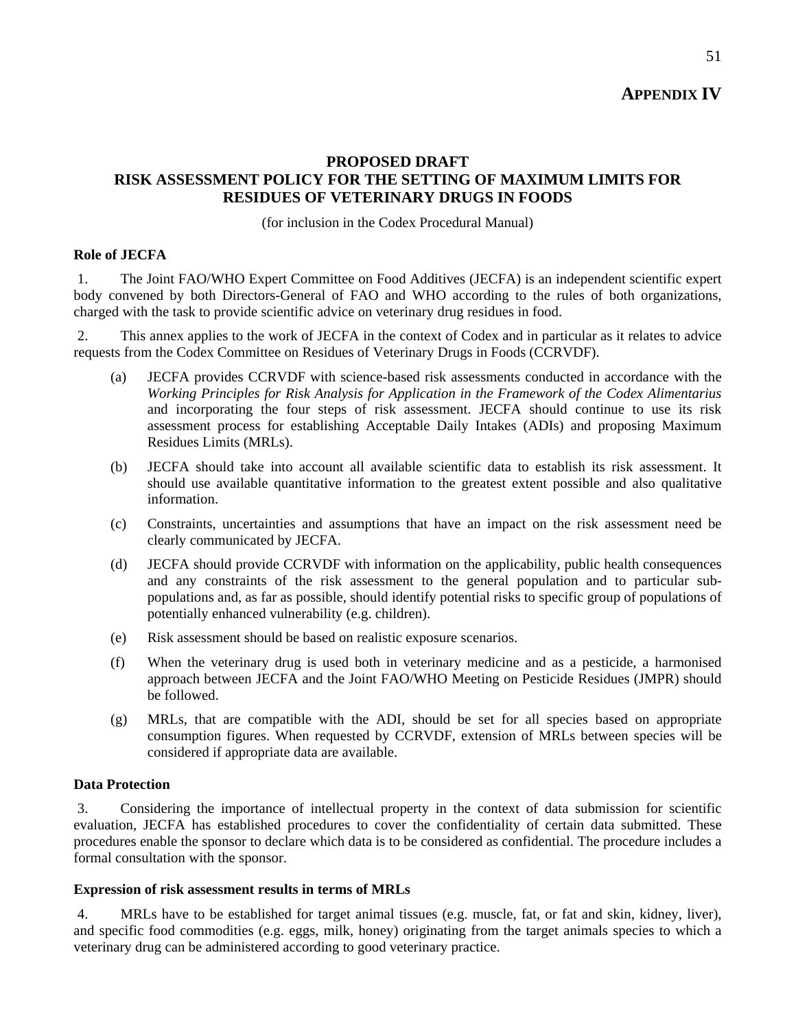# **APPENDIX IV**

## **PROPOSED DRAFT RISK ASSESSMENT POLICY FOR THE SETTING OF MAXIMUM LIMITS FOR RESIDUES OF VETERINARY DRUGS IN FOODS**

(for inclusion in the Codex Procedural Manual)

## **Role of JECFA**

1. The Joint FAO/WHO Expert Committee on Food Additives (JECFA) is an independent scientific expert body convened by both Directors-General of FAO and WHO according to the rules of both organizations, charged with the task to provide scientific advice on veterinary drug residues in food.

2. This annex applies to the work of JECFA in the context of Codex and in particular as it relates to advice requests from the Codex Committee on Residues of Veterinary Drugs in Foods (CCRVDF).

- (a) JECFA provides CCRVDF with science-based risk assessments conducted in accordance with the *Working Principles for Risk Analysis for Application in the Framework of the Codex Alimentarius* and incorporating the four steps of risk assessment. JECFA should continue to use its risk assessment process for establishing Acceptable Daily Intakes (ADIs) and proposing Maximum Residues Limits (MRLs).
- (b) JECFA should take into account all available scientific data to establish its risk assessment. It should use available quantitative information to the greatest extent possible and also qualitative information.
- (c) Constraints, uncertainties and assumptions that have an impact on the risk assessment need be clearly communicated by JECFA.
- (d) JECFA should provide CCRVDF with information on the applicability, public health consequences and any constraints of the risk assessment to the general population and to particular subpopulations and, as far as possible, should identify potential risks to specific group of populations of potentially enhanced vulnerability (e.g. children).
- (e) Risk assessment should be based on realistic exposure scenarios.
- (f) When the veterinary drug is used both in veterinary medicine and as a pesticide, a harmonised approach between JECFA and the Joint FAO/WHO Meeting on Pesticide Residues (JMPR) should be followed.
- (g) MRLs, that are compatible with the ADI, should be set for all species based on appropriate consumption figures. When requested by CCRVDF, extension of MRLs between species will be considered if appropriate data are available.

## **Data Protection**

3. Considering the importance of intellectual property in the context of data submission for scientific evaluation, JECFA has established procedures to cover the confidentiality of certain data submitted. These procedures enable the sponsor to declare which data is to be considered as confidential. The procedure includes a formal consultation with the sponsor.

## **Expression of risk assessment results in terms of MRLs**

4. MRLs have to be established for target animal tissues (e.g. muscle, fat, or fat and skin, kidney, liver), and specific food commodities (e.g. eggs, milk, honey) originating from the target animals species to which a veterinary drug can be administered according to good veterinary practice.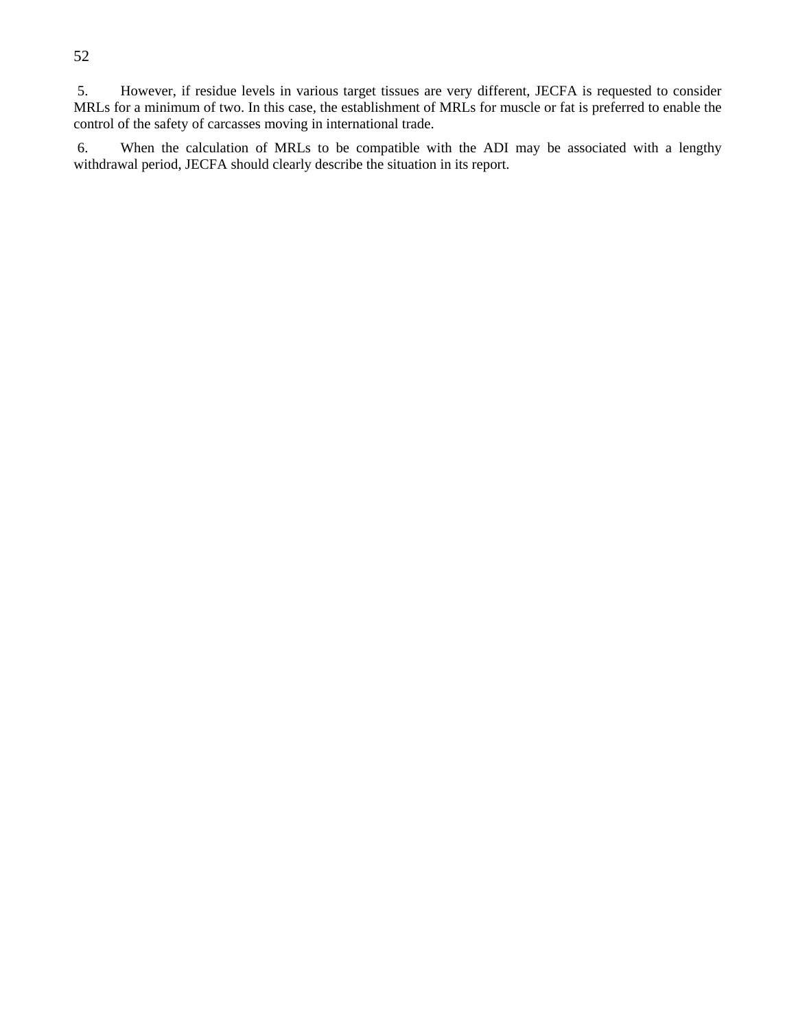5. However, if residue levels in various target tissues are very different, JECFA is requested to consider MRLs for a minimum of two. In this case, the establishment of MRLs for muscle or fat is preferred to enable the control of the safety of carcasses moving in international trade.

6. When the calculation of MRLs to be compatible with the ADI may be associated with a lengthy withdrawal period, JECFA should clearly describe the situation in its report.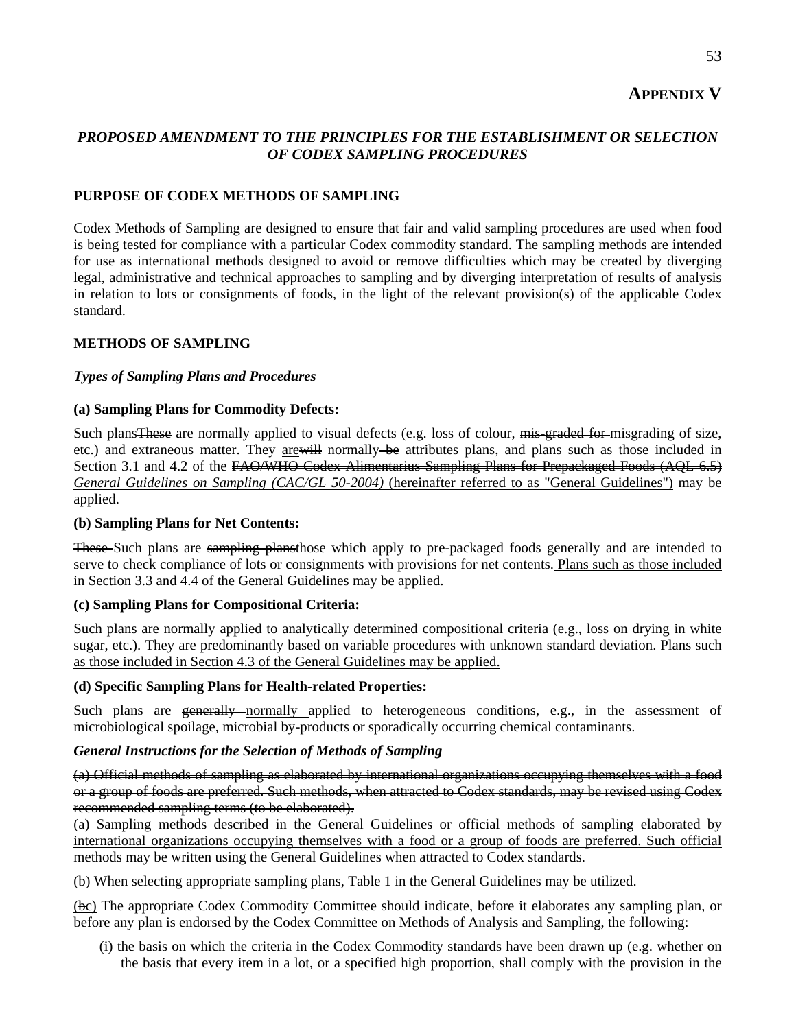# **APPENDIX V**

## *PROPOSED AMENDMENT TO THE PRINCIPLES FOR THE ESTABLISHMENT OR SELECTION OF CODEX SAMPLING PROCEDURES*

## **PURPOSE OF CODEX METHODS OF SAMPLING**

Codex Methods of Sampling are designed to ensure that fair and valid sampling procedures are used when food is being tested for compliance with a particular Codex commodity standard. The sampling methods are intended for use as international methods designed to avoid or remove difficulties which may be created by diverging legal, administrative and technical approaches to sampling and by diverging interpretation of results of analysis in relation to lots or consignments of foods, in the light of the relevant provision(s) of the applicable Codex standard.

## **METHODS OF SAMPLING**

## *Types of Sampling Plans and Procedures*

## **(a) Sampling Plans for Commodity Defects:**

Such plans<del>These</del> are normally applied to visual defects (e.g. loss of colour, mis-graded for misgrading of size, etc.) and extraneous matter. They are will normally be attributes plans, and plans such as those included in Section 3.1 and 4.2 of the FAO/WHO Codex Alimentarius Sampling Plans for Prepackaged Foods (AOL 6.5) *General Guidelines on Sampling (CAC/GL 50-2004)* (hereinafter referred to as "General Guidelines") may be applied.

## **(b) Sampling Plans for Net Contents:**

**These–Such plans are <del>sampling plans</del>those** which apply to pre-packaged foods generally and are intended to serve to check compliance of lots or consignments with provisions for net contents. Plans such as those included in Section 3.3 and 4.4 of the General Guidelines may be applied.

## **(c) Sampling Plans for Compositional Criteria:**

Such plans are normally applied to analytically determined compositional criteria (e.g., loss on drying in white sugar, etc.). They are predominantly based on variable procedures with unknown standard deviation. Plans such as those included in Section 4.3 of the General Guidelines may be applied.

## **(d) Specific Sampling Plans for Health-related Properties:**

Such plans are **generally**-normally applied to heterogeneous conditions, e.g., in the assessment of microbiological spoilage, microbial by-products or sporadically occurring chemical contaminants.

## *General Instructions for the Selection of Methods of Sampling*

(a) Official methods of sampling as elaborated by international organizations occupying themselves with a food or a group of foods are preferred. Such methods, when attracted to Codex standards, may be revised using Codex recommended sampling terms (to be elaborated).

(a) Sampling methods described in the General Guidelines or official methods of sampling elaborated by international organizations occupying themselves with a food or a group of foods are preferred. Such official methods may be written using the General Guidelines when attracted to Codex standards.

(b) When selecting appropriate sampling plans, Table 1 in the General Guidelines may be utilized.

(bc) The appropriate Codex Commodity Committee should indicate, before it elaborates any sampling plan, or before any plan is endorsed by the Codex Committee on Methods of Analysis and Sampling, the following:

(i) the basis on which the criteria in the Codex Commodity standards have been drawn up (e.g. whether on the basis that every item in a lot, or a specified high proportion, shall comply with the provision in the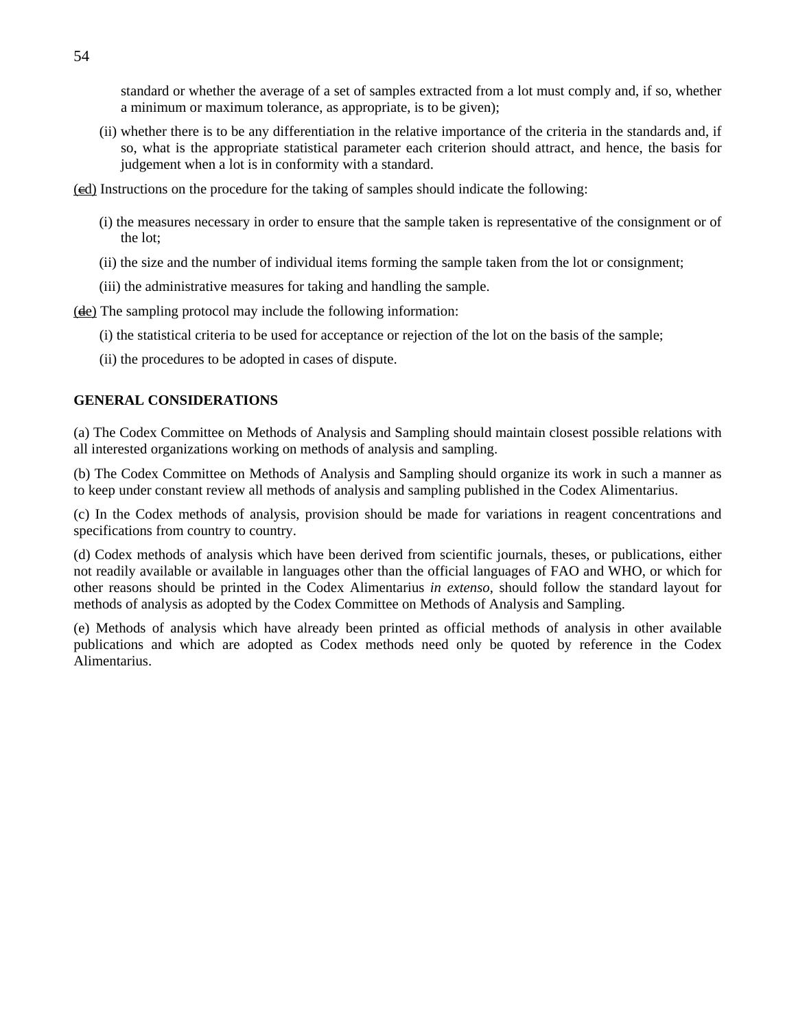standard or whether the average of a set of samples extracted from a lot must comply and, if so, whether a minimum or maximum tolerance, as appropriate, is to be given);

(ii) whether there is to be any differentiation in the relative importance of the criteria in the standards and, if so, what is the appropriate statistical parameter each criterion should attract, and hence, the basis for judgement when a lot is in conformity with a standard.

(cd) Instructions on the procedure for the taking of samples should indicate the following:

- (i) the measures necessary in order to ensure that the sample taken is representative of the consignment or of the lot;
- (ii) the size and the number of individual items forming the sample taken from the lot or consignment;
- (iii) the administrative measures for taking and handling the sample.

(de) The sampling protocol may include the following information:

- (i) the statistical criteria to be used for acceptance or rejection of the lot on the basis of the sample;
- (ii) the procedures to be adopted in cases of dispute.

## **GENERAL CONSIDERATIONS**

(a) The Codex Committee on Methods of Analysis and Sampling should maintain closest possible relations with all interested organizations working on methods of analysis and sampling.

(b) The Codex Committee on Methods of Analysis and Sampling should organize its work in such a manner as to keep under constant review all methods of analysis and sampling published in the Codex Alimentarius.

(c) In the Codex methods of analysis, provision should be made for variations in reagent concentrations and specifications from country to country.

(d) Codex methods of analysis which have been derived from scientific journals, theses, or publications, either not readily available or available in languages other than the official languages of FAO and WHO, or which for other reasons should be printed in the Codex Alimentarius *in extenso*, should follow the standard layout for methods of analysis as adopted by the Codex Committee on Methods of Analysis and Sampling.

(e) Methods of analysis which have already been printed as official methods of analysis in other available publications and which are adopted as Codex methods need only be quoted by reference in the Codex Alimentarius.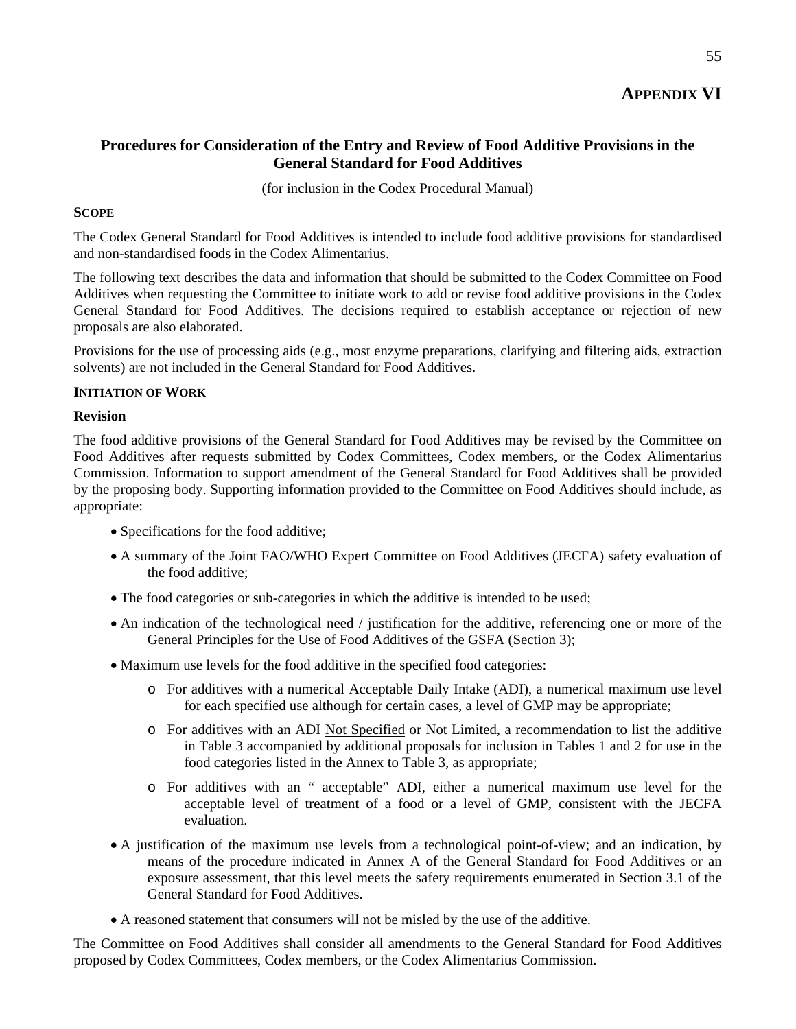# **APPENDIX VI**

## **Procedures for Consideration of the Entry and Review of Food Additive Provisions in the General Standard for Food Additives**

(for inclusion in the Codex Procedural Manual)

## **SCOPE**

The Codex General Standard for Food Additives is intended to include food additive provisions for standardised and non-standardised foods in the Codex Alimentarius.

The following text describes the data and information that should be submitted to the Codex Committee on Food Additives when requesting the Committee to initiate work to add or revise food additive provisions in the Codex General Standard for Food Additives. The decisions required to establish acceptance or rejection of new proposals are also elaborated.

Provisions for the use of processing aids (e.g., most enzyme preparations, clarifying and filtering aids, extraction solvents) are not included in the General Standard for Food Additives.

### **INITIATION OF WORK**

#### **Revision**

The food additive provisions of the General Standard for Food Additives may be revised by the Committee on Food Additives after requests submitted by Codex Committees, Codex members, or the Codex Alimentarius Commission. Information to support amendment of the General Standard for Food Additives shall be provided by the proposing body. Supporting information provided to the Committee on Food Additives should include, as appropriate:

- Specifications for the food additive;
- A summary of the Joint FAO/WHO Expert Committee on Food Additives (JECFA) safety evaluation of the food additive;
- The food categories or sub-categories in which the additive is intended to be used;
- An indication of the technological need / justification for the additive, referencing one or more of the General Principles for the Use of Food Additives of the GSFA (Section 3);
- Maximum use levels for the food additive in the specified food categories:
	- o For additives with a numerical Acceptable Daily Intake (ADI), a numerical maximum use level for each specified use although for certain cases, a level of GMP may be appropriate;
	- o For additives with an ADI Not Specified or Not Limited, a recommendation to list the additive in Table 3 accompanied by additional proposals for inclusion in Tables 1 and 2 for use in the food categories listed in the Annex to Table 3, as appropriate;
	- o For additives with an " acceptable" ADI, either a numerical maximum use level for the acceptable level of treatment of a food or a level of GMP, consistent with the JECFA evaluation.
- A justification of the maximum use levels from a technological point-of-view; and an indication, by means of the procedure indicated in Annex A of the General Standard for Food Additives or an exposure assessment, that this level meets the safety requirements enumerated in Section 3.1 of the General Standard for Food Additives.
- A reasoned statement that consumers will not be misled by the use of the additive.

The Committee on Food Additives shall consider all amendments to the General Standard for Food Additives proposed by Codex Committees, Codex members, or the Codex Alimentarius Commission.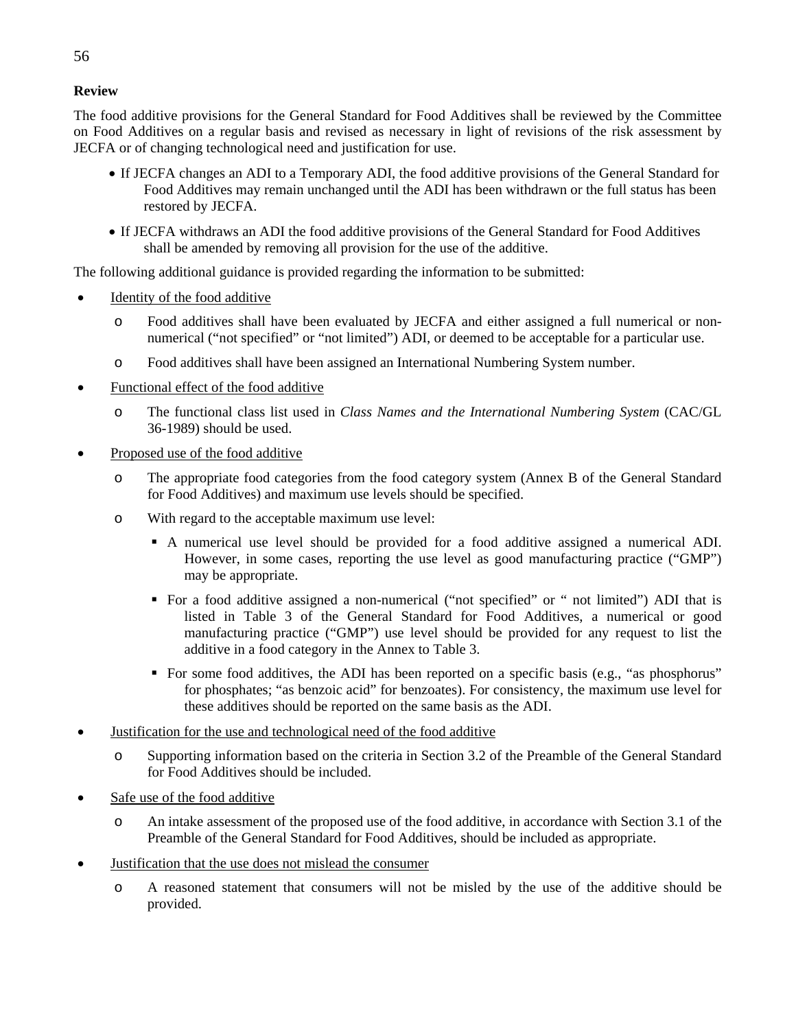## **Review**

The food additive provisions for the General Standard for Food Additives shall be reviewed by the Committee on Food Additives on a regular basis and revised as necessary in light of revisions of the risk assessment by JECFA or of changing technological need and justification for use.

- If JECFA changes an ADI to a Temporary ADI, the food additive provisions of the General Standard for Food Additives may remain unchanged until the ADI has been withdrawn or the full status has been restored by JECFA.
- If JECFA withdraws an ADI the food additive provisions of the General Standard for Food Additives shall be amended by removing all provision for the use of the additive.

The following additional guidance is provided regarding the information to be submitted:

- Identity of the food additive
	- o Food additives shall have been evaluated by JECFA and either assigned a full numerical or nonnumerical ("not specified" or "not limited") ADI, or deemed to be acceptable for a particular use.
	- o Food additives shall have been assigned an International Numbering System number.
- Functional effect of the food additive
	- o The functional class list used in *Class Names and the International Numbering System* (CAC/GL 36-1989) should be used.
- Proposed use of the food additive
	- o The appropriate food categories from the food category system (Annex B of the General Standard for Food Additives) and maximum use levels should be specified.
	- o With regard to the acceptable maximum use level:
		- A numerical use level should be provided for a food additive assigned a numerical ADI. However, in some cases, reporting the use level as good manufacturing practice ("GMP") may be appropriate.
		- For a food additive assigned a non-numerical ("not specified" or " not limited") ADI that is listed in Table 3 of the General Standard for Food Additives, a numerical or good manufacturing practice ("GMP") use level should be provided for any request to list the additive in a food category in the Annex to Table 3.
		- For some food additives, the ADI has been reported on a specific basis (e.g., "as phosphorus" for phosphates; "as benzoic acid" for benzoates). For consistency, the maximum use level for these additives should be reported on the same basis as the ADI.
- Justification for the use and technological need of the food additive
	- o Supporting information based on the criteria in Section 3.2 of the Preamble of the General Standard for Food Additives should be included.
- Safe use of the food additive
	- o An intake assessment of the proposed use of the food additive, in accordance with Section 3.1 of the Preamble of the General Standard for Food Additives, should be included as appropriate.
- Justification that the use does not mislead the consumer
	- o A reasoned statement that consumers will not be misled by the use of the additive should be provided.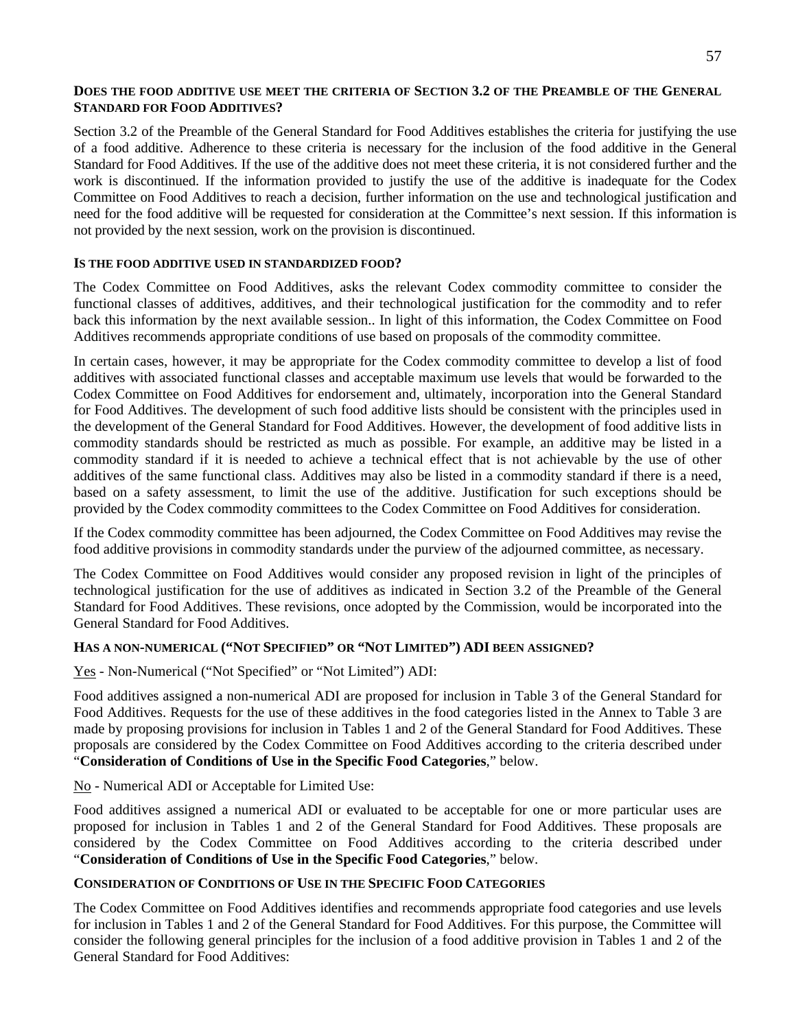## **DOES THE FOOD ADDITIVE USE MEET THE CRITERIA OF SECTION 3.2 OF THE PREAMBLE OF THE GENERAL STANDARD FOR FOOD ADDITIVES?**

Section 3.2 of the Preamble of the General Standard for Food Additives establishes the criteria for justifying the use of a food additive. Adherence to these criteria is necessary for the inclusion of the food additive in the General Standard for Food Additives. If the use of the additive does not meet these criteria, it is not considered further and the work is discontinued. If the information provided to justify the use of the additive is inadequate for the Codex Committee on Food Additives to reach a decision, further information on the use and technological justification and need for the food additive will be requested for consideration at the Committee's next session. If this information is not provided by the next session, work on the provision is discontinued.

## **IS THE FOOD ADDITIVE USED IN STANDARDIZED FOOD?**

The Codex Committee on Food Additives, asks the relevant Codex commodity committee to consider the functional classes of additives, additives, and their technological justification for the commodity and to refer back this information by the next available session.. In light of this information, the Codex Committee on Food Additives recommends appropriate conditions of use based on proposals of the commodity committee.

In certain cases, however, it may be appropriate for the Codex commodity committee to develop a list of food additives with associated functional classes and acceptable maximum use levels that would be forwarded to the Codex Committee on Food Additives for endorsement and, ultimately, incorporation into the General Standard for Food Additives. The development of such food additive lists should be consistent with the principles used in the development of the General Standard for Food Additives. However, the development of food additive lists in commodity standards should be restricted as much as possible. For example, an additive may be listed in a commodity standard if it is needed to achieve a technical effect that is not achievable by the use of other additives of the same functional class. Additives may also be listed in a commodity standard if there is a need, based on a safety assessment, to limit the use of the additive. Justification for such exceptions should be provided by the Codex commodity committees to the Codex Committee on Food Additives for consideration.

If the Codex commodity committee has been adjourned, the Codex Committee on Food Additives may revise the food additive provisions in commodity standards under the purview of the adjourned committee, as necessary.

The Codex Committee on Food Additives would consider any proposed revision in light of the principles of technological justification for the use of additives as indicated in Section 3.2 of the Preamble of the General Standard for Food Additives. These revisions, once adopted by the Commission, would be incorporated into the General Standard for Food Additives.

## **HAS A NON-NUMERICAL ("NOT SPECIFIED" OR "NOT LIMITED") ADI BEEN ASSIGNED?**

Yes - Non-Numerical ("Not Specified" or "Not Limited") ADI:

Food additives assigned a non-numerical ADI are proposed for inclusion in Table 3 of the General Standard for Food Additives. Requests for the use of these additives in the food categories listed in the Annex to Table 3 are made by proposing provisions for inclusion in Tables 1 and 2 of the General Standard for Food Additives. These proposals are considered by the Codex Committee on Food Additives according to the criteria described under "**Consideration of Conditions of Use in the Specific Food Categories**," below.

No - Numerical ADI or Acceptable for Limited Use:

Food additives assigned a numerical ADI or evaluated to be acceptable for one or more particular uses are proposed for inclusion in Tables 1 and 2 of the General Standard for Food Additives. These proposals are considered by the Codex Committee on Food Additives according to the criteria described under "**Consideration of Conditions of Use in the Specific Food Categories**," below.

### **CONSIDERATION OF CONDITIONS OF USE IN THE SPECIFIC FOOD CATEGORIES**

The Codex Committee on Food Additives identifies and recommends appropriate food categories and use levels for inclusion in Tables 1 and 2 of the General Standard for Food Additives. For this purpose, the Committee will consider the following general principles for the inclusion of a food additive provision in Tables 1 and 2 of the General Standard for Food Additives: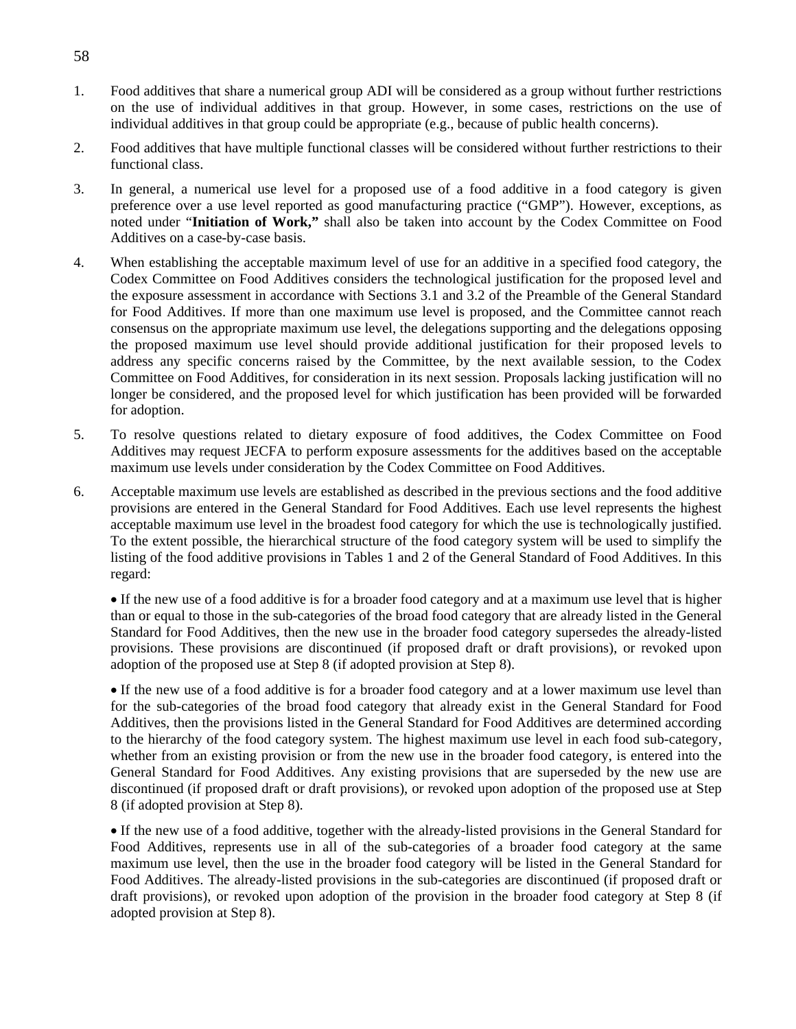- 1. Food additives that share a numerical group ADI will be considered as a group without further restrictions on the use of individual additives in that group. However, in some cases, restrictions on the use of individual additives in that group could be appropriate (e.g., because of public health concerns).
- 2. Food additives that have multiple functional classes will be considered without further restrictions to their functional class.
- 3. In general, a numerical use level for a proposed use of a food additive in a food category is given preference over a use level reported as good manufacturing practice ("GMP"). However, exceptions, as noted under "**Initiation of Work,"** shall also be taken into account by the Codex Committee on Food Additives on a case-by-case basis.
- 4. When establishing the acceptable maximum level of use for an additive in a specified food category, the Codex Committee on Food Additives considers the technological justification for the proposed level and the exposure assessment in accordance with Sections 3.1 and 3.2 of the Preamble of the General Standard for Food Additives. If more than one maximum use level is proposed, and the Committee cannot reach consensus on the appropriate maximum use level, the delegations supporting and the delegations opposing the proposed maximum use level should provide additional justification for their proposed levels to address any specific concerns raised by the Committee, by the next available session, to the Codex Committee on Food Additives, for consideration in its next session. Proposals lacking justification will no longer be considered, and the proposed level for which justification has been provided will be forwarded for adoption.
- 5. To resolve questions related to dietary exposure of food additives, the Codex Committee on Food Additives may request JECFA to perform exposure assessments for the additives based on the acceptable maximum use levels under consideration by the Codex Committee on Food Additives.
- 6. Acceptable maximum use levels are established as described in the previous sections and the food additive provisions are entered in the General Standard for Food Additives. Each use level represents the highest acceptable maximum use level in the broadest food category for which the use is technologically justified. To the extent possible, the hierarchical structure of the food category system will be used to simplify the listing of the food additive provisions in Tables 1 and 2 of the General Standard of Food Additives. In this regard:

• If the new use of a food additive is for a broader food category and at a maximum use level that is higher than or equal to those in the sub-categories of the broad food category that are already listed in the General Standard for Food Additives, then the new use in the broader food category supersedes the already-listed provisions. These provisions are discontinued (if proposed draft or draft provisions), or revoked upon adoption of the proposed use at Step 8 (if adopted provision at Step 8).

• If the new use of a food additive is for a broader food category and at a lower maximum use level than for the sub-categories of the broad food category that already exist in the General Standard for Food Additives, then the provisions listed in the General Standard for Food Additives are determined according to the hierarchy of the food category system. The highest maximum use level in each food sub-category, whether from an existing provision or from the new use in the broader food category, is entered into the General Standard for Food Additives. Any existing provisions that are superseded by the new use are discontinued (if proposed draft or draft provisions), or revoked upon adoption of the proposed use at Step 8 (if adopted provision at Step 8).

• If the new use of a food additive, together with the already-listed provisions in the General Standard for Food Additives, represents use in all of the sub-categories of a broader food category at the same maximum use level, then the use in the broader food category will be listed in the General Standard for Food Additives. The already-listed provisions in the sub-categories are discontinued (if proposed draft or draft provisions), or revoked upon adoption of the provision in the broader food category at Step 8 (if adopted provision at Step 8).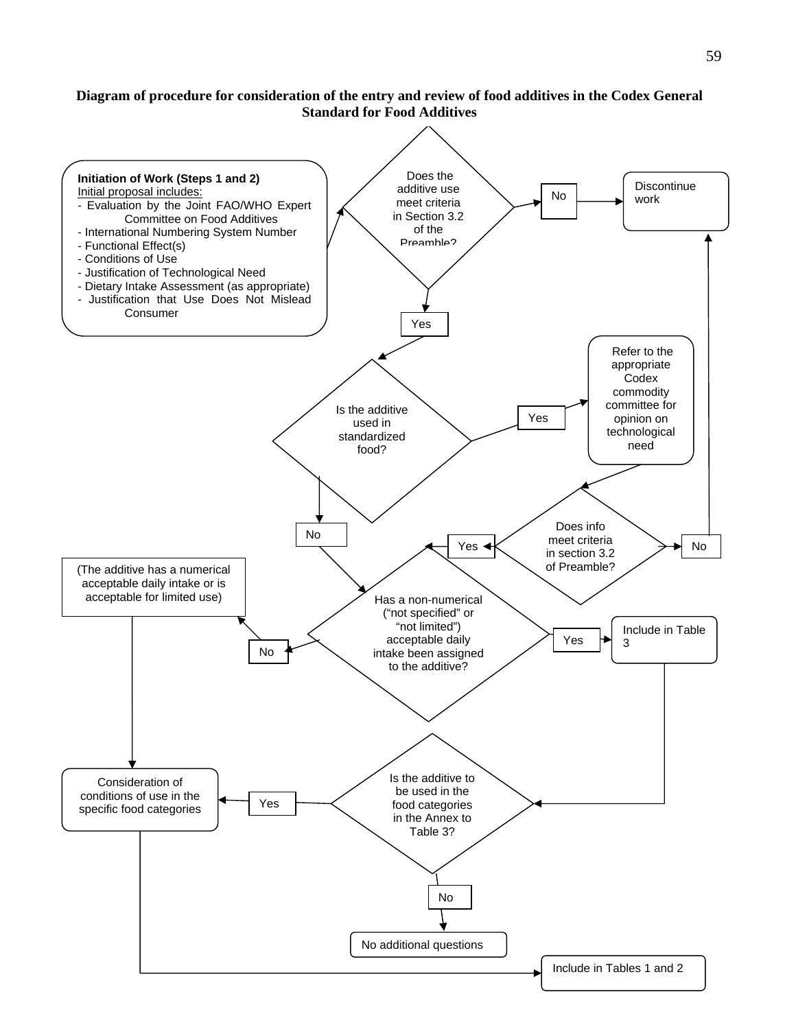## **Diagram of procedure for consideration of the entry and review of food additives in the Codex General Standard for Food Additives**

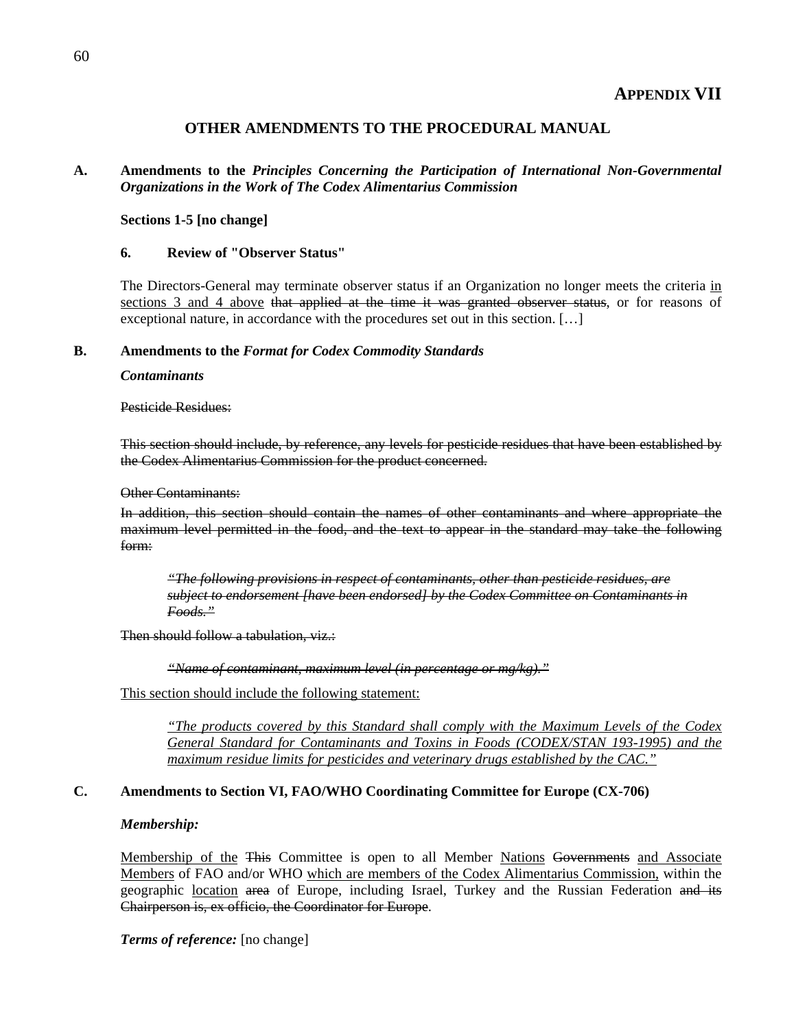## **OTHER AMENDMENTS TO THE PROCEDURAL MANUAL**

## **A. Amendments to the** *Principles Concerning the Participation of International Non-Governmental Organizations in the Work of The Codex Alimentarius Commission*

## **Sections 1-5 [no change]**

## **6. Review of "Observer Status"**

The Directors-General may terminate observer status if an Organization no longer meets the criteria in sections 3 and 4 above that applied at the time it was granted observer status, or for reasons of exceptional nature, in accordance with the procedures set out in this section. […]

## **B. Amendments to the** *Format for Codex Commodity Standards*

## *Contaminants*

Pesticide Residues:

This section should include, by reference, any levels for pesticide residues that have been established by the Codex Alimentarius Commission for the product concerned.

### Other Contaminants:

In addition, this section should contain the names of other contaminants and where appropriate the maximum level permitted in the food, and the text to appear in the standard may take the following form:

*"The following provisions in respect of contaminants, other than pesticide residues, are subject to endorsement [have been endorsed] by the Codex Committee on Contaminants in Foods."*

Then should follow a tabulation, viz.:

*"Name of contaminant, maximum level (in percentage or mg/kg)."*

This section should include the following statement:

*"The products covered by this Standard shall comply with the Maximum Levels of the Codex General Standard for Contaminants and Toxins in Foods (CODEX/STAN 193-1995) and the maximum residue limits for pesticides and veterinary drugs established by the CAC."*

## **C. Amendments to Section VI, FAO/WHO Coordinating Committee for Europe (CX-706)**

## *Membership:*

Membership of the This Committee is open to all Member Nations Governments and Associate Members of FAO and/or WHO which are members of the Codex Alimentarius Commission, within the geographic location area of Europe, including Israel, Turkey and the Russian Federation and its Chairperson is, ex officio, the Coordinator for Europe.

*Terms of reference:* [no change]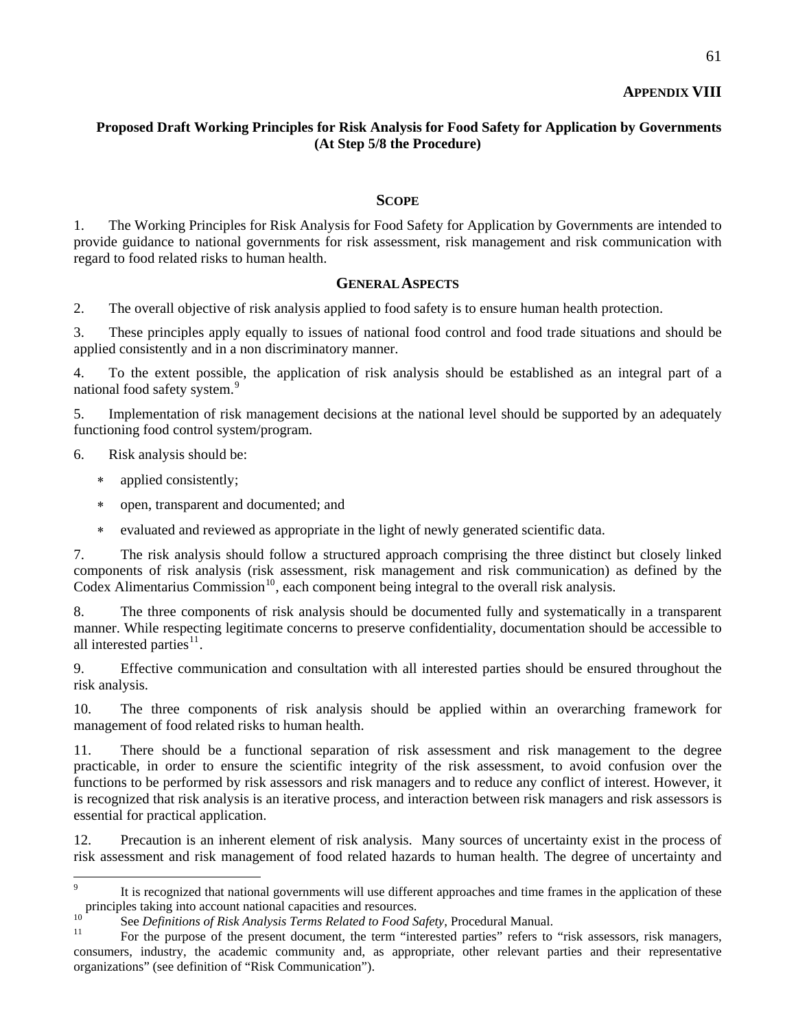## **APPENDIX VIII**

## **Proposed Draft Working Principles for Risk Analysis for Food Safety for Application by Governments (At Step 5/8 the Procedure)**

## **SCOPE**

1. The Working Principles for Risk Analysis for Food Safety for Application by Governments are intended to provide guidance to national governments for risk assessment, risk management and risk communication with regard to food related risks to human health.

## **GENERAL ASPECTS**

2. The overall objective of risk analysis applied to food safety is to ensure human health protection.

3. These principles apply equally to issues of national food control and food trade situations and should be applied consistently and in a non discriminatory manner.

4. To the extent possible, the application of risk analysis should be established as an integral part of a national food safety system.<sup>[9](#page-66-0)</sup>

5. Implementation of risk management decisions at the national level should be supported by an adequately functioning food control system/program.

6. Risk analysis should be:

- ∗ applied consistently;
- ∗ open, transparent and documented; and
- ∗ evaluated and reviewed as appropriate in the light of newly generated scientific data.

7. The risk analysis should follow a structured approach comprising the three distinct but closely linked components of risk analysis (risk assessment, risk management and risk communication) as defined by the Codex Alimentarius Commission<sup>[10](#page-66-1)</sup>, each component being integral to the overall risk analysis.

8. The three components of risk analysis should be documented fully and systematically in a transparent manner. While respecting legitimate concerns to preserve confidentiality, documentation should be accessible to all interested parties $^{11}$  $^{11}$  $^{11}$ .

9. Effective communication and consultation with all interested parties should be ensured throughout the risk analysis.

10. The three components of risk analysis should be applied within an overarching framework for management of food related risks to human health.

11. There should be a functional separation of risk assessment and risk management to the degree practicable, in order to ensure the scientific integrity of the risk assessment, to avoid confusion over the functions to be performed by risk assessors and risk managers and to reduce any conflict of interest. However, it is recognized that risk analysis is an iterative process, and interaction between risk managers and risk assessors is essential for practical application.

12. Precaution is an inherent element of risk analysis. Many sources of uncertainty exist in the process of risk assessment and risk management of food related hazards to human health. The degree of uncertainty and

<span id="page-66-0"></span><sup>-&</sup>lt;br>9 <sup>9</sup><br>It is recognized that national governments will use different approaches and time frames in the application of these<br><sup>10</sup><br><sup>10</sup><br>Costably the profit of the application of these

<span id="page-66-2"></span><span id="page-66-1"></span><sup>&</sup>lt;sup>10</sup> See *Definitions of Risk Analysis Terms Related to Food Safety*, Procedural Manual.<br><sup>11</sup> For the purpose of the present document, the term "interested parties" refers to "risk assessors, risk managers, consumers, industry, the academic community and, as appropriate, other relevant parties and their representative organizations" (see definition of "Risk Communication").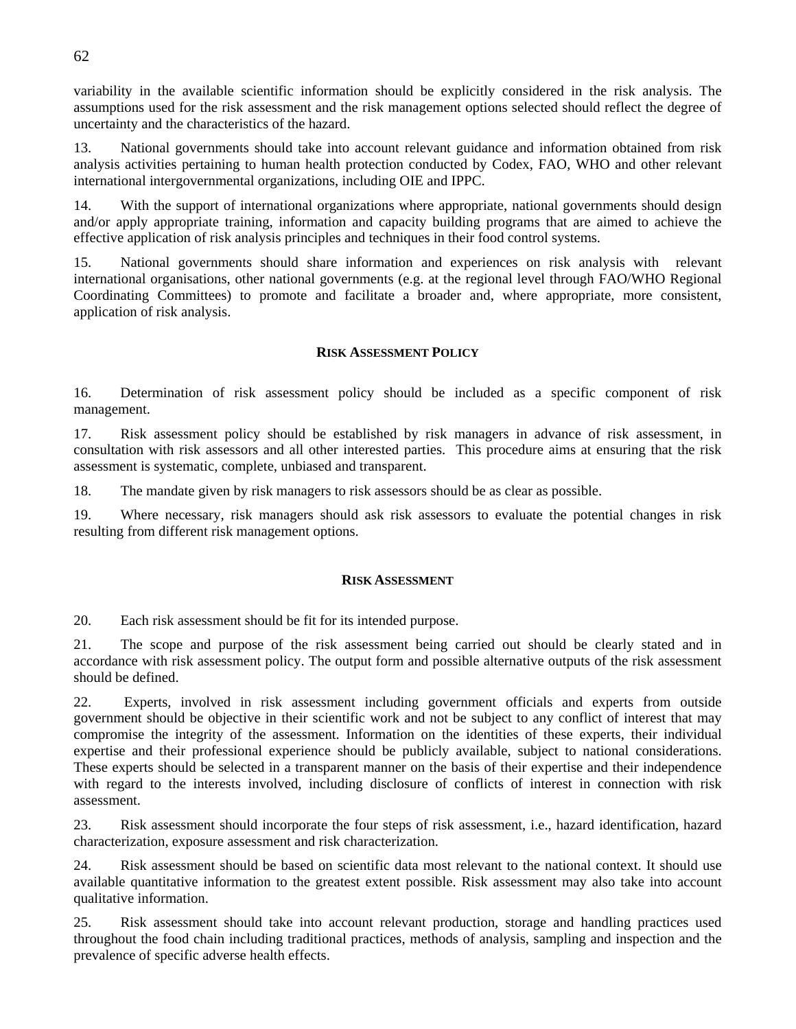variability in the available scientific information should be explicitly considered in the risk analysis. The assumptions used for the risk assessment and the risk management options selected should reflect the degree of uncertainty and the characteristics of the hazard.

13. National governments should take into account relevant guidance and information obtained from risk analysis activities pertaining to human health protection conducted by Codex, FAO, WHO and other relevant international intergovernmental organizations, including OIE and IPPC.

14. With the support of international organizations where appropriate, national governments should design and/or apply appropriate training, information and capacity building programs that are aimed to achieve the effective application of risk analysis principles and techniques in their food control systems.

15. National governments should share information and experiences on risk analysis with relevant international organisations, other national governments (e.g. at the regional level through FAO/WHO Regional Coordinating Committees) to promote and facilitate a broader and, where appropriate, more consistent, application of risk analysis.

## **RISK ASSESSMENT POLICY**

16. Determination of risk assessment policy should be included as a specific component of risk management.

17. Risk assessment policy should be established by risk managers in advance of risk assessment, in consultation with risk assessors and all other interested parties. This procedure aims at ensuring that the risk assessment is systematic, complete, unbiased and transparent.

18. The mandate given by risk managers to risk assessors should be as clear as possible.

19. Where necessary, risk managers should ask risk assessors to evaluate the potential changes in risk resulting from different risk management options.

### **RISK ASSESSMENT**

20. Each risk assessment should be fit for its intended purpose.

21. The scope and purpose of the risk assessment being carried out should be clearly stated and in accordance with risk assessment policy. The output form and possible alternative outputs of the risk assessment should be defined.

22. Experts, involved in risk assessment including government officials and experts from outside government should be objective in their scientific work and not be subject to any conflict of interest that may compromise the integrity of the assessment. Information on the identities of these experts, their individual expertise and their professional experience should be publicly available, subject to national considerations. These experts should be selected in a transparent manner on the basis of their expertise and their independence with regard to the interests involved, including disclosure of conflicts of interest in connection with risk assessment.

23. Risk assessment should incorporate the four steps of risk assessment, i.e., hazard identification, hazard characterization, exposure assessment and risk characterization.

24. Risk assessment should be based on scientific data most relevant to the national context. It should use available quantitative information to the greatest extent possible. Risk assessment may also take into account qualitative information.

25. Risk assessment should take into account relevant production, storage and handling practices used throughout the food chain including traditional practices, methods of analysis, sampling and inspection and the prevalence of specific adverse health effects.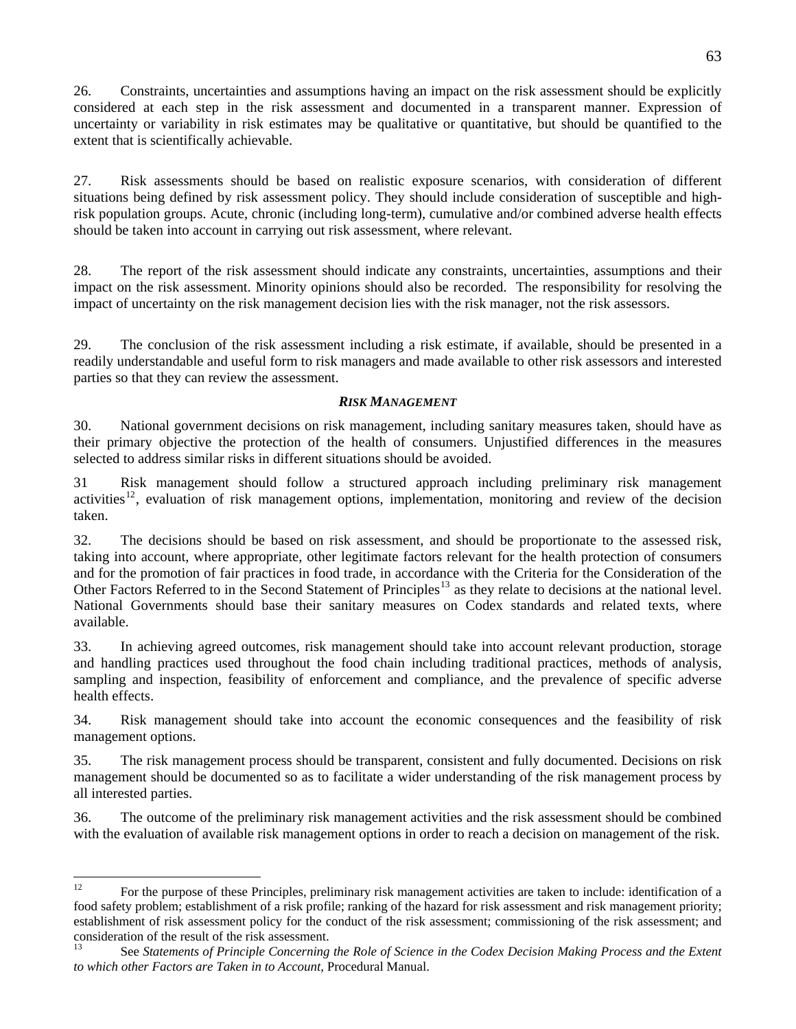26. Constraints, uncertainties and assumptions having an impact on the risk assessment should be explicitly considered at each step in the risk assessment and documented in a transparent manner. Expression of uncertainty or variability in risk estimates may be qualitative or quantitative, but should be quantified to the extent that is scientifically achievable.

27. Risk assessments should be based on realistic exposure scenarios, with consideration of different situations being defined by risk assessment policy. They should include consideration of susceptible and highrisk population groups. Acute, chronic (including long-term), cumulative and/or combined adverse health effects should be taken into account in carrying out risk assessment, where relevant.

28. The report of the risk assessment should indicate any constraints, uncertainties, assumptions and their impact on the risk assessment. Minority opinions should also be recorded. The responsibility for resolving the impact of uncertainty on the risk management decision lies with the risk manager, not the risk assessors.

29. The conclusion of the risk assessment including a risk estimate, if available, should be presented in a readily understandable and useful form to risk managers and made available to other risk assessors and interested parties so that they can review the assessment.

## *RISK MANAGEMENT*

30. National government decisions on risk management, including sanitary measures taken, should have as their primary objective the protection of the health of consumers. Unjustified differences in the measures selected to address similar risks in different situations should be avoided.

31 Risk management should follow a structured approach including preliminary risk management activities<sup>[12](#page-68-0)</sup>, evaluation of risk management options, implementation, monitoring and review of the decision taken.

32. The decisions should be based on risk assessment, and should be proportionate to the assessed risk, taking into account, where appropriate, other legitimate factors relevant for the health protection of consumers and for the promotion of fair practices in food trade, in accordance with the Criteria for the Consideration of the Other Factors Referred to in the Second Statement of Principles<sup>[13](#page-68-1)</sup> as they relate to decisions at the national level. National Governments should base their sanitary measures on Codex standards and related texts, where available.

33. In achieving agreed outcomes, risk management should take into account relevant production, storage and handling practices used throughout the food chain including traditional practices, methods of analysis, sampling and inspection, feasibility of enforcement and compliance, and the prevalence of specific adverse health effects.

34. Risk management should take into account the economic consequences and the feasibility of risk management options.

35. The risk management process should be transparent, consistent and fully documented. Decisions on risk management should be documented so as to facilitate a wider understanding of the risk management process by all interested parties.

36. The outcome of the preliminary risk management activities and the risk assessment should be combined with the evaluation of available risk management options in order to reach a decision on management of the risk.

<span id="page-68-0"></span><sup>12</sup> 12 For the purpose of these Principles, preliminary risk management activities are taken to include: identification of a food safety problem; establishment of a risk profile; ranking of the hazard for risk assessment and risk management priority; establishment of risk assessment policy for the conduct of the risk assessment; commissioning of the risk assessment; and consideration of the result of the risk assessment.

<span id="page-68-1"></span><sup>13</sup> See *Statements of Principle Concerning the Role of Science in the Codex Decision Making Process and the Extent to which other Factors are Taken in to Account*, Procedural Manual.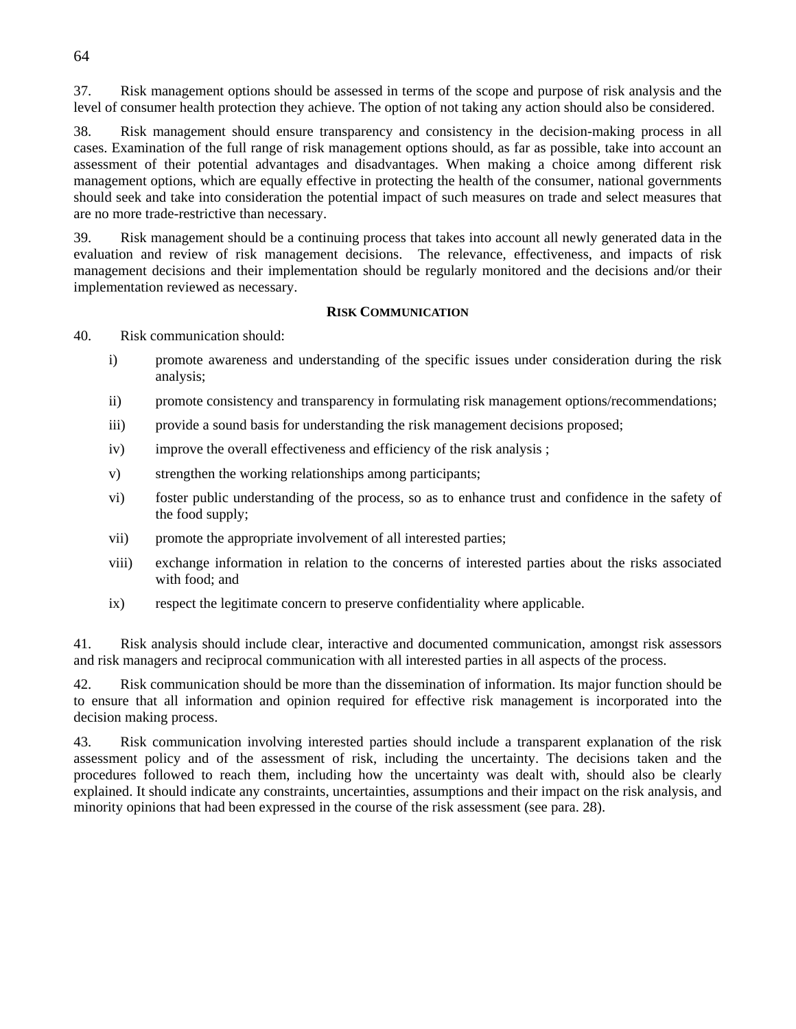37. Risk management options should be assessed in terms of the scope and purpose of risk analysis and the level of consumer health protection they achieve. The option of not taking any action should also be considered.

38. Risk management should ensure transparency and consistency in the decision-making process in all cases. Examination of the full range of risk management options should, as far as possible, take into account an assessment of their potential advantages and disadvantages. When making a choice among different risk management options, which are equally effective in protecting the health of the consumer, national governments should seek and take into consideration the potential impact of such measures on trade and select measures that are no more trade-restrictive than necessary.

39. Risk management should be a continuing process that takes into account all newly generated data in the evaluation and review of risk management decisions. The relevance, effectiveness, and impacts of risk management decisions and their implementation should be regularly monitored and the decisions and/or their implementation reviewed as necessary.

## **RISK COMMUNICATION**

40. Risk communication should:

- i) promote awareness and understanding of the specific issues under consideration during the risk analysis;
- ii) promote consistency and transparency in formulating risk management options/recommendations;
- iii) provide a sound basis for understanding the risk management decisions proposed;
- iv) improve the overall effectiveness and efficiency of the risk analysis ;
- v) strengthen the working relationships among participants;
- vi) foster public understanding of the process, so as to enhance trust and confidence in the safety of the food supply;
- vii) promote the appropriate involvement of all interested parties;
- viii) exchange information in relation to the concerns of interested parties about the risks associated with food; and
- ix) respect the legitimate concern to preserve confidentiality where applicable.

41. Risk analysis should include clear, interactive and documented communication, amongst risk assessors and risk managers and reciprocal communication with all interested parties in all aspects of the process.

42. Risk communication should be more than the dissemination of information. Its major function should be to ensure that all information and opinion required for effective risk management is incorporated into the decision making process.

43. Risk communication involving interested parties should include a transparent explanation of the risk assessment policy and of the assessment of risk, including the uncertainty. The decisions taken and the procedures followed to reach them, including how the uncertainty was dealt with, should also be clearly explained. It should indicate any constraints, uncertainties, assumptions and their impact on the risk analysis, and minority opinions that had been expressed in the course of the risk assessment (see para. 28).

64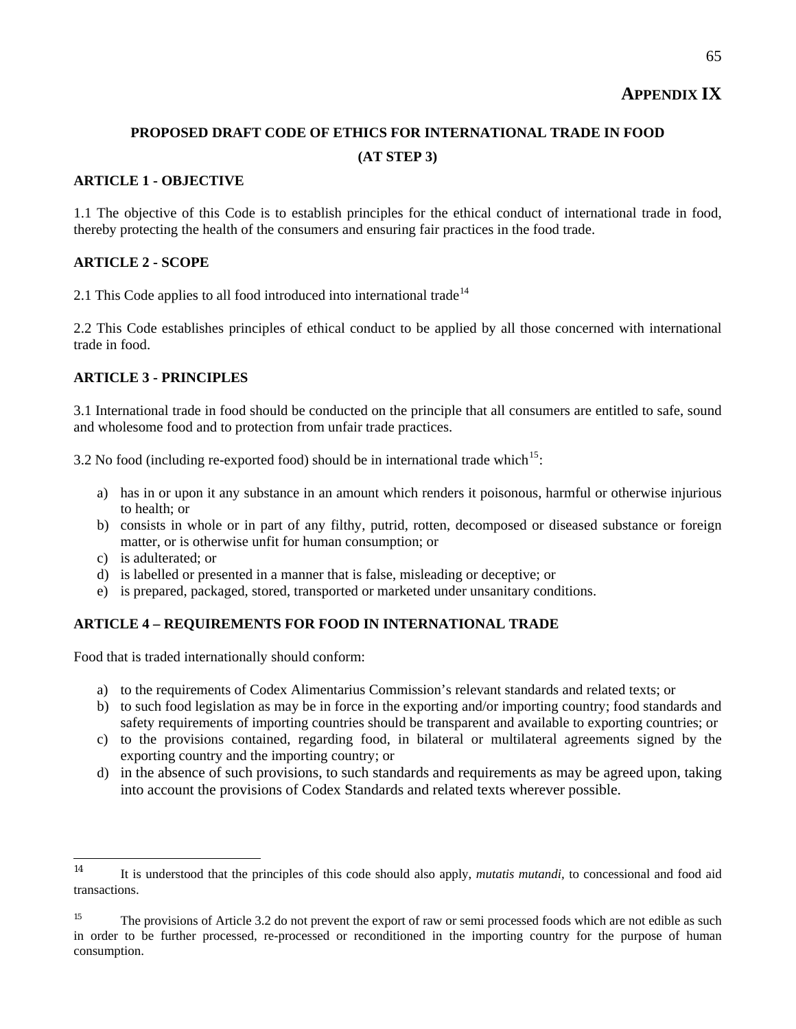# **APPENDIX IX**

# **PROPOSED DRAFT CODE OF ETHICS FOR INTERNATIONAL TRADE IN FOOD (AT STEP 3)**

## **ARTICLE 1 - OBJECTIVE**

1.1 The objective of this Code is to establish principles for the ethical conduct of international trade in food, thereby protecting the health of the consumers and ensuring fair practices in the food trade.

## **ARTICLE 2 - SCOPE**

2.1 This Code applies to all food introduced into international trade<sup>[14](#page-70-0)</sup>

2.2 This Code establishes principles of ethical conduct to be applied by all those concerned with international trade in food.

## **ARTICLE 3 - PRINCIPLES**

3.1 International trade in food should be conducted on the principle that all consumers are entitled to safe, sound and wholesome food and to protection from unfair trade practices.

3.2 No food (including re-exported food) should be in international trade which<sup>[15](#page-70-1)</sup>:

- a) has in or upon it any substance in an amount which renders it poisonous, harmful or otherwise injurious to health; or
- b) consists in whole or in part of any filthy, putrid, rotten, decomposed or diseased substance or foreign matter, or is otherwise unfit for human consumption; or
- c) is adulterated; or
- d) is labelled or presented in a manner that is false, misleading or deceptive; or
- e) is prepared, packaged, stored, transported or marketed under unsanitary conditions.

## **ARTICLE 4 – REQUIREMENTS FOR FOOD IN INTERNATIONAL TRADE**

Food that is traded internationally should conform:

- a) to the requirements of Codex Alimentarius Commission's relevant standards and related texts; or
- b) to such food legislation as may be in force in the exporting and/or importing country; food standards and safety requirements of importing countries should be transparent and available to exporting countries; or
- c) to the provisions contained, regarding food, in bilateral or multilateral agreements signed by the exporting country and the importing country; or
- d) in the absence of such provisions, to such standards and requirements as may be agreed upon, taking into account the provisions of Codex Standards and related texts wherever possible.

<span id="page-70-0"></span> $14$ <sup>14</sup> It is understood that the principles of this code should also apply, *mutatis mutandi,* to concessional and food aid transactions.

<span id="page-70-1"></span><sup>&</sup>lt;sup>15</sup> The provisions of Article 3.2 do not prevent the export of raw or semi processed foods which are not edible as such in order to be further processed, re-processed or reconditioned in the importing country for the purpose of human consumption.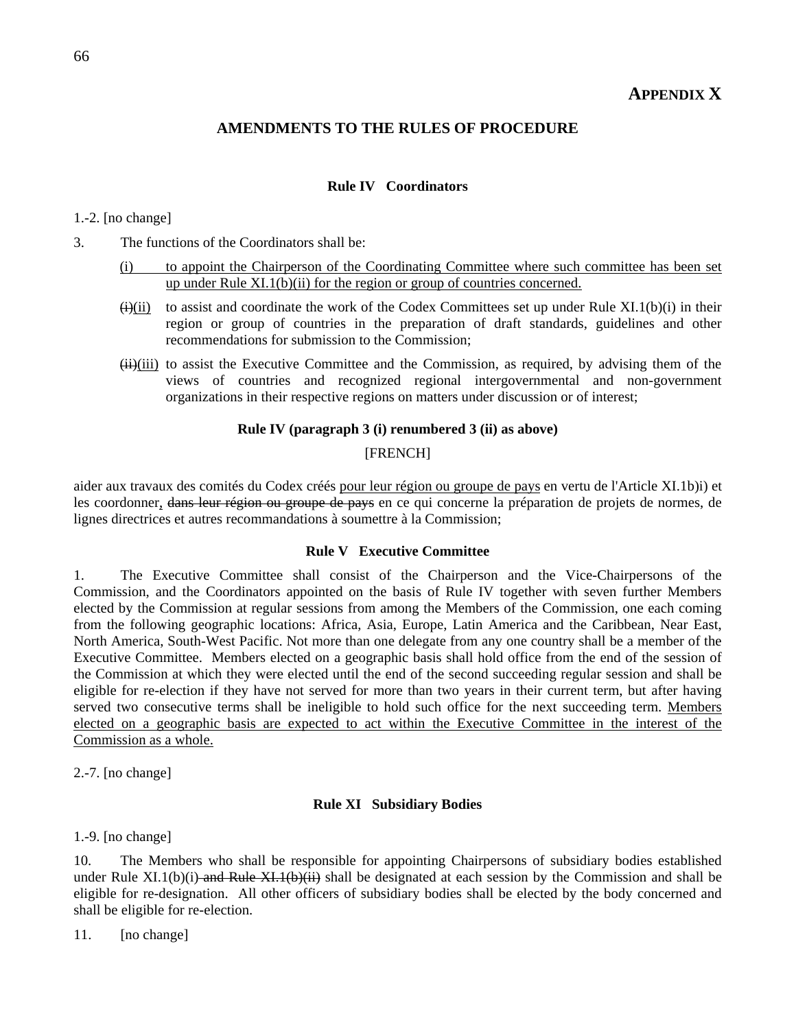# **APPENDIX X**

## **AMENDMENTS TO THE RULES OF PROCEDURE**

## **Rule IV Coordinators**

1.-2. [no change]

3. The functions of the Coordinators shall be:

- (i) to appoint the Chairperson of the Coordinating Committee where such committee has been set up under Rule XI.1(b)(ii) for the region or group of countries concerned.
- $\frac{d^2}{dt^2}$  to assist and coordinate the work of the Codex Committees set up under Rule XI.1(b)(i) in their region or group of countries in the preparation of draft standards, guidelines and other recommendations for submission to the Commission;
- (ii)(iii) to assist the Executive Committee and the Commission, as required, by advising them of the views of countries and recognized regional intergovernmental and non-government organizations in their respective regions on matters under discussion or of interest;

### **Rule IV (paragraph 3 (i) renumbered 3 (ii) as above)**

[FRENCH]

aider aux travaux des comités du Codex créés pour leur région ou groupe de pays en vertu de l'Article XI.1b)i) et les coordonner, dans leur région ou groupe de pays en ce qui concerne la préparation de projets de normes, de lignes directrices et autres recommandations à soumettre à la Commission;

## **Rule V Executive Committee**

1. The Executive Committee shall consist of the Chairperson and the Vice-Chairpersons of the Commission, and the Coordinators appointed on the basis of Rule IV together with seven further Members elected by the Commission at regular sessions from among the Members of the Commission, one each coming from the following geographic locations: Africa, Asia, Europe, Latin America and the Caribbean, Near East, North America, South-West Pacific. Not more than one delegate from any one country shall be a member of the Executive Committee. Members elected on a geographic basis shall hold office from the end of the session of the Commission at which they were elected until the end of the second succeeding regular session and shall be eligible for re-election if they have not served for more than two years in their current term, but after having served two consecutive terms shall be ineligible to hold such office for the next succeeding term. Members elected on a geographic basis are expected to act within the Executive Committee in the interest of the Commission as a whole.

2.-7. [no change]

## **Rule XI Subsidiary Bodies**

1.-9. [no change]

10. The Members who shall be responsible for appointing Chairpersons of subsidiary bodies established under Rule  $XI(1(b)(i)$  and Rule  $XI(1(b)(ii))$  shall be designated at each session by the Commission and shall be eligible for re-designation. All other officers of subsidiary bodies shall be elected by the body concerned and shall be eligible for re-election.

11. [no change]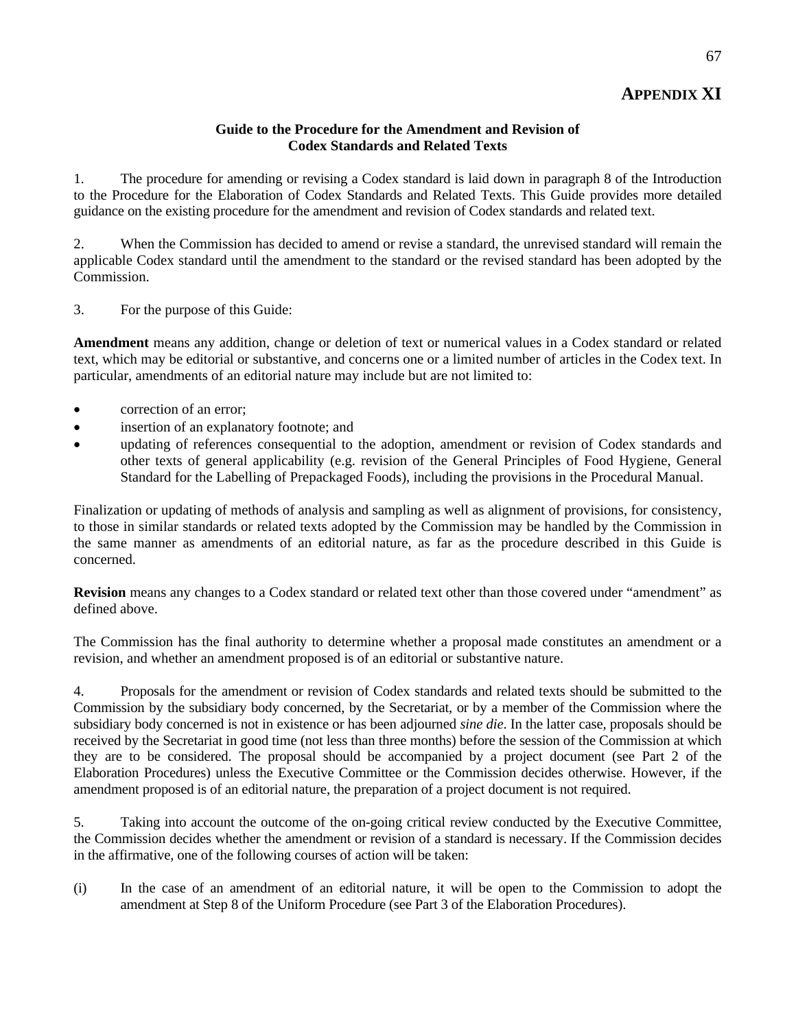# **APPENDIX XI**

### **Guide to the Procedure for the Amendment and Revision of Codex Standards and Related Texts**

1. The procedure for amending or revising a Codex standard is laid down in paragraph 8 of the Introduction to the Procedure for the Elaboration of Codex Standards and Related Texts. This Guide provides more detailed guidance on the existing procedure for the amendment and revision of Codex standards and related text.

2. When the Commission has decided to amend or revise a standard, the unrevised standard will remain the applicable Codex standard until the amendment to the standard or the revised standard has been adopted by the Commission.

3. For the purpose of this Guide:

**Amendment** means any addition, change or deletion of text or numerical values in a Codex standard or related text, which may be editorial or substantive, and concerns one or a limited number of articles in the Codex text. In particular, amendments of an editorial nature may include but are not limited to:

- correction of an error;
- insertion of an explanatory footnote; and
- updating of references consequential to the adoption, amendment or revision of Codex standards and other texts of general applicability (e.g. revision of the General Principles of Food Hygiene, General Standard for the Labelling of Prepackaged Foods), including the provisions in the Procedural Manual.

Finalization or updating of methods of analysis and sampling as well as alignment of provisions, for consistency, to those in similar standards or related texts adopted by the Commission may be handled by the Commission in the same manner as amendments of an editorial nature, as far as the procedure described in this Guide is concerned.

**Revision** means any changes to a Codex standard or related text other than those covered under "amendment" as defined above.

The Commission has the final authority to determine whether a proposal made constitutes an amendment or a revision, and whether an amendment proposed is of an editorial or substantive nature.

4. Proposals for the amendment or revision of Codex standards and related texts should be submitted to the Commission by the subsidiary body concerned, by the Secretariat, or by a member of the Commission where the subsidiary body concerned is not in existence or has been adjourned *sine die*. In the latter case, proposals should be received by the Secretariat in good time (not less than three months) before the session of the Commission at which they are to be considered. The proposal should be accompanied by a project document (see Part 2 of the Elaboration Procedures) unless the Executive Committee or the Commission decides otherwise. However, if the amendment proposed is of an editorial nature, the preparation of a project document is not required.

5. Taking into account the outcome of the on-going critical review conducted by the Executive Committee, the Commission decides whether the amendment or revision of a standard is necessary. If the Commission decides in the affirmative, one of the following courses of action will be taken:

(i) In the case of an amendment of an editorial nature, it will be open to the Commission to adopt the amendment at Step 8 of the Uniform Procedure (see Part 3 of the Elaboration Procedures).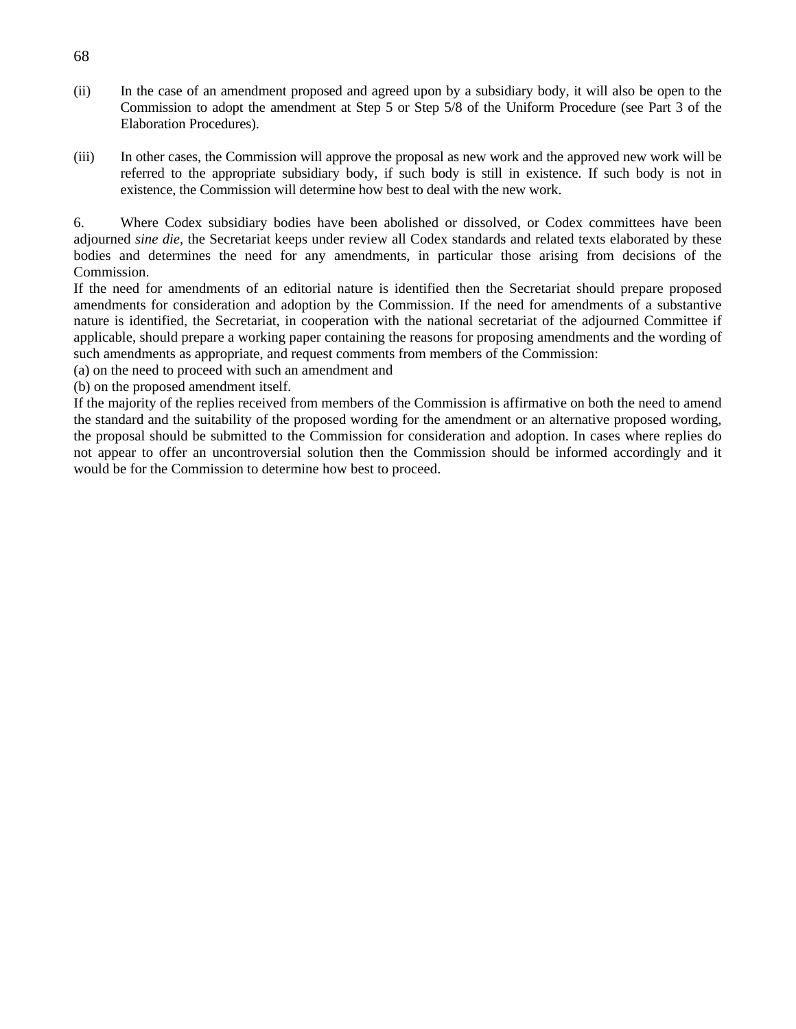- (ii) In the case of an amendment proposed and agreed upon by a subsidiary body, it will also be open to the Commission to adopt the amendment at Step 5 or Step 5/8 of the Uniform Procedure (see Part 3 of the Elaboration Procedures).
- (iii) In other cases, the Commission will approve the proposal as new work and the approved new work will be referred to the appropriate subsidiary body, if such body is still in existence. If such body is not in existence, the Commission will determine how best to deal with the new work.

6. Where Codex subsidiary bodies have been abolished or dissolved, or Codex committees have been adjourned *sine die,* the Secretariat keeps under review all Codex standards and related texts elaborated by these bodies and determines the need for any amendments, in particular those arising from decisions of the Commission.

If the need for amendments of an editorial nature is identified then the Secretariat should prepare proposed amendments for consideration and adoption by the Commission. If the need for amendments of a substantive nature is identified, the Secretariat, in cooperation with the national secretariat of the adjourned Committee if applicable, should prepare a working paper containing the reasons for proposing amendments and the wording of such amendments as appropriate, and request comments from members of the Commission:

- (a) on the need to proceed with such an amendment and
- (b) on the proposed amendment itself.

If the majority of the replies received from members of the Commission is affirmative on both the need to amend the standard and the suitability of the proposed wording for the amendment or an alternative proposed wording, the proposal should be submitted to the Commission for consideration and adoption. In cases where replies do not appear to offer an uncontroversial solution then the Commission should be informed accordingly and it would be for the Commission to determine how best to proceed.